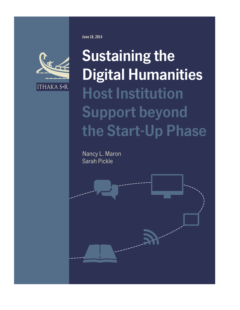

**Sustaining the Digital Humanities Host Institution Support beyond the Start-Up Phase**

Nancy L. Maron Sarah Pickle



**June 18, 2014**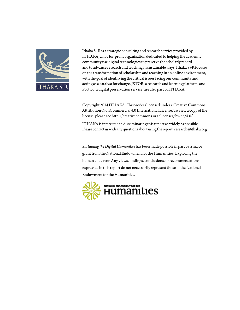

Ithaka S+R is a strategic consulting and research service provided by ITHAKA, a not-for-profit organization dedicated to helping the academic community use digital technologies to preserve the scholarly record and to advance research and teaching in sustainable ways. Ithaka S+R focuses on the transformation of scholarship and teaching in an online environment, with the goal of identifying the critical issues facing our community and acting as a catalyst for change. JSTOR, a research and learning platform, and Portico, a digital preservation service, are also part of ITHAKA.

Copyright 2014 ITHAKA. This work is licensed under a Creative Commons Attribution-NonCommercial 4.0 International License. To view a copy of the license, please see<http://creativecommons.org/licenses/by-nc/4.0/>.

ITHAKA is interested in disseminating this report as widely as possible. Please contact us with any questions about using the report: [research@ithaka.org.](mailto:research%40ithaka.org?subject=)

*Sustaining the Digital Humanities* has been made possible in part by a major grant from the National Endowment for the Humanities: Exploring the human endeavor. Any views, findings, conclusions, or recommendations expressed in this report do not necessarily represent those of the National Endowment for the Humanities.

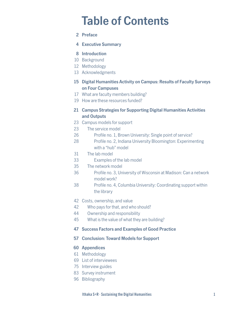# **Table of Contents**

- **2 Preface**
- **4 Executive Summary**

## **8 Introduction**

- 10 Background
- 12 Methodology
- 13 Acknowledgments
- **15 Digital Humanities Activity on Campus: Results of Faculty Surveys on Four Campuses**
- 17 What are faculty members building?
- 19 How are these resources funded?

## **21 Campus Strategies for Supporting Digital Humanities Activities and Outputs**

- 23 Campus models for support
- 23 The service model
- 26 Profile no. 1, Brown University: Single point of service?
- 28 Profile no. 2, Indiana University Bloomington: Experimenting with a "hub" model
- 31 The lab model
- 33 Examples of the lab model
- 35 The network model
- 36 Profile no. 3, University of Wisconsin at Madison: Can a network model work?
- 38 Profile no. 4, Columbia University: Coordinating support within the library
- 42 Costs, ownership, and value
- 42 Who pays for that, and who should?
- 44 Ownership and responsibility
- 45 What is the value of what they are building?
- **47 Success Factors and Examples of Good Practice**

## **57 Conclusion: Toward Models for Support**

## **60 Appendices**

- 61 Methodology
- 69 List of interviewees
- 75 Interview guides
- 83 Survey instrument
- 96 Bibliography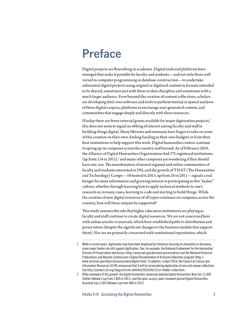# **Preface**

Digital projects are flourishing in academia. Digital tools and platforms have emerged that make it possible for faculty and students—and not only those well versed in computer programming or database construction—to undertake substantial digital projects using original or digitized content in formats intended to be shared, sometimes just with those in their discipline and sometimes with a much larger audience. Even beyond the creation of content collections, scholars are developing their own software and tools to perform textual or spatial analyses of these digital corpora, platforms to encourage user-generated content, and communities that engage deeply and directly with these resources.

If today there are fewer external grants available for major digitization projects, $1$ this does not seem to signal an ebbing of interest among faculty and staff in building things digital. Many libraries and museums have begun to take on some of this creation on their own, finding funding in their own budgets or from their host institutions to help support this work. Digital humanities centers continue to spring up on campuses across the country and beyond. As of February 2014, the Alliance of Digital Humanities Organizations had 175 registered institutions (up from 114 in 2011),<sup>2</sup> and many other campuses are wondering if they should have one, too. The manifestation of several regional and online communities of faculty and students interested in DH, and the growth of THAT (The Humanities and Technology) Camps—58 hosted in 2013, up from 26 in 2011—signals a real hunger for more information and growing interest in participating in this "maker" culture, whether through learning how to apply technical methods to one's research or, in many cases, learning to code and starting to build things. While the creation of new digital resources of all types continues on campuses across the country, how will these outputs be supported?

This study assesses the role that higher education institutions are playing as faculty and staff continue to create digital resources. We are not concerned here with online articles or journals, which have established paths to distribution and preservation (despite the significant changes to the business models that support them). Nor are we primarily concerned with institutional repositories, which

<sup>1</sup> While in recent years, digitization may have been displaced by initiatives focusing on innovation or discovery, some major funders do still support digitization. See, for example, the National Endowment for the Humanities' Division of Preservation and Access ([http://www.neh.gov/divisions/preservation\)](http://www.neh.gov/divisions/preservation) and the National Historical Publications and Records Commission's Digital Dissemination of Archival Collections program ([http://](http://www.archives.gov/nhprc/announcement/digital.html) [www.archives.gov/nhprc/announcement/digital.html](http://www.archives.gov/nhprc/announcement/digital.html)). In addition, in April 2014, the Council on Library and Information Resources (CLIR) announced that it will be reconsidering digitization of rare and unique collections. See<http://connect.clir.org/blogs/christa-williford/2014/04/22/un-hidden-collections>.

<sup>2</sup> Other examples of this growth: the digital humanities showcase website *Digital Humanities Now* has 12,900 Twitter followers (up from 2,800 in 2011), and the open-access, peer-reviewed journal *Digital Humanities Quarterly* has 3,305 followers (up from 688 in 2011).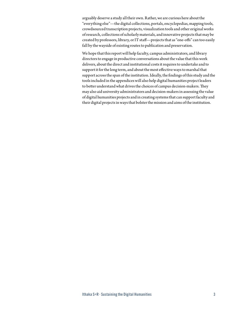arguably deserve a study all their own. Rather, we are curious here about the "everything else"—the digital collections, portals, encyclopedias, mapping tools, crowdsourced transcription projects, visualization tools and other original works of research, collections of scholarly materials, and innovative projects that may be created by professors, library, or IT staff—projects that as "one-offs" can too easily fall by the wayside of existing routes to publication and preservation.

We hope that this report will help faculty, campus administrators, and library directors to engage in productive conversations about the value that this work delivers, about the direct and institutional costs it requires to undertake and to support it for the long term, and about the most effective ways to marshal that support across the span of the institution. Ideally, the findings of this study and the tools included in the appendices will also help digital humanities project leaders to better understand what drives the choices of campus decision-makers. They may also aid university administrators and decision-makers in assessing the value of digital humanities projects and in creating systems that can support faculty and their digital projects in ways that bolster the mission and aims of the institution.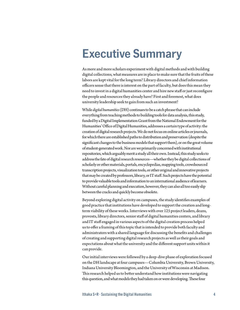# **Executive Summary**

As more and more scholars experiment with digital methods and with building digital collections, what measures are in place to make sure that the fruits of these labors are kept vital for the long term? Library directors and chief information officers sense that there is interest on the part of faculty, but does this mean they need to invest in a digital humanities center and hire new staff or just reconfigure the people and resources they already have? First and foremost, what does university leadership seek to gain from such an investment?

While *digital humanities* (DH) continues to be a catch phrase that can include everything from teaching methods to building tools for data analysis, this study, funded by a Digital Implementation Grant from the National Endowment for the Humanities' Office of Digital Humanities, addresses a certain type of activity: the creation of digital research projects. We do not focus on online articles or journals, for which there are established paths to distribution and preservation (despite the significant changes to the business models that support them), or on the great volume of student-generated work. Nor are we primarily concerned with institutional repositories, which arguably merit a study all their own. Instead, this study seeks to address the fate of digital research resources—whether they be digital collections of scholarly or other materials, portals, encyclopedias, mapping tools, crowdsourced transcription projects, visualization tools, or other original and innovative projects that may be created by professors, library, or IT staff. Such projects have the potential to provide valuable tools and information to an international audience of learners. Without careful planning and execution, however, they can also all too easily slip between the cracks and quickly become obsolete.

Beyond exploring digital activity on campuses, the study identifies examples of good practice that institutions have developed to support the creation and longterm viability of these works. Interviews with over 125 project leaders, deans, provosts, library directors, senior staff of digital humanities centers, and library and IT staff engaged in various aspects of the digital creation process helped us to offer a framing of this topic that is intended to provide both faculty and administrators with a shared language for discussing the benefits and challenges of creating and supporting digital research projects as well as their goals and expectations about what the university and the different support units within it can provide.

Our initial interviews were followed by a deep-dive phase of exploration focused on the DH landscape at four campuses—Columbia University, Brown University, Indiana University Bloomington, and the University of Wisconsin at Madison. This research helped us to better understand how institutions were navigating this question, and what models they had taken on or were developing. These four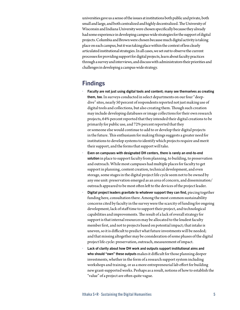universities gave us a sense of the issues at institutions both public and private, both small and large, and both centralized and highly decentralized. The University of Wisconsin and Indiana University were chosen specifically because they already had some experience in developing campus-wide strategies for the support of digital projects. Columbia and Brown were chosen because much digital activity is taking place on each campus, but it was taking place within the context of less clearly articulated institutional strategies. In all cases, we set out to observe the current processes for providing support for digital projects, learn about faculty practices through a survey and interviews, and discuss with administrators their priorities and challenges in developing a campus-wide strategy.

# **Findings**

- *•* **Faculty are not just using digital tools and content; many see themselves as creating them, too**. In surveys conducted in select departments on our four "deepdive" sites, nearly 50 percent of respondents reported not just making use of digital tools and collections, but also creating them. Though such creation may include developing databases or image collections for their own research projects, 64% percent reported that they intended their digital creations to be primarily for public use, and 72% percent reported that they or someone else would continue to add to or develop their digital projects in the future. This enthusiasm for making things suggests a greater need for institutions to develop systems to identify which projects require and merit their support, and the forms that support will take.
- *•* **Even on campuses with designated DH centers, there is rarely an end-to-end solution** in place to support faculty from planning, to building, to preservation and outreach. While most campuses had multiple places for faculty to get support in planning, content creation, technical development, and even storage, some stages in the digital project life cycle seem not to be owned by any one unit: preservation emerged as an area of concern, and dissemination/ outreach appeared to be most often left to the devices of the project leader.
- *•* **Digital project leaders gravitate to whatever support they can find**, piecing together funding here, consultation there. Among the most common sustainability concerns cited by faculty in the survey were the scarcity of funding for ongoing development, lack of staff time to support their project, and technological capabilities and improvements. The result of a lack of overall strategy for support is that internal resources may be allocated to the loudest faculty member first, and not to projects based on potential impact; that intake is uneven, so it is difficult to predict what future investments will be needed; and that missing altogether may be consideration of some phases of the digital project life cycle: preservation, outreach, measurement of impact.
- *•* **Lack of clarity about how DH work and outputs support institutional aims and who should "own" these outputs** makes it difficult for those planning deeper investments, whether in the form of a research support system including workshops and training, or as a more entrepreneurial lab effort for building new grant-supported works. Perhaps as a result, notions of how to establish the "value" of a project are often quite vague.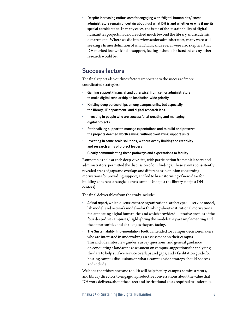*•* **Despite increasing enthusiasm for engaging with "digital humanities," some administrators remain uncertain about just what DH is and whether or why it merits special consideration**. In many cases, the issue of the sustainability of digital humanities projects had not reached much beyond the library and academic departments. Where we did interview senior administrators, many were still seeking a firmer definition of what DH is, and several were also skeptical that DH merited its own kind of support, feeling it should be handled as any other research would be.

# **Success factors**

The final report also outlines factors important to the success of more coordinated strategies:

- *•* **Gaining support (financial and otherwise) from senior administrators to make digital scholarship an institution-wide priority**
- *•* **Knitting deep partnerships among campus units, but especially the library, IT department, and digital research labs.**
- *•* **Investing in people who are successful at creating and managing digital projects**
- *•* **Rationalizing support to manage expectations and to build and preserve the projects deemed worth saving, without overtaxing support units**
- *•* **Investing in some scale solutions, without overly limiting the creativity and research aims of project leaders**
- *•* **Clearly communicating these pathways and expectations to faculty**

Roundtables held at each deep-dive site, with participation from unit leaders and administrators, permitted the discussion of our findings. These events consistently revealed areas of gaps and overlaps and differences in opinion concerning motivations for providing support, and led to brainstorming of new ideas for building coherent strategies across campus (not just the library, not just DH centers).

The final deliverables from the study include:

- *•* **A final report**, which discusses three organizational archetypes—service model, lab model, and network model—for thinking about institutional motivations for supporting digital humanities and which provides illustrative profiles of the four deep-dive campuses, highlighting the models they are implementing and the opportunities and challenges they are facing.
- *•* **The Sustainability Implementation Toolkit**, intended for campus decision-makers who are interested in undertaking an assessment on their campus. This includes interview guides, survey questions, and general guidance on conducting a landscape assessment on campus; suggestions for analyzing the data to help surface service overlaps and gaps; and a facilitation guide for hosting campus discussions on what a campus-wide strategy should address and include.

We hope that this report and toolkit will help faculty, campus administrators, and library directors to engage in productive conversations about the value that DH work delivers, about the direct and institutional costs required to undertake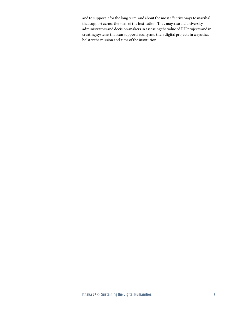and to support it for the long term, and about the most effective ways to marshal that support across the span of the institution. They may also aid university administrators and decision-makers in assessing the value of DH projects and in creating systems that can support faculty and their digital projects in ways that bolster the mission and aims of the institution.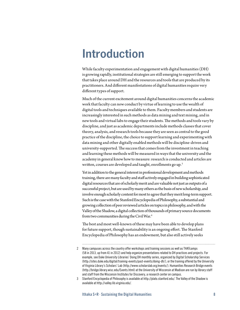# **Introduction**

While faculty experimentation and engagement with digital humanities (DH) is growing rapidly, institutional strategies are still emerging to support the work that takes place around DH and the resources and tools that are produced by its practitioners. And different manifestations of digital humanities require very different types of support.

Much of the current excitement around digital humanities concerns the academic work that faculty can now conduct by virtue of learning to use the wealth of digital tools and techniques available to them. Faculty members and students are increasingly interested in such methods as data mining and text mining, and in new tools and virtual labs to engage their students. The methods and tools vary by discipline, and just as academic departments include methods classes that cover theory, analysis, and research tools because they are seen as central to the good practice of the discipline, the choice to support learning and experimenting with data mining and other digitally enabled methods will be discipline-driven and university-supported. The success that comes from the investment in teaching and learning these methods will be measured in ways that the university and the academy in general know how to measure: research is conducted and articles are written, courses are developed and taught, enrollments go up.<sup>3</sup>

Yet in addition to the general interest in professional development and methods training, there are many faculty and staff actively engaged in building sophisticated digital resources that are of scholarly merit and are valuable not just as outputs of a successful project, but are used by many others as the basis of new scholarship, and involve enough scholarly content for most to agree that they merit long-term support. Such is the case with the Stanford Encyclopedia of Philosophy, a substantial and growing collection of peer reviewed articles on topics in philosophy, and with the Valley of the Shadow, a digital collection of thousands of primary source documents from two communities during the Civil War.<sup>4</sup>

The best and most well-known of these may have been able to develop plans for future support, though sustainability is an ongoing effort. The Stanford Encyclopedia of Philosophy has an endowment, but also still actively seeks

<sup>2</sup> Many campuses across the country offer workshops and training sessions as well as THATcamps (58 in 2013, up from 41 in 2012) and help organize presentations related to DH practices and projects. For example, see Duke University Libraries' Doing DH monthly series, organized by Digital Scholarship Services ([http://sites.duke.edu/digital/training-events/past-events/doing-](http://sites.duke.edu/digital/training-events/past-events/doing)dh/), or the training offered by the University of Virginia Library's Scholars' Lab [\(http://www.scholarslab.org/events](http://www.scholarslab.org/events)/). Humanities Research Bridge events ([http://bridge.library.wisc.edu/Events.html\)](http://bridge.library.wisc.edu/Events.html) at the University of Wisconsin at Madison are run by library staff and staff from the Wisconsin Institutes for Discovery, a research center on campus.

<sup>3</sup> Stanford Encyclopedia of Philosophy is available at [http://plato.stanford.edu/](http://plato.stanford.edu). The Valley of the Shadow is available at [http://valley.lib.virginia.edu/](http://valley.lib.virginia.edu).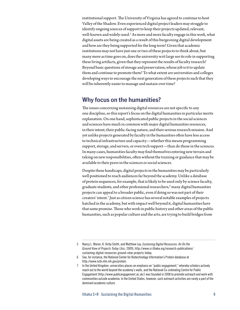institutional support. The University of Virginia has agreed to continue to host Valley of the Shadow. Even experienced digital project leaders may struggle to identify ongoing sources of support to keep their projects updated, relevant, well-known and widely-used.<sup>5</sup> As more and more faculty engage in this work, what digital assets are being created as a result of this burgeoning digital development and how are they being supported for the long term? Given that academic institutions may not have just one or two of these projects to think about, but many more as time goes on, does the university writ large see its role in supporting these living artifacts, given that they represent the results of faculty research? Beyond basic questions of storage and preservation, whose job is it to update them and continue to promote them? To what extent are universities and colleges developing ways to encourage the next generation of these projects such that they will be inherently easier to manage and sustain over time?

## **Why focus on the humanities?**

The issues concerning sustaining digital resources are not specific to any one discipline, so this report's focus on the digital humanities in particular merits explanation. On one hand, sophisticated public projects in the social sciences and sciences have much in common with major digital humanities resources, in their intent, their public-facing nature, and their serious research mission. And yet unlike projects generated by faculty in the humanities often have less access to technical infrastructure and capacity—whether this means programming support, storage, and servers, or even tech support—than do those in the sciences. In many cases, humanities faculty may find themselves entering new terrain and taking on new responsibilities, often without the training or guidance that may be available to their peers in the sciences or social sciences.

Despite these handicaps, digital projects in the humanities may be particularly well positioned to reach audiences far beyond the academy. Unlike a database of protein sequences, for example, that is likely to be used only by science faculty, graduate students, and other professional researchers, $^6$  many digital humanities projects can appeal to a broader public, even if doing so was not part of their creators' intent.7 Just as citizen science has several notable examples of projects hatched in the academy, but with impact well beyond it, digital humanities have that same promise. Those who work in public history and other areas of the public humanities, such as popular culture and the arts, are trying to build bridges from

6 See, for instance, the National Center for Biotechnology Information's Protein database at [http://www.ncbi.nlm.nih.gov/protein.](http://www.ncbi.nlm.nih.gov/protein)

<sup>5</sup> Nancy L. Maron, K. Kirby Smith, and Matthew Loy, *Sustaining Digital Resources: An On the Ground View of Projects Today* (Jisc, 2009), [http://www.sr.ithaka.org/research-publications/](http://www.sr.ithaka.org/research-publications/sustaining-digital-resources-ground-view-projects-today) [sustaining-](http://www.sr.ithaka.org/research-publications/sustaining-digital-resources-ground-view-projects-today)digital-resources-ground-view-projects-today.

<sup>7</sup> In the United Kingdom, universities places an emphasis on "public engagement," whereby scholars actively reach out to the world beyond the academy's walls, and the National Co-ordinating Centre for Public Engagement [\(http://www.publicengagement.ac.uk/](http://www.publicengagement.ac.uk)) was founded in 2008 to promote outreach and work with communities outside academia. In the United States, however, such outreach activities are rarely a part of the dominant academic culture.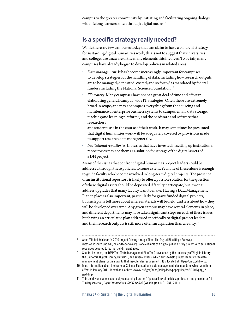campus to the greater community by initiating and facilitating ongoing dialogs with lifelong learners, often through digital means.<sup>8</sup>

# **Is a specific strategy really needed?**

While there are few campuses today that can claim to have a coherent strategy for sustaining digital humanities work, this is not to suggest that universities and colleges are unaware of the many elements this involves. To be fair, many campuses have already begun to develop policies in related areas:

- *• Data management*. It has become increasingly important for campuses to develop strategies for the handling of data, including how research outputs are to be managed, deposited, costed, and so forth, $^{\circ}$  as mandated by federal funders including the National Science Foundation.<sup>10</sup>
- *• IT strategy*. Many campuses have spent a great deal of time and effort in elaborating general, campus-wide IT strategies. Often these are extremely broad in scope, and may encompass everything from the sourcing and maintenance of enterprise business systems to campus email, data storage, teaching and learning platforms, and the hardware and software that researchers

and students use in the course of their work. It may sometimes be presumed that digital humanities work will be adequately covered by provisions made to support research data more generally.

*• Institutional repositories*. Libraries that have invested in setting up institutional repositories may see them as a solution for storage of the digital assets of a DH project.

Many of the issues that confront digital humanities project leaders could be addressed through these policies, to some extent. Yet none of these alone is enough to guide faculty who become involved in long-term digital projects. The presence of an institutional repository is likely to offer a possible solution for the question of where digital assets should be deposited if faculty participate, but it won't address upgrades that many faculty want to make. Having a Data Management Plan in place is also important, particularly for grant-funded digital projects, but such plans tell more about where materials will be held, and less about how they will be developed over time. Any given campus may have several elements in place, and different departments may have taken significant steps on each of these issues, but having an articulated plan addressed specifically to digital project leaders and their research outputs is still more often an aspiration than a reality.<sup>11</sup>

- 10 More information about the National Science Foundation's data management plan mandate, which went into effect in January 2011, is available at [http://www.nsf.gov/pubs/policydocs/pappguide/nsf13001/gpg\\_2.](http://www.nsf.gov/pubs/policydocs/pappguide/nsf13001/gpg_2.jsp#dmp) [jsp](http://www.nsf.gov/pubs/policydocs/pappguide/nsf13001/gpg_2.jsp#dmp)#dmp.
- 11 This point was made, specifically concerning libraries' "general lack of policies, protocols, and procedures," in Tim Bryson et al., *Digital Humanities: SPEC Kit 326* (Washington, D.C.: ARL, 2011).

<sup>8</sup> Anne Mitchell Whisnant's 2010 project Driving through Time: The Digital Blue Ridge Parkway (<http://docsouth.unc.edu/blueridgeparkway>/) is one example of a digital public history project with educational resources devoted to learners of different ages.

<sup>9</sup> See, for instance, the DMP Tool (Data Management Plan Tool) developed by the University of Virginia Library, the California Digital Library, DataONE, and several others, which aims to help project leaders write data management plans for their grants that meet funder requirements. It is located at [https://dmp.cdlib.org/](https://dmp.cdlib.org).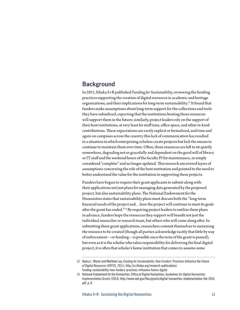# **Background**

In 2011, Ithaka S+R published *Funding for Sustainability*, reviewing the funding practices supporting the creation of digital resources in academic and heritage organizations, and their implications for long-term sustainability.12 It found that funders make assumptions about long-term support for the collections and tools they have subsidized, expecting that the institutions hosting those resources will support them in the future; similarly, project leaders rely on the support of their host institutions, at very least for staff time, office space, and other in-kind contributions. These expectations are rarely explicit or formalized, and time and again on campuses across the country this lack of communication has resulted in a situation in which enterprising scholars create projects but lack the means to continue to maintain them over time. Often, these resources are left to sit quietly somewhere, degrading not so gracefully and dependent on the good will of library or IT staff and the weekend hours of the faculty PI for maintenance, or simply considered "complete" and no longer updated. This research uncovered layers of assumptions concerning the role of the host institution and pointed to the need to better understand the value for the institution in supporting these projects.

Funders have begun to require their grant applicants to submit along with their applications not just plans for managing data generated by the proposed project, but also sustainability plans. The National Endowment for the Humanities states that sustainability plans must discuss both the "long-term financial needs of the project and…how the project will continue to meet its goals after the grant has ended."<sup>13</sup> By requiring project leaders to outline these plans in advance, funders hope the resources they support will benefit not just the individual researcher or research team, but others who will come along after. In submitting these grant applications, researchers commit themselves to sustaining the resource to be created (though all parties acknowledge tacitly that little by way of enforcement—or funding—is possible once the term of the grant is passed); but even as it is the scholar who takes responsibility for delivering the final digital project, it is often that scholar's home institution that comes to assume some

<sup>12</sup> Nancy L. Maron and Matthew Loy, *Funding for Sustainability: How Funders' Practices Influence the Future of Digital Resources* (HEFCE, 2011), [http://sr.ithaka.org/research-publications/](http://sr.ithaka.org/research-publications/funding-sustainability-how-funders%E2%80%99-practices-influence-future-digital) [funding-sustainability-how-funders-practices-influence-future-digital.](http://sr.ithaka.org/research-publications/funding-sustainability-how-funders%E2%80%99-practices-influence-future-digital)

<sup>13</sup> National Endowment for the Humanities, Office of Digital Humanities, *Guidelines for Digital Humanities Implementation Grants* (2014), [http://www.neh.gov/files/grants/digital-humanities-implementation-feb-2014.](http://www.neh.gov/files/grants/digital-humanities-implementation-feb-2014.pdf) [pdf,](http://www.neh.gov/files/grants/digital-humanities-implementation-feb-2014.pdf) p. 8.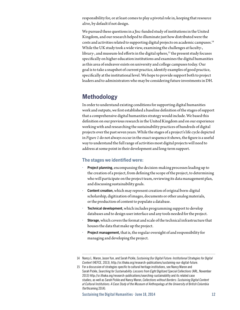responsibility for, or at least comes to play a pivotal role in, keeping that resource alive, by default if not design.

We pursued these questions in a Jisc-funded study of institutions in the United Kingdom, and our research helped to illuminate just how distributed were the costs and activities related to supporting digital projects on academic campuses.14 While the UK study took a wide view, examining the challenges at faculty-, library-, and museum-led efforts in the digital sphere, $15$  the present study focuses specifically on higher education institutions and examines the digital humanities as this area of endeavor exists on university and college campuses today. Our goal is to take a snapshot of current practice, identify examples of good practice, specifically at the institutional level. We hope to provide support both to project leaders and to administrators who may be considering future investments in DH.

# **Methodology**

In order to understand existing conditions for supporting digital humanities work and outputs, we first established a baseline definition of the stages of support that a comprehensive digital humanities strategy would include. We based this definition on our previous research in the United Kingdom and on our experience working with and researching the sustainability practices of hundreds of digital projects over the past seven years. While the stages of a project's life cycle depicted in *Figure 1* do not always occur in the exact sequence it shows, the figure is a useful way to understand the full range of activities most digital projects will need to address at some point in their development and long-term support.

## **The stages we identified were:**

- *•* **Project planning**, encompassing the decision-making processes leading up to the creation of a project, from defining the scope of the project, to determining who will participate on the project team, reviewing its data management plan, and discussing sustainability goals.
- *•* **Content creation**, which may represent creation of original born-digital scholarship, digitization of images, documents or other analog materials, or the production of content to populate a database.
- *•* **Technical development**, which includes programming support to develop databases and to design user interface and any tools needed for the project.
- *•* **Storage**, which covers the format and scale of the technical infrastructure that houses the data that make up the project.
- *•* **Project management**, that is, the regular oversight of and responsibility for managing and developing the project.

<sup>14</sup> Nancy L. Maron, Jason Yun, and Sarah Pickle, *Sustaining Our Digital Future: Institutional Strategies for Digital Content* (HEFCE, 2013), [http://sr.ithaka.org/research-publications/sustaining-](http://sr.ithaka.org/research-publications/sustaining)our-digital-future.

<sup>15</sup> For a discussion of strategies specific to cultural heritage institutions, see Nancy Maron and Sarah Pickle, *Searching for Sustainability: Lessons from Eight Digitized Special Collections* (ARL, November 2013) [http://sr.ithaka.org/research-publications/searching-](http://sr.ithaka.org/research-publications/searching)sustainability and its related case studies; as well as Sarah Pickle and Nancy Maron, *Collections without Borders: Sustaining Digital Content at Cultural Institutions: A Case Study of the Museum of Anthropology at the University of British Columbia* (forthcoming 2014).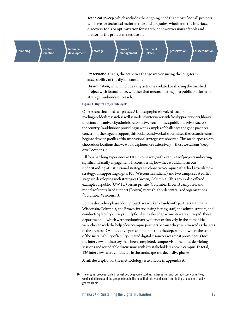*•* **Technical upkeep**, which includes the ongoing need that most if not all projects will have for technical maintenance and upgrades, whether of the interface, discovery tools or optimization for search, or newer versions of tools and platforms the project makes use of.



- *•* **Preservation**, that is, the activities that go into ensuring the long-term accessibility of the digital content.
- *•* **Dissemination**, which includes any activities related to sharing the finished project with its audience, whether that means hosting on a public platform or strategic audience outreach.

#### **Figure 1. Digital project life cycle**

Our research included two phases. A landscape phase involved background reading and desk research as well as in-depth interviews with faculty practitioners, library directors, and university administrators at twelve campuses, public and private, across the country. In addition to providing us with examples of challenges and good practices concerning the stages of support, this background work also permitted the research team to begin to develop profiles of the institutional strategies we observed. This made it possible to choose four locations that we would explore more extensively—those we call our "deepdive" locations<sup>16</sup>

All four had long experience in DH in some way, with examples of projects indicating significant faculty engagement. In considering how they would inform our understanding of institutional strategy, we chose two campuses that had articulated a strategy for supporting digital PIs (Wisconsin, Indiana) and two campuses at earlier stages in developing such strategies (Brown, Columbia). This group also offered examples of public (UW, IU) versus private (Columbia, Brown) campuses, and models of centralized support (Brown) versus highly decentralized organizations (Columbia, Wisconsin).

For the deep-dive phase of our project, we worked closely with partners at Indiana, Wisconsin, Columbia, and Brown, interviewing faculty, staff, and administrators, and conducting faculty surveys. Only faculty in select departments were surveyed; these departments—which were predominantly, but not exclusively, in the humanities were chosen with the help of our campus partners because they were viewed as the sites of the greatest DH-like activity on campus and thus the departments where the issue of the sustainability of faculty-created digital resources was most prominent. Once the interviews and surveys had been completed, campus visits included debriefing sessions and roundtable discussions with key stakeholders at each campus. In total, 126 interviews were conducted in the landscape and deep-dive phases.

A full description of the methodology is available in appendix A.

<sup>16</sup> The original proposal called for just two deep-dive studies. In discussion with our advisory committee, we decided to expand the group to four, in the hope that this would permit our findings to be more easily generalizable.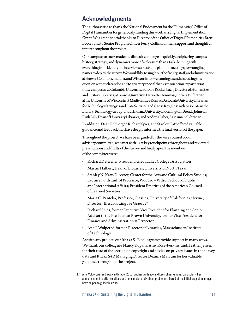# **Acknowledgments**

The authors wish to thank the National Endowment for the Humanities' Office of Digital Humanities for generously funding this work as a Digital Implementation Grant. We extend special thanks to Director of the Office of Digital Humanities Brett Bobley and to Senior Program Officer Perry Collins for their support and thoughtful input throughout the project.

Our campus partners made the difficult challenge of quickly deciphering campus history, strategy, and dynamics more of a pleasure than a task, helping with everything from identifying interview subjects and planning meetings, to wrangling names to deploy the survey. We would like to single out the faculty, staff, and administration at Brown, Columbia, Indiana, and Wisconsin for welcoming us and discussing this question with such candor, and to give very special thanks to our primary partners at those campuses: at Columbia University, Barbara Rockenbach, Director of Humanities and History Libraries; at Brown University, Harriette Hemmasi, university librarian; at the University of Wisconsin at Madison, Lee Konrad, Associate University Librarian for Technology Strategies and Data Services, and Carrie Roy, Research Associate in the Library Technology Group; and at Indiana University Bloomington, Brenda Johnson, Ruth Lilly Dean of University Libraries, and Andrew Asher, Assessment Librarian.

In addition, Dean Rehberger, Richard Spies, and Stanley Katz offered valuable guidance and feedback that have deeply informed the final version of the paper.

Throughout the project, we have been guided by the wise counsel of our advisory committee, who met with us at key touchpoints throughout and reviewed presentations and drafts of the survey and final paper. The members of the committee were:

- *•* Richard Detweiler, President, Great Lakes Colleges Association
- *•* Martin Halbert, Dean of Libraries, University of North Texas
- *•* Stanley N. Katz, Director, Center for the Arts and Cultural Policy Studies; Lecturer with rank of Professor, Woodrow Wilson School of Public and International Affairs; President Emeritus of the American Council of Learned Societies
- *•* Maria C. Pantelia, Professor, Classics, University of California at Irvine; Director, Thesarus Linguae Graecae®
- *•* Richard Spies, former Executive Vice President for Planning and Senior Advisor to the President at Brown University, former Vice President for Finance and Administration at Princeton
- Ann J. Wolpert,<sup>17</sup> former Director of Libraries, Massachusetts Institute of Technology.

As with any project, our Ithaka S+R colleagues provide support in many ways. We thank our colleagues Nancy Kopans, Amy Rose-Perkins, andHeather Jensen for their read of the section on copyright and advice on privacy issues in the survey data and Ithaka S+R Managing Director Deanna Marcum for her valuable guidance throughout the project.

<sup>17</sup> Ann Wolpert passed away in October 2013, but her guidance and keen observations, particularly her admonishment to offer solutions and not simply to talk about problems, shared at the initial project meetings, have helped to guide this work.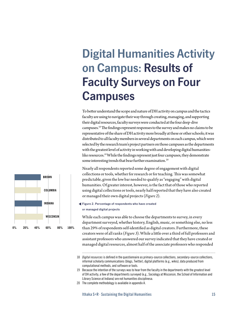# **Digital Humanities Activity on Campus: Results of Faculty Surveys on Four Campuses**

To better understand the scope and nature of DH activity on campus and the tactics faculty are using to navigate their way through creating, managing, and supporting their digital resources, faculty surveys were conducted at the four deep-dive campuses.18 The findings represent responses to the survey and makes no claims to be representative of the share of DH activity more broadly at these or other schools; it was distributed to all faculty members in several departments on each campus, which were selected by the research team's project partners on those campuses as the departments with the greatest level of activity in working with and developing digital humanitieslike resources.<sup>19</sup> While the findings represent just four campuses, they demonstrate some interesting trends that bear further examination.<sup>20</sup>

Nearly all respondents reported some degree of engagement with digital collections or tools, whether for research or for teaching. This was somewhat predictable, given the low bar needed to qualify as "engaging" with digital humanities. Of greater interest, however, is the fact that of those who reported using digital collections or tools, nearly half reported that they have also created or managed their own digital projects (*Figure 2*).

**Figure 2. Percentage of respondents who have created or managed digital projects**

While each campus was able to choose the departments to survey, in every department surveyed, whether history, English, music, or something else, no less than 29% of respondents self-identified as digital creators. Furthermore, these creators were of all ranks (*Figure 3*). While a little over a third of full professors and assistant professors who answered our survey indicated that they have created or managed digital resources, almost half of the associate professors who responded



<sup>18</sup> *Digital resources* is defined in the questionnaire as primary-source collections, secondary-source collections, informal scholarly communications (blogs, Twitter), digital platforms (e.g., wikis), data produced from computational methods, and software or tools.

<sup>19</sup> Because the intention of the surveys was to hear from the faculty in the departments with the greatest level of DH activity, a few of the departments surveyed (e.g., Sociology at Wisconsin, the School of Information and Library Science at Indiana) are not humanities disciplinesa.

<sup>20</sup> The complete methodology is available in appendix A.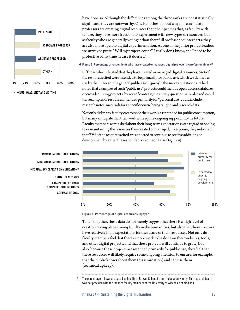

**\*INCLUDING ADJUNCT AND VISITING**

have done so. Although the differences among the three ranks are not statistically significant, they are noteworthy. One hypothesis about why more associate professors are creating digital resources than their peers is that, as faculty with tenure, they have more freedom to experiment with new types of resources, but as faculty who are generally younger than their full professor counterparts, they are also more open to digital experimentation. As one of the junior project leaders we surveyed put it, "Will my project 'count'? I really don't know, and I need to be protective of my time in case it doesn't."

**Figure 3. Percentage of respondents who have created or managed digital projects, by professional rank21**

Of those who indicated that they have created or managed digital resources, 64% of the resources cited were intended to be primarily for public use, which we defined as use by their peers or the general public (*see Figure 4*). The survey questionnaire had noted that examples of such "public use" projects could include open-access databases or crowdsourcing projects; by way of contrast, the survey questionnaire also indicated that examples of resources intended primarily for "personal use" could include research notes, materials for a specific course being taught, and research data.

Not only did many faculty creators see their works as intended for public consumption, but many anticipate that their work will require ongoing support into the future. Faculty members were asked about their long-term expectations with regard to adding to or maintaining the resources they created or managed; in response, they indicated that 72% of the resources cited are expected to continue to receive additions or development by either the respondent or someone else (*Figure 4*).



**PRIMARY-SOURCE COLLECTIONS SOFTWARE/TOOLS DATA PRODUCED FROM COMPUTATIONAL METHODS DIGITAL PLATFORMS INFORMAL SCHOLARLY COMMUNICATIONS SECONDARY-SOURCE COLLECTIONS**

Taken together, these data do not merely suggest that there is a high level of creation taking place among faculty in the humanities, but also that these creators have relatively high expectations for the future of their resources. Not only do faculty members feel that there is more work to be done on their websites, tools, and other digital projects, and that these projects will continue to grow; but also, because these projects are intended primarily for public use, they feel that these resources will likely require some ongoing attention to ensure, for example, that the public knows about them (dissemination) and can use them (technical upkeep).

21 The percentages shown are based on faculty at Brown, Columbia, and Indiana University. The research team was not provided with the ranks of faculty members at the University of Wisconsin at Madison.

**Figure 4. Percentage of digital resources, by type**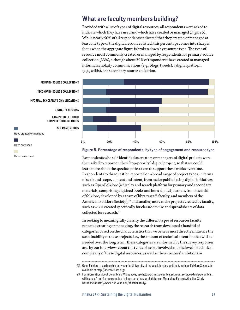# **What are faculty members building?**

Provided with a list of types of digital resources, all respondents were asked to indicate which they have used and which have created or managed (*Figure 5*). While nearly 50% of all respondents indicated that they created or managed at least one type of the digital resources listed, this percentage comes into sharper focus when the aggregate figure is broken down by resource type. The type of resource most commonly created or managed by respondents is a primary-source collection (33%), although about 20% of respondents have created or managed informal scholarly communications (e.g., blogs, tweets), a digital platform (e.g., wikis), or a secondary-source collection.



#### **Figure 5. Percentage of respondents, by type of engagement and resource type**

Respondents who self-identified as creators or managers of digital projects were then asked to report on their "top-priority" digital project, so that we could learn more about the specific paths taken to support these works over time. Respondents to this question reported on a broad range of project types, in terms of scale and scope, content and intent, from major public-facing digital initiatives, such as OpenFolklore (a display and search platform for primary and secondary materials, comprising digitized books and born-digital journals, from the field of folklore, developed by a team of library staff, faculty, and members of the American Folklore Society), $22$  and smaller, more niche projects created by faculty, such as wikis created specifically for classroom use and spreadsheets of data collected for research.23

In seeking to meaningfully classify the different types of resources faculty reported creating or managing, the research team developed a handful of categories based on the characteristics that we believe most directly influence the sustainability of these projects, i.e., the amount of technical attention that will be needed over the long term. These categories are informed by the survey responses and by our interviews about the types of assets involved and the level of technical complexity of these digital resources, as well as their creators' ambitions in



**SOFTWARE/TOOLS**

Have created or managed

Have only used

Have never used

<sup>22</sup> Open Folklore, a partnership between the University of Indiana Libraries and the American Folklore Society, is available at [http://openfolklore.org/](http://openfolklore.org).

<sup>23</sup> For information about Columbia's Wikispaces, see [http://ccnmtl.columbia.edu/our\\_services/tools/columbia\\_](http://ccnmtl.columbia.edu/our_services/tools/columbia_wikispaces) [wikispaces](http://ccnmtl.columbia.edu/our_services/tools/columbia_wikispaces)/, and for an example of a large set of research data, see Myra Marx Ferree's Abortion Study Database at [http://www.ssc.wisc.edu/abortionstudy/](http://www.ssc.wisc.edu/abortionstudy).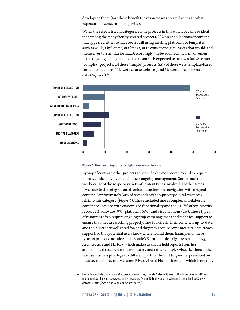developing them (for whose benefit the resource was created and with what expectations concerning longevity).

When the research team categorized the projects in this way, it became evident that among the many faculty-created projects, 70% were collections of content that appeared either to have been built using existing platforms or templates, such as wikis, OnCourse, or Omeka, or to consist of digital assets that would lend themselves to a similar format. Accordingly, the level of technical involvement in the ongoing management of the resource is expected to be low relative to more "complex" projects. Of these "simple" projects, 55% of these were template-based content collections, 11% were course websites, and 3% were spreadsheets of data (*Figure 6*).24



#### **Figure 6. Number of top-priority digital resources, by type**

By way of contrast, other projects appeared to be more complex and to require more technical involvement in their ongoing management. Sometimes this was because of the scope or variety of content types involved; at other times it was due to the integration of tools and customized navigation with original content. Approximately 30% of respondents' top-priority digital resources fell into this category (*Figure 6*). These included more complex and elaborate content collections with customized functionality and tools (13% of top-priority resources), software (9%), platforms (6%), and visualizations (2%). These types of resources often require ongoing project management and technical support to ensure that they are working properly, they look fresh, their content is up-to-date, and their users are well cared for, and they may require some measure of outreach support, so that potential users know where to find them. Examples of these types of projects include Sheila Bonde's Saint-Jean-des-Vignes: Archaeology, Architecture and History, which makes available field reports from her archeological research at the monastery and rather complex visualizations of the site itself, access privileges to different parts of the building model presented on the site, and more, and Massimo Riva's Virtual Humanities Lab, which is not only

<sup>24</sup> Examples include Columbia's WikiSpace course sites, Brenda Nelson-Strauss's Black Grooves WordPress music review blog ([http://www.blackgrooves.org/](http://www.blackgrooves.org)), and Robert Hauser's Wisconsin Longitudinal Survey datasets [\(http://www.ssc.wisc.edu/wlsresearch](http://www.ssc.wisc.edu/wlsresearch)/).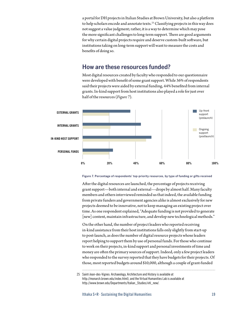a portal for DH projects in Italian Studies at Brown University, but also a platform to help scholars encode and annotate texts.<sup>25</sup> Classifying projects in this way does not suggest a value judgment; rather, it is a way to determine which may pose the more significant challenges to long-term support. There are good arguments for why certain digital projects require and deserve custom-built software, but institutions taking on long-term support will want to measure the costs and benefits of doing so.

## **How are these resources funded?**

Most digital resources created by faculty who responded to our questionnaire were developed with benefit of some grant support. While 36% of respondents said their projects were aided by external funding, 44% benefited from internal grants. In-kind support from host institutions also played a role for just over half of the resources (*Figure 7*).



#### **Figure 7. Percentage of respondents' top-priority resources, by type of funding or gifts received**

After the digital resources are launched, the percentage of projects receiving grant support—both internal and external—drops by almost half. Many faculty members and others interviewed reminded us that indeed, the available funding from private funders and government agencies alike is almost exclusively for new projects deemed to be innovative, not to keep managing an existing project over time. As one respondent explained, "Adequate funding is not provided to generate [new] content, maintain infrastructure, and develop new technological methods."

On the other hand, the number of project leaders who reported receiving in-kind assistance from their host institutions falls only slightly from start-up to post-launch, as does the number of digital resource projects whose leaders report helping to support them by use of personal funds. For those who continue to work on their projects, in-kind support and personal investments of time and money are often the primary sources of support. Indeed, only a few project leaders who responded to the survey reported that they have budgets for their projects. Of those, most reported budgets around \$10,000, although a couple of grant-funded

<sup>25</sup> Saint-Jean-des-Vignes: Archaeology, Architecture and History is available at [http://monarch.brown.edu/index.html\)](http://monarch.brown.edu/index.html), and the Virtual Humanities Lab is available at [http://www.brown.edu/Departments/Italian\\_Studies/vhl\\_new/](http://www.brown.edu/Departments/Italian_Studies/vhl_new).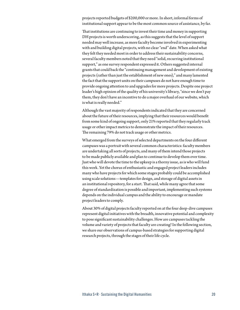projects reported budgets of \$200,000 or more. In short, informal forms of institutional support appear to be the most common source of assistance, by far.

That institutions are continuing to invest their time and money in supporting DH projects is worth underscoring, as this suggests that the level of support needed may well increase, as more faculty become involved in experimenting with and building digital projects, with no clear "end" date. When asked what they felt they needed most in order to address their sustainability concerns, several faculty members noted that they need "solid, recurring institutional support," as one survey respondent expressed it. Others suggested internal grants that could back the "continuing management and development of existing projects (rather than just the establishment of new ones)," and many lamented the fact that the support units on their campuses do not have enough time to provide ongoing attention to and upgrades for more projects. Despite one project leader's high opinion of the quality of his university's library, "since we don't pay them, they don't have an incentive to do a major overhaul of our website, which is what is really needed."

Although the vast majority of respondents indicated that they are concerned about the future of their resources, implying that their resources would benefit from some kind of ongoing support, only 21% reported that they regularly track usage or other impact metrics to demonstrate the impact of their resources. The remaining 79% do not track usage or other metrics.

What emerged from the surveys of selected departments on the four different campuses was a portrait with several common characteristics: faculty members are undertaking all sorts of projects, and many of them intend those projects to be made publicly available and plan to continue to develop them over time. Just who will devote the time to the upkeep is a thorny issue, as is who will fund this work. Yet the chorus of enthusiastic and engaged project leaders includes many who have projects for which some stages probably could be accomplished using scale solutions—templates for design, and storage of digital assets in an institutional repository, for a start. That said, while many agree that some degree of standardization is possible and important, implementing such systems depends on the individual campus and the ability to encourage or mandate project leaders to comply.

About 30% of digital projects faculty reported on at the four deep-dive campuses represent digital initiatives with the breadth, innovative potential and complexity to pose significant sustainability challenges. How are campuses tackling the volume and variety of projects that faculty are creating? In the following section, we share our observations of campus-based strategies for supporting digital research projects, through the stages of their life cycle.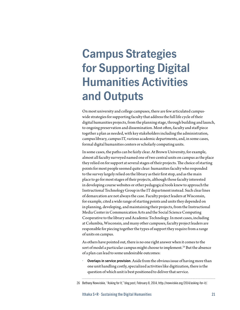# **Campus Strategies for Supporting Digital Humanities Activities and Outputs**

On most university and college campuses, there are few articulated campuswide strategies for supporting faculty that address the full life cycle of their digital humanities projects, from the planning stage, through building and launch, to ongoing preservation and dissemination. Most often, faculty and staff piece together a plan as needed, with key stakeholders including the administration, campus library, campus IT, various academic departments, and, in some cases, formal digital humanities centers or scholarly computing units.

In some cases, the paths can be fairly clear. At Brown University, for example, almost all faculty surveyed named one of two central units on campus as the place they relied on for support at several stages of their projects. The choice of starting points for most people seemed quite clear: humanities faculty who responded to the survey largely relied on the library as their first stop, and as the main place to go for most stages of their projects, although those faculty interested in developing course websites or other pedagogical tools knew to approach the Instructional Technology Group in the IT department instead. Such clear lines of demarcation are not always the case. Faculty project leaders at Wisconsin, for example, cited a wide range of starting points and units they depended on in planning, developing, and maintaining their projects, from the Instructional Media Center in Communication Arts and the Social Science Computing Cooperative to the library and Academic Technology. In most cases, including at Columbia, Wisconsin, and many other campuses, faculty project leaders are responsible for piecing together the types of support they require from a range of units on campus.

As others have pointed out, there is no one right answer when it comes to the sort of model a particular campus might choose to implement.<sup>26</sup> But the absence of a plan can lead to some undesirable outcomes:

*•* **Overlaps in service provision**. Aside from the obvious issue of having more than one unit handling costly, specialized activities like digitization, there is the question of which unit is best positioned to deliver that service.

<sup>26</sup> Bethany Nowviskie, "Asking for It," blog post, February 8, 2014, [http://nowviskie.org/2014/asking-](http://nowviskie.org/2014/asking)for-it/.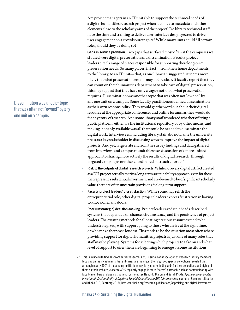Are project managers in an IT unit able to support the technical needs of a digital humanities research project when it comes to metadata and other elements close to the scholarly aims of the project? Do library technical staff have the time and training to deliver user-interface design geared to drive user engagement on a crowdsourcing site? While many units could fill certain roles, should they be doing so?

- *•* **Gaps in service provision**. Two gaps that surfaced most often at the campuses we studied were digital preservation and dissemination. Faculty project leaders cited a range of places responsible for supporting their long-term preservation needs. So many places, in fact—from their home departments, to the library, to an IT unit—that, as one librarian suggested, it seems more likely that what preservation entails may not be clear. If faculty report that they can count on their humanities department to take care of digital preservation, this may suggest that they have only a vague notion of what preservation requires. Dissemination was another topic that was often not "owned" by any one unit on a campus. Some faculty practitioners defined dissemination as their own responsibility: They would get the word out about their digital resource at the appropriate conferences and online forums, as they would do for any work of research. And some library staff wondered whether offering a public platform, either via the institutional repository or by other means, and making it openly available was all that would be needed to disseminate the digital work. Interviewees, including library staff, did not name the university press as a key stakeholder in discussing ways to improve the impact of digital projects. And yet, largely absent from the survey findings and data gathered from interviews and campus roundtables was discussion of a more unified approach to sharing more actively the results of digital research, through targeted campaigns or other coordinated outreach efforts.<sup>27</sup>
- *•* **Risk to the outputs of digital research projects**. While not every digital artifact created as a DH project actually merits a long-term sustainability approach, even for those that represent a substantial investment and are deemed to be of significant scholarly value, there are often uncertain provisions for long-term support.
- *•* **Faculty project leaders' dissatisfaction**. While some may relish the entrepreneurial role, other digital project leaders express frustration in having to knock on many doors.
- *•* **Poor (unstrategic) decision-making**. Project leaders and unit heads described systems that depended on chance, circumstance, and the persistence of project leaders. The existing methods for allocating precious resources tend to be understrategized, with support going to those who arrive at the right time, or who make their case loudest. This tends to be the situation most often where providing support for digital humanities projects is just one of many roles that staff may be playing. Systems for selecting which projects to take on and what level of support to offer them are beginning to emerge at some institutions

Dissemination was another topic that was often not "owned" by any one unit on a campus.

<sup>27</sup> This is in line with findings from earlier research. A 2012 survey of Association of Research Library members focusing on the investments these libraries are making in their digitized special collections revealed that, although nearly 80% of responding institutions regularly create finding aids for their collections and highlight them on their website, closer to 43% regularly engage in more "active" outreach, such as communicating with faculty members or class instruction. For more, see Nancy L. Maron and Sarah Pickle, *Appraising Our Digital Investment: Sustainability of Digitized Special Collections in ARL Libraries* (Association of Research Libraries and Ithaka S+R, February 2013),<http://sr.ithaka.org/research-publications/appraising-our-digital-investment>.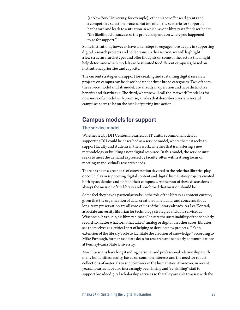(at New York University, for example); other places offer seed grants and a competitive selection process. But too often, the scenario for support is haphazard and leads to a situation in which, as one library staffer described it, "the likelihood of success of the project depends on where you happened to go for support."

Some institutions, however, have taken steps to engage more deeply in supporting digital research projects and collections. In this section, we will highlight a few structural archetypes and offer thoughts on some of the factors that might help determine which models are best suited for different campuses, based on institutional priorities and capacity.

The current strategies of support for creating and sustaining digital research projects on campus can be described under three broad categories. Two of them, the service model and lab model, are already in operation and have distinctive benefits and drawbacks. The third, what we will call the "network" model, is for now more of a model with promise, an idea that describes a system several campuses seem to be on the brink of putting into action.

# **Campus models for support**

## **The service model**

Whether led by DH Centers, libraries, or IT units, a common model for supporting DH could be described as a service model, where the unit seeks to support faculty and students in their work, whether that is mastering a new methodology or building a new digital resource. In this model, the service unit seeks to meet the demand expressed by faculty, often with a strong focus on meeting an individual's research needs.

There has been a great deal of conversation devoted to the role that libraries play or could play in supporting digital content and digital humanities projects created both by academics and staff on their campuses. At the root of these discussions is always the mission of the library and how broad that mission should be.

Some feel they have a particular stake in the role of the library as content curator, given that the organization of data, creation of metadata, and concerns about long-term preservation are all core values of the library already. As Lee Konrad, associate university librarian for technology strategies and data services at Wisconsin, has put it, his library aims to "ensure the sustainability of the scholarly record no matter what form that takes," analog or digital. In other cases, libraries see themselves as a critical part of helping to develop new projects. "It's an extension of the library's role to facilitate the creation of knowledge," according to Mike Furlough, former associate dean for research and scholarly communications at Pennsylvania State University.

Most librarians have longstanding personal and professional relationships with many humanities faculty, based on common interests and the need for robust collections of materials to support work in the humanities. Moreover, in recent years, libraries have also increasingly been hiring and "re-skilling" staff to support broader digital scholarship services so that they are able to assist with the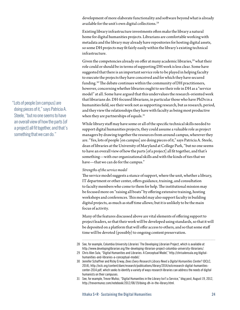development of more elaborate functionality and software beyond what is already available for the unit's own digital collections.<sup>28</sup>

Existing library infrastructure investments often make the library a natural home for digital humanities projects. Librarians are comfortable working with metadata and the library may already have repositories for hosting digital assets, so some DH projects may fit fairly easily within the library's existing technical infrastructure.

Given the competencies already on offer at many academic libraries, $29$  what their role could or should be in terms of supporting DH work is less clear. Some have suggested that there is an important service role to be played in helping faculty to execute the projects they have conceived and for which they have secured funding.30 The debate continues within the community of DH practitioners, however, concerning whether libraries ought to see their role in DH as a "service model" at all. Some have argued that this undervalues the research-oriented work that librarians do. DH-focused librarians, in particular those who have PhDs in a humanities field, see their work not as supporting research, but as research, period, and they view the relationships they have with faculty as being most productive when they are partnerships of equals.<sup>31</sup>

While library staff may have some or all of the specific technical skills needed to support digital humanities projects, they could assume a valuable role as project managers by drawing together the resources from around campus, wherever they are. "Yes, lots of people [on campus] are doing pieces of it," says Patricia A. Steele, dean of libraries at the University of Maryland at College Park, "but no one seems to have an overall view of how the parts [of a project] all fit together, and that's something—with our organizational skills and with the kinds of ties that we have—that we can do for the campus."

### *Strengths of the service model*

The service model suggests a stance of support, where the unit, whether a library, IT department or other center, offers guidance, training, and consultation to faculty members who come to them for help. The institutional mission may be focused more on "raising all boats" by offering extensive training, hosting workshops and conferences. This model may also support faculty in building digital projects, as much as staff time allows; but it is unlikely to be the main focus of activity.

Many of the features discussed above are vital elements of offering support to project leaders, so that their work will be developed using standards, so that it will be deposited on a platform that will offer access to others, and so that some staff time will be devoted (possibly) to ongoing content preservation.

 "Lots of people [on campus] are doing pieces of it," says Patricia A. Steele, "but no one seems to have an overall view of how the parts [of a project] all fit together, and that's something that we can do."

<sup>28</sup> See, for example, Columbia University Libraries' The Developing Librarian Project, which is available at [http://www.developinglibrarian.org/the-](http://www.developinglibrarian.org/the)developing-librarian-project-columbia-university-librarians/.

<sup>29</sup> Chris Alen Sula, "Digital Humanities and Libraries: A Conceptual Model,"<http://chrisalensula.org/digital>humanities-and-libraries-a-conceptual-model/.

<sup>30</sup> Jennifer Schaffner and Ricky Erway, *Does Every Research Library Need a Digital Humanities Center?* (OCLC, 2014), [http://oclc.org/content/dam/research/publications/library/2014/oclcresearch-digital-humanities](http://oclc.org/content/dam/research/publications/library/2014/oclcresearch-digital-humanities-center-2014.pdf)[center-2014.pdf,](http://oclc.org/content/dam/research/publications/library/2014/oclcresearch-digital-humanities-center-2014.pdf) which seeks to identify a variety of ways research libraries can address the needs of digital humanists on their campuses.

<sup>31</sup> See, for example, Trevor Muñoz, "Digital Humanities in the Library Isn't a Service," blog post, August 19, 2012, [http://trevormunoz.com/notebook/2012/08/19/doing-dh-in-the-library.html.](http://trevormunoz.com/notebook/2012/08/19/doing-dh-in-the-library.html)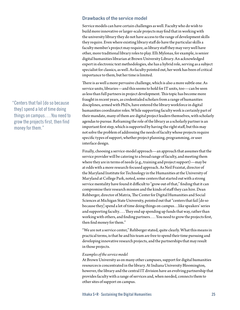### **Drawbacks of the service model**

Service models can have certain challenges as well. Faculty who do wish to build more innovative or larger-scale projects may find that in working with the university library they do not have access to the range of development skills they require. Even where existing library staff do have the particular skills a faculty member's project may require, as library staff they may very well have other, more traditional library roles to play. Elli Mylonas, for example, is senior digital humanities librarian at Brown University Library. An acknowledged expert in electronic text methodologies, she has a hybrid role, serving as a subject specialist for classics, as well. As faculty pointed out, her work has been of critical importance to them, but her time is limited.

There is as well a more pervasive challenge, which is also a more subtle one. As service units, libraries—and this seems to hold for IT units, too—can be seen as less than full partners in project development. This topic has become more fraught in recent years, as credentialed scholars from a range of humanities disciplines, armed with PhDs, have entered the library workforce in digital humanities coordinator roles. While supporting faculty work is certainly part of their mandate, many of them are digital project leaders themselves, with scholarly agendas to pursue. Reframing the role of the library as a scholarly partner is an important first step, which is supported by having the right staff, but this may not solve the problem of addressing the needs of faculty whose projects require specific types of support, whether project planning, programming, or user interface design.

Finally, choosing a service-model approach—an approach that assumes that the service provider will be catering to a broad range of faculty, and meeting them where they are in terms of needs (e.g., training and project support)—may be at odds with a more research-focused approach. As Neil Fraistat, director of the Maryland Institute for Technology in the Humanities at the University of Maryland at College Park, noted, some centers that started out with a strong service mentality have found it difficult to "grow out of that," finding that it can compromise their research mission and the kinds of staff they can hire. Dean Rehberger, director of Matrix, The Center for Digital Humanities and Social Sciences at Michigan State University, pointed out that "centers that fail [do so because they] spend a lot of time doing things on campus…like speakers' series and supporting faculty.... They end up spending up funds that way, rather than working with others, and finding partners. . . . You need to grow the projects first, then find money for them."

"We are not a service center," Rehberger stated, quite clearly. What this means in practical terms, is that he and his team are free to spend their time pursuing and developing innovative research projects, and the partnerships that may result in those projects.

### *Examples of the service model*

At Brown University as on many other campuses, support for digital humanities resources is concentrated in the library. At Indiana University Bloomington, however, the library and the central IT division have an evolving partnership that provides faculty with a range of services and, when needed, connects them to other sites of support on campus.

 "Centers that fail [do so because they] spend a lot of time doing things on campus….You need to grow the projects first, then find money for them."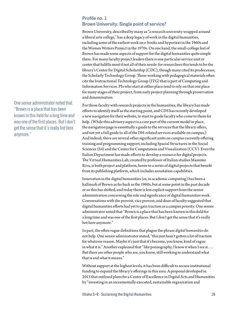## **Profile no. 1 Brown University: Single point of service?**

Brown University, described by many as "a research university wrapped around a liberal arts college," has a deep legacy of work in the digital humanities, including some of the earliest work on e-books and hypertext in the 1960s and the Women Writers Project in the 1970s. On one hand, the small-college feel of Brown has made some aspects of support for the digital humanities quite simple there. For many faculty project leaders there is one particular service unit or center that fulfills most if not all of their needs: for researchers this tends to be the library's Center for Digital Scholarship (CDC), though many cited its predecessor, the Scholarly Technology Group. Those working with pedagogical materials often cite the Instructional Technology Group (ITG) that is part of Computing and Information Services. PIs who start at either place tend to rely on that one place for many stages of their project, from early project planning through preservation and dissemination.

For those faculty with research projects in the humanities, the library has made efforts to identify itself as the starting point, and CDS has recently developed a new navigation for their website, to start to guide faculty who come to them for help. (While this advisory aspect is a core part of the current model in place, the navigation page is essentially a guide to the services that the library offers, and not yet a full guide to all of the DH-related services available on campus.) And indeed, there are several other significant units on campus currently offering training and programming support, including Spacial Structures in the Social Sciences (S4) and the Center for Computation and Visualization (CCV). Even the Italian Department has made efforts to develop a resource for digital projects. The Virtual Humanities Lab, created by professor of Italian studies Massimo Riva, is both project and platform, home to a series of digital projects that benefit from its publishing platform, which includes annotation capabilities.

Innovation in the digital humanities (or, in academic computing) has been a hallmark of Brown as far back as the 1960s, but at some point in the past decade or so this has shifted, and today there is less explicit support from the senior administration concerning the role and significance of digital humanities work. Conversations with the provost, vice provost, and dean of faculty suggested that digital humanities efforts had yet to gain traction as a campus priority. One senior administrator noted that "Brown is a place that has been known in this field for a long time and was one of the first places. But I don't get the sense that it's really hot here anymore."

In part, the often vague definitions that plague the phrase *digital humanities* do not help. One senior administrator stated, "this just hasn't gotten a lot of traction for whatever reason. Maybe it's just that it's become, you know, kind of vague in what it is." Another explained that "like pornography, I know it when I see it. . . . But there are other people who are, you know, still working to understand what that is and what it means."

Without support at the highest levels, it has been difficult to secure institutional funding to expand the library's offerings in this area. A proposal developed in 2013 that outlined plans for a Center of Excellence in Digital Arts and Humanities by "investing in an incrementally executed, sustainable organization and

One senior administrator noted that "Brown is a place that has been known in this field for a long time and was one of the first places. But I don't get the sense that it's really hot here anymore."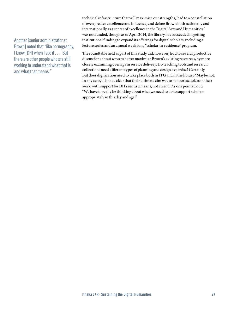## Another [senior administrator at Brown] noted that "like pornography, I know [DH] when I see it . . . . But there are other people who are still working to understand what that is and what that means."

technical infrastructure that will maximize our strengths, lead to a constellation of even greater excellence and influence, and define Brown both nationally and internationally as a center of excellence in the Digital Arts and Humanities," was not funded, though as of April 2014, the library has succeeded in getting institutional funding to expand its offerings for digital scholars, including a lecture series and an annual week-long "scholar-in-residence" program.

The roundtable held as part of this study did, however, lead to several productive discussions about ways to better maximize Brown's existing resources, by more closely examining overlaps in service delivery. Do teaching tools and research collections need different types of planning and design expertise? Certainly. But does digitization need to take place both in ITG and in the library? Maybe not. In any case, all made clear that their ultimate aim was to support scholars in their work, with support for DH seen as a means, not an end. As one pointed out: "We have to really be thinking about what we need to do to support scholars appropriately in this day and age."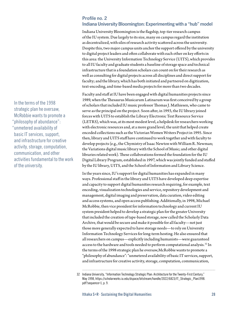## **Profile no. 2**

## **Indiana University Bloomington: Experimenting with a "hub" model**

Indiana University Bloomington is the flagship, top-tier research campus of the IU system. Due largely to its size, many on campus regard the institution as decentralized, with silos of research activity scattered across the university. Despite this, two major campus units anchor the support offered by the university to digital project leaders and often collaborate with each other on key efforts in this area: the University Information Technology Service (UITS), which provides to all IU faculty and graduate students a baseline of storage space and technical infrastructure that is a foundation scholars can count on for their research as well as consulting for digital projects across all disciplines and direct support for faculty; and the library, which has both initiated and partnered on digitization, text-encoding, and time-based media projects for more than two decades.

Faculty and staff at IU have been engaged with digital humanities projects since 1989, when the Thesaurus Musicarum Latinarum was first conceived by a group of scholars that included IU music professor Thomas J. Mathiesen, who came to serve as the principal on the project. Soon after, in 1993, the IU library joined forces with UITS to establish the Library Electronic Text Resource Service (LETRS), which was, at its most modest level, a helpdesk for researchers working with electronic resources and, at a more grand level, the unit that helped create encoded collections such as the Victorian Women Writers Project in 1995. Since then, library and UITS staff have continued to work together and with faculty to develop projects (e.g., the Chymistry of Isaac Newton with William R. Newman; the Variations digital music library with the School of Music; and other digital libraries related work). These collaborations formed the foundation for the IU Digital Library Program, established in 1997, which was jointly funded and staffed by the IU library, UITS, and the School of Information and Library Science.

In the years since, IU's support for digital humanities has expanded in many ways. Professional staff in the library and UITS have developed deep expertise and capacity to support digital humanities research requiring, for example, text encoding, visualization technologies and service, repository development and management, digital imaging and preservation, data curation, video editing and access systems, and open access publishing. Additionally, in 1998, Michael McRobbie, then vice president for information technology and current IU system president helped to develop a strategic plan for the greater University that included the creation of tape-based storage, now called the Scholarly Data Archive, that would be secure and make it possible for all faculty—not just those more generally expected to have storage needs—to rely on University Information Technology Services for long-term hosting. He also ensured that all researchers on campus—explicitly including humanists—were guaranteed access to the hardware and tools needed to perform computational analysis.<sup>32</sup> In the terms of the 1998 strategic plan he oversaw,McRobbie wants to promote a "philosophy of abundance": "unmetered availability of basic IT services, support, and infrastructure for creative activity, storage, computation, communication,

In the terms of the 1998 strategic plan he oversaw, McRobbie wants to promote a "philosophy of abundance": "unmetered availability of basic IT services, support, and infrastructure for creative activity, storage, computation, communication, and other activities fundamental to the work of the university.

<sup>32</sup> Indiana University, "Information Technology Strategic Plan: Architecture for the Twenty-First Century," May 1998, [https://scholarworks.iu.edu/dspace/bitstream/handle/2022/6823/IT\\_Strategic\\_Plan1998.](https://scholarworks.iu.edu/dspace/bitstream/handle/2022/6823/IT_Strategic_Plan1998.pdf?sequence=1,) [pdf?sequence=1,](https://scholarworks.iu.edu/dspace/bitstream/handle/2022/6823/IT_Strategic_Plan1998.pdf?sequence=1,) p. 9.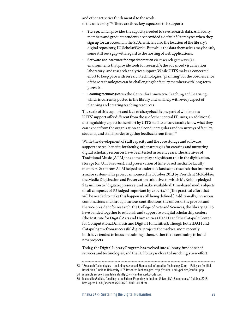and other activities fundamental to the work of the university."33 There are three key aspects of this support:

- *•* **Storage**, which provides the capacity needed to save research data. All faculty members and graduate students are provided a default 50 terabytes when they sign up for an account in the SDA, which is also the location of the library's digital repository, IU ScholarWorks. But while the data themselves may be safe, some still see a gap with regard to the hosting of web applications.
- *•* **Software and hardware for experimentation** via research gateways (i.e., environments that provide tools for research); the advanced visualization laboratory; and research analytics support. While UITS makes a concerted effort to keep pace with research technologies, "planning" for the obsolescence of these technologies can be challenging for faculty members with long-term projects.
- *•* **Learning technologies** via the Center for Innovative Teaching and Learning, which is currently posted in the library and will help with every aspect of planning and creating teaching resources.

The scale of this support and lack of chargeback is one part of what makes UITS' support offer different from those of other central IT units; an additional distinguishing aspect is the effort by UITS staff to ensure faculty know what they can expect from the organization and conduct regular random surveys of faculty, students, and staff in order to gather feedback from them.<sup>34</sup>

While the development of staff capacity and the core storage and software support are real benefits for faculty, other strategies for creating and nurturing digital scholarly resources have been tested in recent years. The Archives of Traditional Music (ATM) has come to play a significant role in the digitization, storage (on UITS servers), and preservation of time-based media for faculty members. Staff from ATM helped to undertake landscape research that informed a major system-wide project announced in October 2013 by President McRobbie: the Media Digitization and Preservation Initiative, to which McRobbie pledged \$15 million to "digitize, preserve, and make available all time-based media objects on all campuses of IU judged important by experts."35 (The practical effort that will be needed to make this happen is still being defined.) Additionally, in various combinations and through various contributions, the offices of the provost and the vice president for research, the College of Arts and Sciences, the library, UITS have banded together to establish and support two digital scholarship centers (the Institute for Digital Arts and Humanities (IDAH) and the Catapult Center for Computational Analysis and Digital Humanities). Though both IDAH and Catapult grew from successful digital projects themselves, more recently both have tended to focus on training others, rather than continuing to build new projects.

Today, the Digital Library Program has evolved into a library-funded set of services and technologies, and the IU library is close to launching a new effort

34 A sample survey is available at: [http://www.indiana.edu](http://www.indiana.edu/~uitssur/)/~uitssur/.

<sup>33</sup> "Research Technologies—including Advanced Biomedical Information Technology Core—Policy on Conflict Resolution," Indiana University UITS Research Technologies,<http://rt.uits.iu.edu/policies/conflict.php>.

<sup>35</sup> Michael McRobbie, "Looking to the Future: Preparing for Indiana University's Bicentenary," October, 2013, [http://pres.iu.edu/speeches/2013/20131001-01.shtml.](http://pres.iu.edu/speeches/2013/20131001-01.shtml)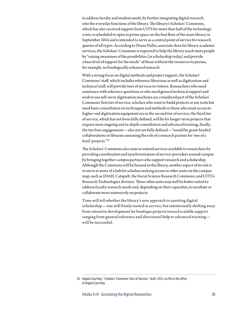to address faculty and student needs, by further integrating digital research into the everyday functions of the library. The library's Scholars' Commons, which has also received support from UITS for more than half of the technology costs, is scheduled to open in prime space on the first floor of the main library in September 2014 and is intended to serve as a central point of service for research queries of all types. According to Diane Dallis, associate dean for library academic services, the Scholars' Commons is expected to help the library reach more people by "raising awareness of the possibilities [in scholarship today] and provide a base level of support for the needs" of those without the resources to pursue, for example, technologically enhanced research.

With a strong focus on digital methods and project support, the Scholars' Commons' staff, which includes reference librarians as well as digitization and technical staff, will provide tiers of services to visitors. Researchers who need assistance with reference questions or who need general technical support and wish to use self-serve digitization machines are considered part of the Scholars' Commons' first tier of service; scholars who want to build projects or use tools but need basic consultation on techniques and methods or those who want access to higher-end digitization equipment are in the second tier of service; the third tier of service, which has not been fully defined, will be for longer-term projects that require more ongoing and in-depth consultation and advanced training; finally, the tier four engagements—also not yet fully defined—"would be grant-funded collaborations or libraries assuming the role of a research partner for 'one of a kind' projects."36

The Scholars' Commons also aims to extend services available to researchers by providing coordination and synchronization of service-providers around campus by bringing together campus partners who support research and scholarship. Although the Commons will be housed in the library, another aspect of its role is to serve as more of a hub for scholars seeking access to other units on the campus map, such as IDAH, Catapult, the Social Science Research Commons, and UITS's Research Technologies division. These other units may well be better suited to address faculty research needs and, depending on their capacities, to incubate or collaborate more extensively on projects.

Time will tell whether the library's new approach to assisting digital scholarship—one still firmly rooted in service, but intentionally shifting away from intensive development for boutique projects toward scalable support ranging from general reference and directional help to advanced training will be successful.

<sup>36</sup> Angela Courtney, "Scholars' Commons Tiers of Service," draft, 2013, on file in the office of Angela Courtney.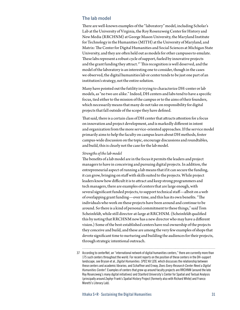## **The lab model**

There are well-known examples of the "laboratory" model, including Scholar's Lab at the University of Virginia, the Roy Rosenzweig Center for History and New Media (RRCHNM) at George Mason University, the Maryland Institute for Technology in the Humanities (MITH) at the University of Maryland, and Matrix: The Center for Digital Humanities and Social Sciences at Michigan State University, and they are often held out as models for other campuses to emulate. These labs represent a robust cycle of support, fueled by innovative projects and the grant funding they attract.<sup>37</sup> This recognition is well deserved, and the model of the laboratory is an interesting one to consider, though in the cases we observed, the digital humanities lab or center tends to be just one part of an institution's strategy, not the entire solution.

Many have pointed out the futility in trying to characterize DH-center or lab models, as "no two are alike." Indeed, DH centers and labs tend to have a specific focus, tied either to the mission of the campus or to the aims of their founders, which necessarily means that many do not take on responsibility for digital projects that fall outside of the scope they have defined.

That said, there is a certain class of DH center that attracts attention for a focus on innovation and project development, and is markedly different in intent and organization from the more service-oriented approaches. If the service model primarily aims to help the faculty on campus learn about DH methods, foster campus-wide discussion on the topic, encourage discussions and roundtables, and build, this is clearly not the case for the lab model.

### *Strengths of the lab model*

The benefits of a lab model are in the focus it permits the leaders and project managers to have in conceiving and pursuing digital projects. In addition, the entrepreneurial aspect of running a lab means that if it can secure the funding, it can grow, bringing on staff with skills suited to the projects. While project leaders know how difficult it is to attract and keep strong programmers and tech managers, there are examples of centers that are large enough, with several significant funded projects, to support technical staff—albeit on a web of overlapping grant funding—over time, and this has its own benefits. "The individuals who work on these projects have been around and continue to be around. So there is a kind of personal commitment to these things," said Tom Scheinfeldt, while still director-at-large at RRCHNM. (Scheinfeldt qualified this by noting that RRCHNM now has a new director who may have a different vision.) Some of the best-established centers have real ownership of the projects they conceive and build, and these are among the very few examples of shops that devote significant time to nurturing and building the audiences for their projects, through strategic intentional outreach.

<sup>37</sup> According to centerNet, an "international network of digital humanities centers," there are currently more than 175 such centers throughout the world. For recent reports on the position of these centers in the DH-support landscape, see Bryson et al., *Digital Humanities: SPEC Kit 326*, which discusses the relationship between these centers and academic libraries; and Schaffner and Erway, *Does Every Research Center Need a Digital Humanities Center?*. Examples of centers that grew up around faculty projects are RRCHNM (around the late Roy Rosenzweig's many digital initiatives) and Stanford University's Center for Spatial and Textual Analysis (principally around Zephyr Frank's Spatial History Project [formerly also with Richard White] and Franco Moretti's Literary Lab).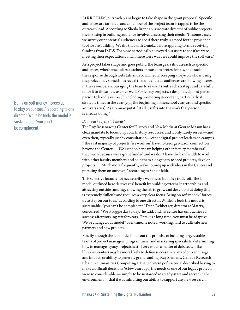At RRCHNM, outreach plans begin to take shape in the grant proposal. Specific audiences are targeted, and a member of the project team is tapped to be the outreach lead. According to Sheila Brennan, associate director of public projects, the first step in building audience involves assessing their needs: "In some cases, we survey our potential audiences to see if there truly is a need for the project or tool we are building. We did that with Omeka before applying to and receiving funding from IMLS. Then, we periodically surveyed our users to see if we were meeting their expectations and if there were ways we could improve the software."

As a project takes shape and goes public, the team gears its outreach to specific audiences, whether scholars, teachers or museum professionals, and tracks the response through webstats and social media. Keeping an eye on who is using the project may sometimes reveal that unexpected audiences are showing interest in the resource, encouraging the team to revise its outreach strategy and carefully tailor it to those new users as well. For legacy projects, a designated point-person person to handle outreach, including promoting its content, particularly at strategic times in the year (e.g., the beginning of the school year, around specific anniversaries). As Brennan put it, "It all just fits into the work that person is already doing."

### *Drawbacks of the lab model*

The Roy Rosenzweig Center for History and New Media at George Mason has a clear mandate to focus on public history resources, and it only rarely serves—and even then, typically just by consultation—other digital project leaders on campus. "The vast majority of projects [we work on] have no George Mason connection beyond the Center. . . . We just don't end up helping other faculty members all that much because we're grant funded and we don't have the bandwidth to work with other faculty members and help them along to try to seed projects, develop projects. . . . Much more frequently, we're coming up with ideas in the Center and pursuing them on our own," according to Scheinfeldt.

This selective focus is not necessarily a weakness, but it is a trade-off. The lab model outlined here derives real benefit by building external partnerships and attracting outside funding, allowing the lab to grow and develop. But doing this is extremely difficult and requires a very clear focus. Being on soft money "forces us to stay on our toes," according to one director. While he feels the model is sustainable, "you can't be complacent." Dean Rehberger, director at Matrix, concurred. "We struggle day to day," he said, and his center has only achieved success after working at it for years. "It takes a long time; you must be adaptive. We've changed our model" over time, he noted, working hard to cultivate new partners and new projects.

Finally, though the lab model holds out the promise of building larger, stable teams of project managers, programmers, and marketing specialists, determining how to manage legacy projects is still very much a matter of debate. Unlike libraries, centers may be more likely to define success in terms of current usage and impact, or ability to generate grant funding. Ray Siemens, Canada Research Chair in Humanities Computing at the University of Victoria, described having to make a difficult decision: "A few years ago, the needs of one of our legacy projects were so considerable — simply to be sustained in steady-state and served in the environment— that it was inhibiting our ability to support any new research.

Being on soft money "forces us to stay on our toes," according to one director. While he feels the model is sustainable, "you can't be complacent."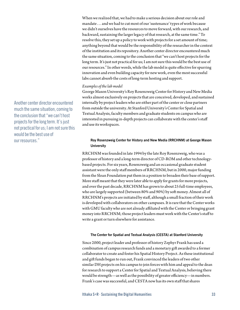When we realized that, we had to make a serious decision about our role and mandate . . . and we had to cut most of our 'sustenance' types of work because we didn't ourselves have the resources to move forward, with our research, and backward, sustaining the larger legacy of that research, at the same time." To resolve this, they set up a policy to work with projects for a set amount of time; anything beyond that would be the responsibility of the researcher in the context of the institution and its repository. Another center director encountered much the same situation, coming to the conclusion that "we can't host projects for the long term. It's just not practical for us; I am not sure this would be the best use of our resources." In other words, while the lab model is quite effective for spurring innovation and even building capacity for new work, even the most successful labs cannot absorb the costs of long-term hosting and support.

### *Examples of the lab model*

George Mason University's Roy Rosenzweig Center for History and New Media works almost exclusively on projects that are conceived, developed, and sustained internally by project leaders who are either part of the center or close partners from outside the university. At Stanford University's Center for Spatial and Textual Analysis, faculty members and graduate students on campus who are interested in pursuing in-depth projects can collaborate with the center's staff and use its workspaces.

### **Roy Rosenzweig Center for History and New Media (RRCHNM) at George Mason University**

RRCHNM was founded in late 1994 by the late Roy Rosenzweig, who was a professor of history and a long-term director of CD-ROM and other technologybased projects. For six years, Rosenzweig and an occasional graduate student assistant were the only staff members of RRCHNM, but in 2000, major funding from the Sloan Foundation put them in a position to broaden their base of support. More staff meant that they were later able to apply for grants for more projects, and over the past decade, RRCHNM has grown to about 25 full-time employees, who are largely supported (between 80% and 90%) by soft money. Almost all of RRCHNM's projects are initiated by staff, although a small fraction of their work is developed with collaborators on other campuses. It is rare that the Center works with GMU faculty who are not already affiliated with the Center or bringing grant money into RRCHNM; those project leaders must work with the Center's staff to write a grant or turn elsewhere for assistance.

#### **The Center for Spatial and Textual Analysis (CESTA) at Stanford University**

Since 2000, project leader and professor of history Zephyr Frank has used a combination of campus research funds and a monetary gift awarded to a former collaborator to create and foster his Spatial History Project. As these institutional and gift funds began to run out, Frank convinced the leaders of two other similar DH projects on his campus to join forces with him and appeal to the dean for research to support a Center for Spatial and Textual Analysis, believing there would be strength—as well as the possibility of greater efficiency—in numbers. Frank's case was successful, and CESTA now has its own staff that shares

Another center director encountered much the same situation, coming to the conclusion that "we can't host projects for the long term. It's just not practical for us; I am not sure this would be the best use of our resources."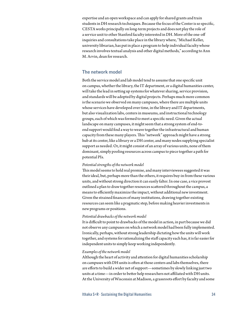expertise and an open workspace and can apply for shared grants and train students in DH research techniques. Because the focus of the Center is so specific, CESTA works principally on long-term projects and does not play the role of a service unit to other Stanford faculty interested in DH. More of the one-off inquiries and consultations take place in the library where, "Michael Keller, university librarian, has put in place a program to help individual faculty whose research involves textual analysis and other digital methods," according to Ann M. Arvin, dean for research.

## **The network model**

Both the service model and lab model tend to assume that one specific unit on campus, whether the library, the IT department, or a digital humanities center, will take the lead in setting up systems for whatever sharing, service provision, and standards will be adopted by digital projects. Perhaps much more common is the scenario we observed on many campuses, where there are multiple units whose services have developed over time, in the library and IT departments, but also visualization labs, centers in museums, and instructional technology groups, each of which was formed to meet a specific need. Given the actual landscape on many campuses, it might seem that a strong system of end-toend support would find a way to weave together the infrastructural and human capacity from these many players. This "network" approach might have a strong hub at its center, like a library or a DH center, and many nodes supplying specialist support as needed. Or, it might consist of an array of various units, none of them dominant, simply pooling resources across campus to piece together a path for potential PIs.

#### *Potential strengths of the network model*

This model seems to hold real promise, and many interviewees suggested it was their ideal, but, perhaps more than the others, it requires buy-in from these various units, and without strong direction it can easily falter. In one case, a vice provost outlined a plan to draw together resources scattered throughout the campus, a means to efficiently maximize the impact, without additional new investment. Given the strained finances of many institutions, drawing together existing resources can seem like a pragmatic step, before making heavier investments in new programs or positions.

### *Potential drawbacks of the network model*

It is difficult to point to drawbacks of the model in action, in part because we did not observe any campuses on which a network model had been fully implemented. Ironically, perhaps, without strong leadership dictating how the units will work together, and systems for rationalizing the staff capacity each has, it is far easier for independent units to simply keep working independently.

### *Examples of the network model*

Although the heart of activity and attention for digital humanities scholarship on campuses with DH units is often at those centers and labs themselves, there are efforts to build a wider net of support—sometimes by slowly linking just two units at a time—in order to better help researchers not affiliated with DH units. At the University of Wisconsin at Madison, a grassroots effort by faculty and some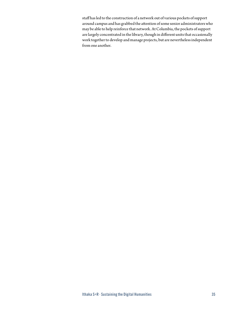staff has led to the construction of a network out of various pockets of support around campus and has grabbed the attention of some senior administrators who may be able to help reinforce that network. At Columbia, the pockets of support are largely concentrated in the library, though in different units that occasionally work together to develop and manage projects, but are nevertheless independent from one another.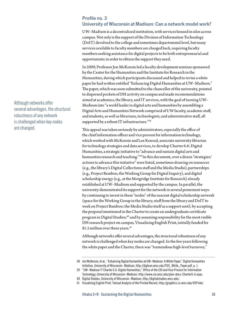### **Profile no. 3**

### **University of Wisconsin at Madison: Can a network model work?**

UW–Madison is a decentralized institution, with services housed in silos across campus. Not only is the support of the Division of Information Technology (DoIT) devolved to the college and sometimes departmental level, but many services available to faculty members are charged back, requiring faculty members seeking assistance for digital projects to be both entrepreneurial and opportunistic in order to obtain the support they need.

In 2009, Professor Jon McKenzie led a faculty development seminar sponsored by the Center for the Humanities and the Institute for Research in the Humanities, during which participants discussed and helped to revise a white paper he had written entitled "Enhancing Digital Humanities at UW–Madison." The paper, which was soon submitted to the chancellor of the university, pointed to dispersed pockets of DH activity on campus and made recommendations aimed at academics, the library, and IT services, with the goal of turning UW– Madison into "a world leader in digital arts and humanities by assembling a Digital Arts and Humanities Network comprised of UW faculty, academic staff, and students, as well as librarians, technologists, and administrative staff, all supported by a robust IT infrastructure."38

This appeal was taken seriously by administrators, especially the office of the chief information officer and vice provost for information technology, which worked with McKenzie and Lee Konrad, associate university librarian for technology strategies and data services, to develop Charter 6.6: Digital Humanities, a strategic initiative to "advance and sustain digital arts and humanities research and teaching."39 In this document, over a dozen "strategies/ actions to advance this initiative" were listed, sometimes drawing on resources (e.g., the library's Digital Collections staff and the Media Studio), partnerships (e.g., Project Bamboo, the Working Group for Digital Inquiry), and digital scholarship energy (e.g., at the Morgridge Institute for Research) already established at UW–Madison and supported by the campus. In parallel, the university demonstrated its support for the network in several prominent ways: by continuing to invest in these "nodes" of the nascent digital scholarship network (space for the Working Group in the library; staff from the library and DoIT to work on Project Bamboo; the Media Studio itself as a support unit); by accepting the proposal mentioned in the Charter to create an undergraduate certificate program in Digital Studies;<sup>40</sup> and by assuming responsibility for the most visible DH research project on campus, Visualizing English Print, initially funded for \$1.5 million over three years.<sup>41</sup>

Although networks offer several advantages, the structural robustness of any network is challenged when key nodes are changed. In the few years following the white paper and the Charter, there was "tremendous high-level turnover,"

Although networks offer several advantages, the structural robustness of any network is challenged when key nodes are changed.

<sup>38</sup> Jon McKenzie, et al., "Enhancing Digital Humanities at UW–Madison: A White Paper," Digital Humanities Initiative, University of Wisconsin–Madison, [http://dighum.wisc.edu/FDS\\_White\\_Paper.pdf,](http://dighum.wisc.edu/FDS_White_Paper.pdf) p. 1.

<sup>39</sup> "UW–Madison IT Charter 6.6: Digital Humanities," Office of the CIO and Vice Provost for Information Technology, University of Wisconsin–Madison, [http://www.cio.wisc.edu/plan-docs-Charter6-6.aspx.](http://www.cio.wisc.edu/plan-docs-Charter6-6.aspx)

<sup>40</sup> Digital Studies, University of Wisconsin–Madison, [http://digitalstudies.wisc.edu/](http://digitalstudies.wisc.edu).

<sup>41</sup> Visualizing English Print: Textual Analysis of the Printed Record,<http://graphics.cs.wisc.edu/VEPsite>/.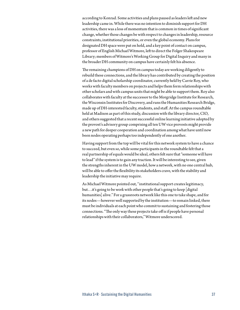according to Konrad. Some activities and plans paused as leaders left and new leadership came in. While there was no intention to diminish support for DH activities, there was a loss of momentum that is common in times of significant change, whether those changes be with respect to changes in leadership, resource constraints, institutional priorities, or even the global economy. Plans for designated DH space were put on hold, and a key point of contact on campus, professor of English Michael Witmore, left to direct the Folger Shakespeare Library; members of Witmore's Working Group for Digital Inquiry and many in the broader DH community on campus have certainly felt his absence.

The remaining champions of DH on campus today are working diligently to rebuild these connections, and the library has contributed by creating the position of a de facto digital scholarship coordinator, currently held by Carrie Roy, who works with faculty members on projects and helps them form relationships with other scholars and with campus units that might be able to support them. Roy also collaborates with faculty at the successor to the Morgridge Institute for Research, the Wisconsin Institutes for Discovery, and runs the Humanities Research Bridge, made up of DH-interested faculty, students, and staff. At the campus roundtable held at Madison as part of this study, discussion with the library director, CIO, and others suggested that a recent successful online learning initiative adopted by the provost's advisory group comprising all ten UW vice provosts might provide a new path for deeper cooperation and coordination among what have until now been nodes operating perhaps too independently of one another.

Having support from the top will be vital for this network system to have a chance to succeed, but even so, while some participants in the roundtable felt that a real partnership of equals would be ideal, others felt sure that "someone will have to lead" if the system is to gain any traction. It will be interesting to see, given the strengths inherent in the UW model, how a network, with no one central hub, will be able to offer the flexibility its stakeholders crave, with the stability and leadership the initiative may require.

As Michael Witmore pointed out, "institutional support creates legitimacy, but…it's going to be work with other people that's going to keep [digital humanities] alive." For a grassroots network like this one to take shape, and for its nodes—however well supported by the institution—to remain linked, there must be individuals at each point who commit to sustaining and fostering those connections. "The only way these projects take off is if people have personal relationships with their collaborators," Witmore underscored.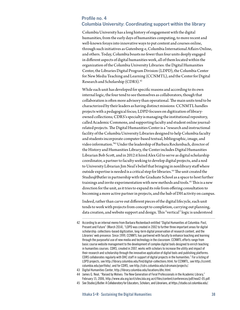### **Profile no. 4 Columbia University: Coordinating support within the library**

Columbia University has a long history of engagement with the digital humanities, from the early days of humanities computing, to more recent and well-known forays into innovative ways to put content and courses online, through such initiatives as Gutenberg-e, Columbia International Affairs Online, and others. Today, Columbia boasts no fewer than four units deeply engaged in different aspects of digital humanities work, all of them located within the organization of the Columbia University Libraries: the Digital Humanities Center, the Libraries Digital Program Division (LDPD), the Columbia Center for New Media Teaching and Learning (CCNMTL), and the Center for Digital Research and Scholarship (CDRS).42

While each unit has developed for specific reasons and according to its own internal logic, the four tend to see themselves as collaborators, though that collaboration is often more advisory than operational. The main units tend to be characterized by their leaders as having distinct missions: CCNMTL handles projects with a pedagogical focus; LDPD focuses on digitization of libraryowned collections; CDRS's specialty is managing the institutional repository, called Academic Commons, and supporting faculty and student online journalrelated projects. The Digital Humanities Center is a "research and instructional facility of the Columbia University Libraries designed to help Columbia faculty and students incorporate computer-based textual, bibliographic, image, and video information."43 Under the leadership of Barbara Rockenbach, director of the History and Humanities Library, the Center includes Digital Humanities Librarian Bob Scott, and in 2012 it hired Alex Gil to serve as digital scholarship coordinator, a partner to faculty seeking to develop digital projects, and a nod to University Librarian Jim Neal's belief that bringing in nonlibrary staff where outside expertise is needed is a critical step for libraries.<sup>44</sup> The unit created the Studio@Butler in partnership with the Graduate School as a space to host further trainings and invite experimentation with new methods and tools.<sup>45</sup> This is a new direction for the unit, as it tries to expand its role from offering consultation to becoming a more active partner in projects, and the hub of DH activity on campus.

Indeed, rather than carve out different pieces of the digital lifecycle, each unit tends to work with projects from concept to completion, carrying out planning, data creation, and website support and design. This "vertical" logic is understood

- 42 According to an internal memo from Barbara Rockenbach entitled "Digital Humanities at Columbia: Past, Present and Future" (March 2014), "LDPD was created in 2002 to further three important areas for digital scholarship: collections-based digitization, long-term digital preservation of research content, and the Libraries' web presence. Since 1999, CCNMTL has partnered with faculty to enhance teaching and learning through the purposeful use of new media and technology in the classroom. CCNMTL efforts range from basic course website management to the development of complex digital tools designed to enrich teaching in humanities courses. CDRS, created in 2007, works with scholars to increase the utility and impact of their research and scholarship through the innovative application of digital tools and publishing platforms. CDRS collaborates regularly with DHC staff in support of digital projects in the humanities." For a listing of LDPD projects, see [http://library.columbia.edu/find/digital-collections.html;](http://library.columbia.edu/find/digital-collections.html) for CCNMTL, see [http://ccnmtl.](http://ccnmtl.columbia.edu/portfolio) [columbia.edu/portfolio/](http://ccnmtl.columbia.edu/portfolio); and for CDRS, see [http://cdrs.columbia.edu/cdrsmain/projects/](http://cdrs.columbia.edu/cdrsmain/projects).
- 43 Digital Humanities Center, [http://library.columbia.edu/locations/dhc.html.](http://library.columbia.edu/locations/dhc.html)
- 44 James G. Neal, "Raised by Wolves: The New Generation of Feral Professionals in the Academic Library," February 15, 2006, [http://www.ala.org/acrl/sites/ala.org.acrl/files/content/conferences/pdf/neal2-05.pdf.](http://www.ala.org/acrl/sites/ala.org.acrl/files/content/conferences/pdf/neal2-05.pdf)
- 45 See Studio@Butler: A Collaboratory for Educators, Scholars, and Librarians, at<https://studio.cul.columbia.edu>/.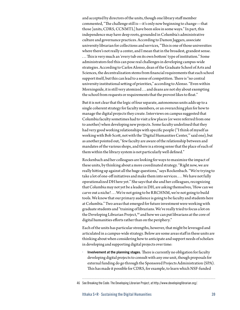and accepted by directors of the units, though one library staff member commented, "The challenge still is—it's only now beginning to change—that those [units, CDRS, CCNMTL] have been silos in some ways." In part, this independence may have deep roots, grounded in Columbia's administrative culture and governance practices. According to Damon Jaggars, associate university librarian for collections and services, "This is one of those universities where there's not really a center, and I mean that in the broadest, grandest sense. . . . This is very much an 'every tub on its own bottom' type of institution." Some administrators feel this can pose real challenges in developing campus-wide strategies. According to Carlos Alonso, dean of the Graduate School of Arts and Sciences, the decentralization stems from financial requirements that each school support itself, but this can lead to a sense of competition. There is "no central university institutional setting of priorities," according to Alonso. "Even within Morningside, it is still very atomized . . . and deans are not shy about exempting the school from requests or requirements that the provost likes to float."

But it is not clear that the logic of four separate, autonomous units adds up to a single coherent strategy for faculty members, or an overarching plan for how to manage the digital projects they create. Interviews on campus suggested that Columbia faculty sometimes had to visit a few places (or were referred from one to another) when developing new projects. Some faculty underlined that they had very good working relationships with specific people ("I think of myself as working with Bob Scott, not with the 'Digital Humanities Center,'" said one), but as another pointed out, "few faculty are aware of the relationship between and mandates of the various shops, and there is a strong sense that the place of each of them within the library system is not particularly well defined."

Rockenbach and her colleagues are looking for ways to maximize the impact of these units, by thinking about a more coordinated strategy. "Right now, we are really hitting up against all the huge questions," says Rockenbach. "We're trying to take a lot of one-off initiatives and make them into services. . . . We have not fully operationalized DH here yet." She says that she and her colleagues, recognizing that Columbia may not yet be a leader in DH, are asking themselves, 'How can we carve out a niche? . . . We're not going to be RRCHNM, we're not going to build tools. We know that our primary audience is going to be faculty and students here at Columbia." Two areas that emerged for future investment were working with graduate students and "training of librarians. We've really tried to focus a lot on the Developing Librarian Project,<sup>46</sup> and how we can put librarians at the core of digital humanities efforts rather than on the periphery."

Each of the units has particular strengths, however, that might be leveraged and articulated in a campus-wide strategy. Below are some areas staff in these units are thinking about when considering how to anticipate and support needs of scholars in developing and supporting digital projects over time:

*•* **Involvement at the planning stages.** There is currently no obligation for faculty developing digital projects to consult with any one unit, though proposals for external funding do go through the Sponsored Projects Administration (SPA). This has made it possible for CDRS, for example, to learn which NSF-funded

<sup>46</sup> See Breaking the Code: The Developing Librarian Project, at<http://www.developinglibrarian.org>/.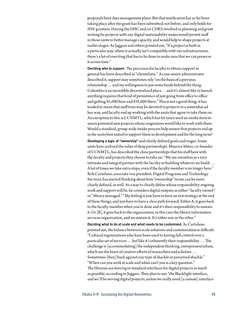proposals have data management plans. But that notification has so far been taking place after the grant has been submitted, not before, and only holds for NSF grantees. Having the DHC and/or CDRS involved in planning and grant writing for projects with any digital sustainability issues would permit staff in those units to better manage capacity, and would help to shape projects at earlier stages. As Jaggars and others pointed out, "If a project is built in a particular way, where it actually isn't compatible with our infrastructures, there's a lot of rewriting that has to be done to make sure that we can preserve it across time."

- *•* **Deciding who to support.** The processes for faculty to obtain support in general has been described as "clientelistic." As one senior administrator described it, support may sometimes rely "on the basis of a previous relationship . . . and my willingness to put some funds behind the thing. Columbia is an incredibly decentralized place . . . and it's almost like to launch anything requires that kind of persistence of just going from office to office and getting \$5,000 here and \$10,000 there." This is not a good thing; it has tended to mean that staff time may be devoted to projects in a somewhat ad hoc way, and faculty end up working with the units that agree to take them on. An exception to this is CCNMTL, which has for years used an intake form to assess potential new projects whose originators would like to work with them. Would a standard, group-wide intake process help ensure that projects end up in the units best suited to support them in development and for the long term?
- *•* **Developing a logic of "ownership"** and clearly defined goals and stages. Some units have realized the value of deep partnerships. Maurice Matiz, co-founder of CCNMTL, has described the close partnerships that his staff have with the faculty and projects they choose to take on: "We see ourselves as a very intimate and integral partner with the faculty in building whatever we build.... A lot of times we take extra steps, even if the faculty member is no longer here." Rob Cartolano, associate vice president, Digital Programs and Technology Services, has started thinking about how "ownership" terms can be more clearly defined, as well. As a way to clearly define whose responsibility ongoing work and support will be, he considers digital outputs as either "faculty owned" or "library managed." "My feeling is you have to have an exit strategy at the end of these things, and you have to have a clear path forward. Either A, it goes back to the faculty member when you're done and it's their responsibility to sustain it. Or [B], it goes back to the organization, in this case the library information services organization, and we sustain it. It's either one or the other."
- *•* **Deciding what to do at scale and what needs to be customized.** As Cartolano pointed out, the balance between scale solutions and customization is difficult: "Cultural organizations who have been used to having full control over a particular set of services . . . feel like it's inherently their responsibility. . . . The challenge is [accommodating] the independent thinking, entrepreneurialism, which are the heart of creative efforts of researchers and scholars. . . . Sometimes [they] buck against any type of shackle or perceived shackle." "When can you work at scale and when can't you is a key question." The libraries are moving to standard interfaces for digital projects as much as possible, according to Jaggars. They plan to use "the Blacklight interface, and we'll be serving digital projects, unless we really need [a custom] interface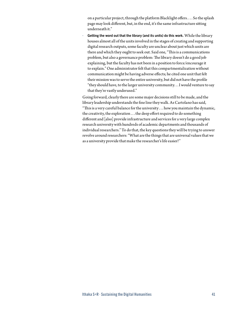on a particular project, through the platform Blacklight offers. . . . So the splash page may look different, but, in the end, it's the same infrastructure sitting underneath it."

*•* **Getting the word out that the library (and its units) do this work.** While the library houses almost all of the units involved in the stages of creating and supporting digital research outputs, some faculty are unclear about just which units are there and which they ought to seek out. Said one, "This is a communications problem, but also a governance problem: The library doesn't do a good job explaining, but the faculty has not been in a position to force/encourage it to explain." One administrator felt that this compartmentalization without communication might be having adverse effects; he cited one unit that felt their mission was to serve the entire university, but did not have the profile "they should have, to the larger university community. . . I would venture to say that they're vastly underused."

Going forward, clearly there are some major decisions still to be made, and the library leadership understands the fine line they walk. As Cartolano has said, "This is a very careful balance for the university . . . how you maintain the dynamic, the creativity, the exploration . . . the deep effort required to do something different and [also] provide infrastructure and services for a very large complex research university with hundreds of academic departments and thousands of individual researchers." To do that, the key questions they will be trying to answer revolve around researchers: "What are the things that are universal values that we as a university provide that make the researcher's life easier?"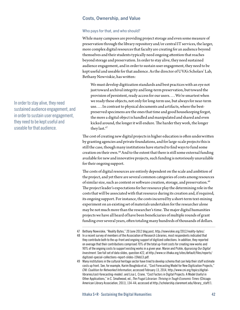### **Costs, Ownership, and Value**

### Who pays for that, and who should?

While many campuses are providing project storage and even some measure of preservation through the library repository and/or central IT services, the larger, more complex digital resources that faculty are creating for an audience beyond themselves and their students typically need ongoing attention that reaches beyond storage and preservation. In order to stay alive, they need sustained audience engagement, and in order to sustain user engagement, they need to be kept useful and useable for that audience. As the director of UVA's Scholars' Lab, Bethany Nowviskie, has written:

We must develop digitization standards and best practices with an eye not just toward archival integrity and long-term preservation, but toward the provision of persistent, ready access for our users. . . . We're smartest when we ready these objects, not only for long-term use, but always for near-term use. . . . In contrast to physical documents and artifacts, where the bestpreserved specimens are the ones that time and good housekeeping forgot, the more a digital object is handled and manipulated and shared and even kicked around, the longer it will endure. The harder they work, the longer they last.47

The cost of creating new digital projects in higher education is often underwritten by granting agencies and private foundations, and for large-scale projects this is still the case, though many institutions have started to find ways to fund some creation on their own.48 And to the extent that there is still some external funding available for new and innovative projects, such funding is notoriously unavailable for their ongoing support.

The costs of digital resources are entirely dependent on the scale and ambition of the project, and yet there are several common categories of costs among resources of similar size, such as content or software creation, storage, and preservation.<sup>49</sup> The project leader's expectations for her resource play the determining role in the costs that will be associated with that resource during its creation and, if required, its ongoing support. For instance, the costs incurred by a short-term text-mining experiment on an existing set of materials undertaken for the researcher alone may be not much more than the researcher's time. The major digital humanities projects we have all heard of have been beneficiaries of multiple rounds of grant funding over several years, often totaling many hundreds of thousands of dollars.

49 Many institutions in the cultural heritage sector have tried to develop schema that can help their staff estimate costs up front. See, for example, Karim Boughida et al., "Cost Forecasting Model for New Digitization Projects," *CNI: Coalition for Networked Information*, accessed February 13, 2014, [http://www.cni.org/topics/digital](http://www.cni.org/topics/digital-libraries/cost)[libraries/cost](http://www.cni.org/topics/digital-libraries/cost)-forecasting-model/; and Lisa L. Crane, "Cost Factors in Digital Projects: A Model Useful in Other Applications," in C. Smallwood, ed., *The Frugal Librarian: Thriving in Tough Economic Times* (Chicago: American Library Association, 2011), 134-44; accessed at [http://scholarship.claremont.edu/library\\_staff](http://scholarship.claremont.edu/library_staff)/1.

In order to stay alive, they need sustained audience engagement, and in order to sustain user engagement, they need to be kept useful and useable for that audience.

<sup>47</sup> Bethany Nowviskie, "Reality Bytes," 20 June 2012 blog post, [http://nowviskie.org/2012/reality-](http://nowviskie.org/2012/reality)bytes/.

<sup>48</sup> In a recent survey of members of the Association of Research Libraries, most respondents indicated that they contribute both to the up-front and ongoing support of digitized collections. In addition, they reported on average that their contributions comprised 70% of the total up-front costs for creating new works and 90% of the ongoing costs to support existing works in a given year. Maron and Pickle, *Appraising Our Digital Investment*. See full set of data slides, question #22, at [http://www.sr.ithaka.org/sites/default/files/reports/](http://www.sr.ithaka.org/sites/default/files/reports/digitized-special-collections-report-slides-15feb13.pdf) [digitized-special-collections-report-slides-15feb13.pdf](http://www.sr.ithaka.org/sites/default/files/reports/digitized-special-collections-report-slides-15feb13.pdf).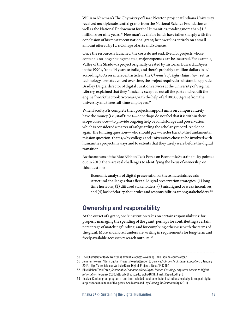William Newman's The Chymistry of Isaac Newton project at Indiana University received multiple substantial grants from the National Science Foundation as well as the National Endowment for the Humanities, totaling more than \$1.5 million over nine years.<sup>50</sup> Newman's available funds have fallen sharply with the conclusion of his most recent national grant; he now relies entirely on a small amount offered by IU's College of Arts and Sciences.

Once the resource is launched, the costs do not end. Even for projects whose content is no longer being updated, major expenses can be incurred. For example, Valley of the Shadow, a project originally created by historian Edward L. Ayers in the 1990s, "took 14 years to build, and there's probably a million dollars in it," according to Ayres in a recent article in the *Chronicle of Higher Education*. Yet, as technology formats evolved over time, the project required a substantial upgrade. Bradley Daigle, director of digital curation services at the University of Virginia Library, explained that they "basically swapped out all the parts and rebuilt the engine," work that took two years, with the help of a \$100,000 grant from the university and three full-time employees.<sup>51</sup>

When faculty PIs complete their projects, support units on campuses rarely have the money (i.e., staff time)—or perhaps do not feel that it is within their scope of service—to provide ongoing help beyond storage and preservation, which is considered a matter of safeguarding the scholarly record. And once again, the funding question—who should pay—circles back to the fundamental mission question: that is, why colleges and universities chose to be involved with humanities projects in ways and to extents that they rarely were before the digital transition.

As the authors of the Blue Ribbon Task Force on Economic Sustainability pointed out in 2010, there are real challenges to identifying the locus of ownership on this question:

Economic analysis of digital preservation of these materials reveals structural challenges that affect all digital preservation strategies: (1) long time horizons, (2) diffused stakeholders, (3) misaligned or weak incentives, and (4) lack of clarity about roles and responsibilities among stakeholders.<sup>52</sup>

# **Ownership and responsibility**

At the outset of a grant, one's institution takes on certain responsibilities: for properly managing the spending of the grant, perhaps for contributing a certain percentage of matching funding, and for complying otherwise with the terms of the grant. More and more, funders are writing in requirements for long-term and freely available access to research outputs.53

<sup>50</sup> The Chymistry of Isaac Newton is available at [http://webapp1.dlib.indiana.edu/newton/](http://webapp1.dlib.indiana.edu/newton).

<sup>51</sup> Jennifer Howard, "Born Digital, Projects Need Attention to Survive," *Chronicle of Higher Education*, 6 January 2014, [http://chronicle.com/article/Born-Digital-Projects-Need/143799/](http://chronicle.com/article/Born-Digital-Projects-Need/143799).

<sup>52</sup> Blue Ribbon Task Force, *Sustainable Economics for a Digital Planet: Ensuring Long-term Access to Digital Information*, February 2010, [http://brtf.sdsc.edu/biblio/BRTF\\_Final\\_Report.pdf](http://brtf.sdsc.edu/biblio/BRTF_Final_Report.pdf), p. 1.

<sup>53</sup> Jisc's e-Content grant program at one time included requirements for institutions to pledge to support digital outputs for a minimum of five years. See Maron and Loy *Funding for Sustainablity* (2011).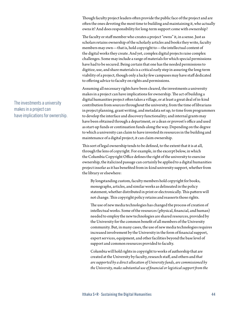Though faculty project leaders often provide the public face of the project and are often the ones devoting the most time to building and maintaining it, who actually owns it? And does responsibility for long-term support come with ownership?

The faculty or staff member who creates a project "owns" it, in a sense. Just as scholars retains ownership of the scholarly articles and books they write, faculty members may own—that is, hold copyright to—the intellectual content of the digital works they create. And yet, complex digital projects raise complex challenges. Some may include a range of materials for which special permissions have had to be secured. Being certain that one has the needed permissions to digitize, use, and share materials is a critical early step in assuring the long-term viability of a project, though only a lucky few campuses may have staff dedicated to offering advice to faculty on rights and permissions.

Assuming all necessary rights have been cleared, the investments a university makes in a project can have implications for ownership. The act of building a digital humanities project often takes a village, or at least a great deal of in-kind contribution from sources throughout the university, from the time of librarians in project planning, grant writing, and metadata set up, to time from programmers to develop the interface and discovery functionality; and internal grants may have been obtained through a department, or a dean or provost's office and used as start-up funds or continuation funds along the way. Depending on the degree to which a university can claim to have invested its resources in the building and maintenance of a digital project, it can claim ownership.

This sort of legal ownership tends to be defined, to the extent that it is at all, through the lens of copyright. For example, in the excerpt below, in which the Columbia Copyright Office defines the right of the university to exercise ownership, the italicized passage can certainly be applied to a digital humanities project insofar as it has benefited from in-kind university support, whether from the library or elsewhere:

By longstanding custom, faculty members hold copyright for books, monographs, articles, and similar works as delineated in the policy statement, whether distributed in print or electronically. This pattern will not change. This copyright policy retains and reasserts those rights.

The use of new media technologies has changed the process of creation of intellectual works. Some of the resources (physical, financial, and human) needed to employ the new technologies are shared resources, provided by the University for the common benefit of all members of the University community. But, in many cases, the use of new media technologies requires increased involvement by the University in the form of financial support, expert services, equipment, and other facilities beyond the base level of support and common resources provided to faculty.

Columbia will hold rights in copyright to works of authorship that are created at the University by faculty, research staff, and others and *that are supported by a direct allocation of University funds, are commissioned by the University, make substantial use of financial or logistical support from the* 

The investments a university makes in a project can have implications for ownership.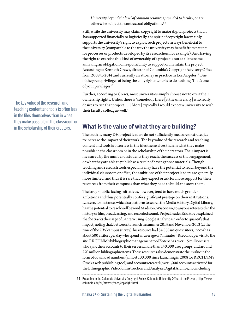*University beyond the level of common resources provided to faculty*, or are otherwise subject to contractual obligations.54

Still, while the university may claim copyright to major digital projects that it has supported financially or logistically, the spirit of copyright law mainly supports the university's right to exploit such projects in ways beneficial to the university (comparable to the way the university may benefit from patents for processes or products developed by its researchers, for example). And having the right to exercise this kind of ownership of a project is not at all the same as having an obligation or responsibility to support or maintain the project. According to Kenneth Crews, director of Columbia's Copyright Advisory Office from 2008 to 2014 and currently an attorney in practice in Los Angeles, "One of the great privileges of being the copyright owner is to do nothing. That's one of your privileges."

Further, according to Crews, most universities simply choose not to exert their ownership rights. Unless there is "somebody there [at the university] who really desires to run that project. . . . [More] typically I would expect a university to wish their faculty colleague well."

### **What is the value of what they are building?**

The truth is, many DH project leaders do not sufficiently measure or strategize to increase the impact of their work. The key value of the research and teaching content and tools is often less in the files themselves than in what they make possible in the classroom or in the scholarship of their creators. Their impact is measured by the number of students they reach, the success of that engagement, or what they are able to publish as a result of having those materials. Though teaching and research tools especially may have the potential to reach beyond the individual classroom or office, the ambitions of their project leaders are generally more limited, and thus it is rare that they expect or ask for more support for their resources from their campuses than what they need to build and store them.

The larger public-facing initiatives, however, tend to have much grander ambitions and thus potentially confer significant prestige on their institutions. Lantern, for instance, which is a platform to search the Media History Digital Library, has the potential to reach well beyond Madison, Wisconsin, to anyone interested in the history of film, broadcasting, and recorded sound. Project leader Eric Hoyt explained that he tracks the usage of Lantern using Google Analytics in order to quantify that impact, noting that, between its launch in summer 2013 and November 2013 (at the time of the UW campus survey), his resource had 34,858 unique visitors; it now has about 500 visitors per day who spend an average of 7 minutes 48 seconds per visit to the site. RRCHNM's bibliographic management tool Zotero has over 1.5 million users who sync their accounts to their servers, more than 140,000 user groups, and around 270 million bibliographic items. These resources also demonstrate their value in the form of download numbers (almost 100,000 since launching in 2008 for RRCHNM's Omeka web publishing tool) and accounts created (over 1,000 accounts activated for the Ethnographic Video for Instruction and Analysis Digital Archive, not including

54 Preamble to the Columbia University Copyright Policy, Columbia University Office of the Provost, [http://www.](http://www.columbia.edu/cu/provost/docs/copyright.html) [columbia.edu/cu/provost/docs/copyright.html.](http://www.columbia.edu/cu/provost/docs/copyright.html)

The key value of the research and teaching content and tools is often less in the files themselves than in what they make possible in the classroom or in the scholarship of their creators.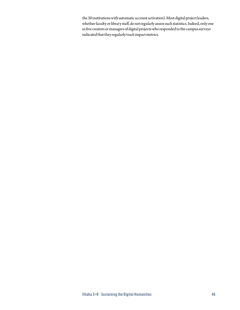the 30 institutions with automatic account activation). Most digital project leaders, whether faculty or library staff, do not regularly assess such statistics. Indeed, only one in five creators or managers of digital projects who responded to the campus surveys indicated that they regularly track impact metrics.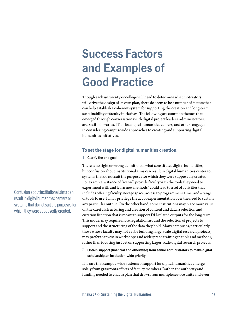# **Success Factors and Examples of Good Practice**

Though each university or college will need to determine what motivators will drive the design of its own plan, there do seem to be a number of factors that can help establish a coherent system for supporting the creation and long-term sustainability of faculty initiatives. The following are common themes that emerged through conversations with digital project leaders, administrators, and staff at libraries, IT units, digital humanities centers, and others engaged in considering campus-wide approaches to creating and supporting digital humanities initiatives.

### **To set the stage for digital humanities creation.**

### 1. **Clarify the end goal.**

There is no right or wrong definition of what constitutes digital humanities, but confusion about institutional aims can result in digital humanities centers or systems that do not suit the purposes for which they were supposedly created. For example, a stance of "we will provide faculty with the tools they need to experiment with and learn new methods" could lead to a set of activities that includes offering faculty storage space, access to programmers' time, and a range of tools to use. It may privilege the act of experimentation over the need to sustain any particular output. On the other hand, some institutions may place more value on the careful structuring and creation of content and data, a selection and curation function that is meant to support DH-related outputs for the long term. This model may require more regulation around the selection of projects to support and the structuring of the data they hold. Many campuses, particularly those whose faculty may not yet be building large-scale digital research projects, may prefer to invest in workshops and widespread training in tools and methods, rather than focusing just yet on supporting larger-scale digital research projects.

### 2. **Obtain support (financial and otherwise) from senior administrators to make digital scholarship an institution-wide priority.**

It is rare that campus-wide systems of support for digital humanities emerge solely from grassroots efforts of faculty members. Rather, the authority and funding needed to enact a plan that draws from multiple service units and even

Confusion about institutional aims can result in digital humanities centers or systems that do not suit the purposes for which they were supposedly created.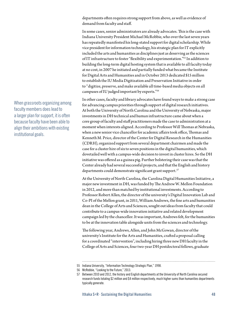departments often requires strong support from above, as well as evidence of demand from faculty and staff.

In some cases, senior administrators are already advocates. This is the case with Indiana University President Michael McRobbie, who over the last seven years has repeatedly manifested his long-stated support for digital scholarship. While vice president for information technology, his strategic plan for IT explicitly included the arts and humanities as disciplines just as deserving as the sciences of IT infrastructure to foster "flexibility and experimentation."55 In addition to building the long-term digital hosting system that is available to all faculty today at no cost, in 2007 he initiated and partially funded what became the Institute for Digital Arts and Humanities and in October 2013 dedicated \$15 million to establish the IU Media Digitization and Preservation Initiative in order to "digitize, preserve, and make available all time-based media objects on all campuses of IU judged important by experts."56

In other cases, faculty and library advocates have found ways to make a strong case for advancing campus priorities through support of digital research initiatives. At both the University of North Carolina and the University of Nebraska, major investments in DH technical and human infrastructure came about when a core group of faculty and staff practitioners made the case to administration at a moment when interests aligned. According to Professor Will Thomas at Nebraska, when a new senior vice chancellor for academic affairs took office, Thomas and Kenneth M. Price, director of the Center for Digital Research in the Humanities (CDRH), organized support from several department chairmen and made the case for a cluster hire of six to seven positions in the digital humanities, which dovetailed well with a campus-wide decision to invest in cluster hires. So the DH initiative was offered as a guinea pig. Further bolstering their case was that the Center already had several successful projects, and that the English and history departments could demonstrate significant grant support.<sup>57</sup>

At the University of North Carolina, the Carolina Digital Humanities Initiative, a major new investment in DH, was funded by The Andrew W. Mellon Foundation in 2012, and more than matched by institutional investments. According to Professor Robert Allen, the director of the university's Digital Innovation Lab and Co-PI of the Mellon grant, in 2011, William Andrews, the fine arts and humanities dean in the College of Arts and Sciences, sought out ideas from faculty that could contribute to a campus-wide innovation initiative and related development campaign led by the chancellor. It was important, Andrews felt, for the humanities to be at the innovation table alongside units from the sciences and technology.

The following year, Andrews, Allen, and John McGowan, director of the university's Institute for the Arts and Humanities, crafted a proposal calling for a coordinated "intervention", including hiring three new DH faculty in the College of Arts and Sciences, four two-year DH postdoctoral fellows, graduate

When grassroots organizing among faculty members does lead to a larger plan for support, it is often because faculty have been able to align their ambitions with existing institutional goals.

<sup>55</sup> Indiana University, "Information Technology Strategic Plan," 1998.

<sup>56</sup> McRobbie, "Looking to the Future," 2013.

<sup>57</sup> Between 2010 and 2012, the history and English departments at the University of North Carolina secured research funds totaling \$2 million and \$4 million respectively, much higher sums than humanities departments typically generate.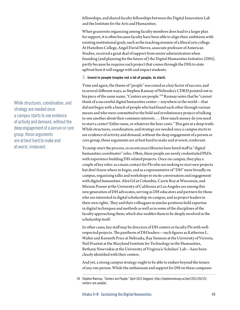fellowships, and shared faculty fellowships between the Digital Innovation Lab and the Institute for the Arts and Humanities.

When grassroots organizing among faculty members does lead to a larger plan for support, it is often because faculty have been able to align their ambitions with existing institutional goals, such as the teaching mission of a liberal arts college. At Hamilton College, Angel David Nieves, associate professor of American Studies, received a great deal of support from senior administrators when founding (and planning for the future of) the Digital Humanities Initiative (DHi), partly because he requires each project that comes through the DHi to state upfront how it will engage with and impact students.

### 3. **Invest in people (maybe not a lot of people, to start).**

Time and again, the theme of "people" was raised as a key factor of success, and in several different ways, as Stephen Ramsay of Nebraska's CDRH pointed out in his piece of the same name, "Centers are people."58 Ramsay notes that he "cannot think of a successful digital humanities center—anywhere in the world—that did not begin with a bunch of people who had found each other through various means and who were committed to the bold and revolutionary project of talking to one another about their common interests. . . . How much money do you need to start a center? Either none, or whatever the beer costs." This gets at a deep truth: While structures, coordination, and strategy are needed once a campus starts to see evidence of activity and demand, without the deep engagement of a person or core group, those arguments are at best hard to make and at worst, irrelevant.

To jump-start the process, in recent years libraries have hired staff in "digital humanities coordinator" roles. Often, these people are newly credentialed PhDs with experience building DH-related projects. Once on campus, they play a couple of key roles: as a main contact for PIs who are seeking to start new projects but don't know where to begin; and as a representative of "DH" more broadly on campus, organizing talks and workshops to incite conversation and engagement with digital humanities. Alex Gil at Columbia, Carrie Roy at Wisconsin, and Miriam Posner at the University of California at Los Angeles are among this new generation of DH advocates, serving as DH educators and partners for those who are interested in digital scholarship on campus, and as project leaders in their own rights. They and their colleagues in similar positions hold expertise in digital techniques and methods as well as in some of the disciplines of the faculty approaching them, which also enables them to be deeply involved in the scholarship itself.

In other cases, key staff may be directors of DH centers or faculty PIs with wellrespected projects. The pantheon of DH leaders—such figures as Katherine L. Walter and Kenneth Price at Nebraska, Ray Siemens at the University of Victoria, Neil Fraistat at the Maryland Institute for Technology in the Humanities, Bethany Nowviskie at the University of Virginia's/Scholars' Lab—have been clearly identified with their centers.

And yet, a strong campus strategy ought to be able to endure beyond the tenure of any one person. While the enthusiasm and support for DH on these campuses

While structures, coordination, and strategy are needed once a campus starts to see evidence of activity and demand, without the deep engagement of a person or core group, those arguments are at best hard to make and at worst, irrelevant.

<sup>58</sup> Stephen Ramsay, "Centers are People," April 2012 blogpost, [http://stephenramsay.us/text/2012/04/25/](http://stephenramsay.us/text/2012/04/25/centers) [centers](http://stephenramsay.us/text/2012/04/25/centers)-are-people/.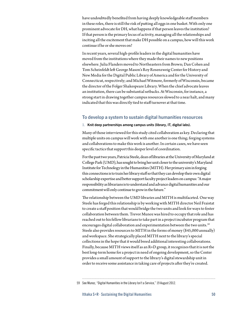have undoubtedly benefited from having deeply knowledgeable staff members in these roles, there is still the risk of putting all eggs in one basket. With only one prominent advocate for DH, what happens if that person leaves the institution? If that person is the primary locus of activity, managing all the relationships and inciting all the excitement that make DH possible on a campus, how will this work continue if he or she moves on?

In recent years, several high-profile leaders in the digital humanities have moved from the institutions where they made their names to new positions elsewhere. Julia Flanders moved to Northeastern from Brown; Dan Cohen and Tom Scheinfeldt left George Mason's Roy Rosenzweig Center for History and New Media for the Digital Public Library of America and for the University of Connecticut, respectively; and Michael Witmore, formerly of Wisconsin, became the director of the Folger Shakespeare Library. When the chief advocate leaves an institution, there can be substantial setbacks. At Wisconsin, for instance, a strong start in drawing together campus resources slowed to a near halt, and many indicated that this was directly tied to staff turnover at that time.

### **To develop a system to sustain digital humanities resources**

### 1. **Knit deep partnerships among campus units (library, IT, digital labs).**

Many of those interviewed for this study cited collaboration as key. Declaring that multiple units on campus will work with one another is one thing; forging systems and collaborations to make this work is another. In certain cases, we have seen specific tactics that support this deeper level of coordination.

For the past two years, Patricia Steele, dean of libraries at the University of Maryland at College Park (UMD), has sought to bring her unit closer to the university's Maryland Institute for Technology in the Humanities (MITH). Her primary aim in forging this connections is to train her library staff so that they can develop their own digital scholarship expertise and better support faculty project leaders on campus: "A major responsibility as librarians is to understand and advance digital humanities and our commitment will only continue to grow in the future."

The relationship between the UMD libraries and MITH is multifaceted. One way Steele has forged this relationship is by working with MITH director Neil Fraistat to create a staff position that would bridge the two units and look for ways to foster collaboration between them. Trevor Munoz was hired to occupy that role and has reached out to his fellow librarians to take part in a project incubator program that encourages digital collaboration and experimentation between the two units.<sup>59</sup> Steele also provides resources to MITH in the forms of money (\$45,000 annually) and workspace. She strategically placed MITH next to the library's special collections in the hope that it would breed additional interesting collaborations. Finally, because MITH views itself as an R+D group, it recognizes that it is not the best long-term home for a project in need of ongoing development, so the Center provides a small amount of support to the library's digital stewardship unit in order to receive some assistance in taking care of projects after they're created.

<sup>59</sup> See Munoz, "Digital Humanities in the Library Isn't a Service," 19 August 2012.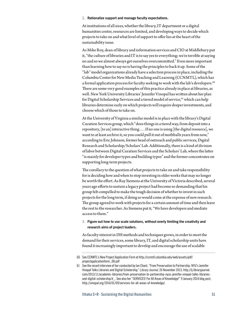### 2. **Rationalize support and manage faculty expectations.**

At institutions of all sizes, whether the library, IT department or a digital humanities center, resources are limited, and developing ways to decide which projects to take on and what level of support to offer lies at the heart of the sustainability issue.

As Mike Roy, dean of library and information services and CIO at Middlebury put it, "the culture of libraries and IT is to say yes to everything; we're terrible at saying no and so we almost always get ourselves overcommitted." Even more important than learning how to say no is having the principles to back it up. Some of the "lab" model organizations already have a selection process in place, including the Columbia Center for New Media Teaching and Learning (CCNMTL), which has a formal application process for faculty seeking to work with the lab's developers.<sup>60</sup> There are some very good examples of this practice already in place at libraries, as well. New York University Libraries' Jennifer Vinopal has written about her plan for Digital Scholarship Services and a tiered model of service,<sup>61</sup> which can help libraries determine early on which projects will require deeper investments, and choose which of those to take on.

At the University of Virginia a similar model is in place with the library's Digital Curation Services group, which "does things in a tiered way, from deposit into a repository, [to an] interactive thing. . . . If no one is using [the digital resource], we want to at least archive it, so you could pull it out of mothballs years from now," according to Eric Johnson, former head of outreach and public services, Digital Research and Scholarship/Scholars' Lab. Additionally, there is a kind of division of labor between Digital Curation Services and the Scholars' Lab, where the latter "is mainly for developer types and building types" and the former concentrates on supporting long-term projects.

The corollary to the question of what projects to take on and take responsibility for is deciding how and when to stop investing in older works that may no longer be worth the effort. As Ray Siemens at the University of Victoria described, several years ago efforts to sustain a legacy project had become so demanding that his group felt compelled to make the tough decision of whether to invest in such projects for the long term, if doing so would come at the expense of new research. The group agreed to work with projects for a certain amount of time and then leave the rest to the researcher. As Siemens put it, "We have developers and mediate access to them."

### 3. **Figure out how to use scale solutions, without overly limiting the creativity and research aims of project leaders.**

As faculty interest in DH methods and techniques grows, in order to meet the demand for their services, some library, IT, and digital scholarship units have found it increasingly important to develop and encourage the use of scalable

<sup>60</sup> See CCNMTL's New Project Application Form at [http://ccnmtl.columbia.edu/web/assets/pdf/](http://ccnmtl.columbia.edu/web/assets/pdf/projectapplicationform_08.pdf) [projectapplicationform\\_08.pdf](http://ccnmtl.columbia.edu/web/assets/pdf/projectapplicationform_08.pdf)

<sup>61</sup> See the recent interview of her conducted by Ian Chant, "From Preservation to Partnership: NYU's Jennifer Vinopal Talks Libraries and Digital Scholarship," *Library Journal*, 26 November 2013, [http://lj.libraryjournal.](http://lj.libraryjournal.com/2013/11/academic-libraries/from) [com/2013/11/academic-libraries/from](http://lj.libraryjournal.com/2013/11/academic-libraries/from)-preservation-to-partnership-nyus-jennifer-vinopal-talks-librariesand-digital-scholarship/#\_. See also her "SERVICES! For All Areas of Knowledge!" 9 January 2014 blog post, [http://vinopal.org/2014/01/09/services-](http://vinopal.org/2014/01/09/services-for-all-areas-of-knowledge/)for-all-areas-of-knowledge/.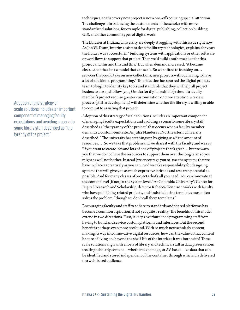techniques, so that every new project is not a one-off requiring special attention. The challenge is in balancing the custom needs of the scholar with more standardized solutions, for example for digital publishing, collection building, GIS, and other common types of digital work.

The libraries at Indiana University are deeply struggling with this issue right now. As Jon W. Dunn, interim assistant dean for library technologies, explains, for years the library was successful in "building systems with applications or other software or workflows to support that project. Then we'd build another set just for this project and this and this and this." But when demand increased, "it became clear…that that isn't a model that can scale. So we shifted to focusing on… services that could take on new collections, new projects without having to have a lot of additional programming." This situation has spurred the digital projects team to begin to identify key tools and standards that they will help all project leaders to use and follow (e.g., Omeka for digital exhibits); should a faculty member's project require greater customization or more attention, a review process (still in development) will determine whether the library is willing or able to commit to assisting that project.

Adoption of this strategy of scale solutions includes an important component of managing faculty expectations and avoiding a scenario some library staff described as "the tyranny of the project" that occurs when a faculty member demands a custom-built site. As Julia Flanders at Northeastern University described: "The university has set things up by giving us a fixed amount of resources. . . . So we take that problem and we share it with the faculty and we say 'If you want to create lots and lots of one off projects that's great . . . but we warn you that we do not have the resources to support them over the long term so you might as well not bother. Instead [we encourage you to] use the systems that we have in place as creatively as you can. And we take responsibility for designing systems that will give you as much expressive latitude and research potential as possible. And for many classes of projects that's all you need. You can innovate at the content level [if not] at the system level." At Columbia University's Center for Digital Research and Scholarship, director Rebecca Kennison works with faculty who have publishing-related projects, and finds that using templates most often solves the problem, "though we don't call them templates."

Encouraging faculty and staff to adhere to standards and shared platforms has become a common aspiration, if not yet quite a reality. The benefits of this model extend in two directions. First, it keeps overburdened programming staff from having to build and service custom platforms and interfaces. But the second benefit is perhaps even more profound. With so much new scholarly content making its way into innovative digital resources, how can the value of that content be sure of living on, beyond the shelf-life of the interface it was born with? These scale solutions align with efforts of library and technical staff in data preservation: treating scholarly content—whether text, image, or AV-based—as data that can be identified and stored independent of the container through which it is delivered to a web-based audience.

Adoption of this strategy of scale solutions includes an important component of managing faculty expectations and avoiding a scenario some library staff described as "the tyranny of the project."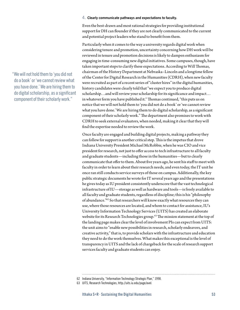"We will not hold them to 'you did not do a book' or 'we cannot review what you have done.' We are hiring them to do digital scholarship, as a significant component of their scholarly work."

#### 4. **Clearly communicate pathways and expectations to faculty.**

Even the best-drawn and most rational strategies for providing institutional support for DH can flounder if they are not clearly communicated to the current and potential project leaders who stand to benefit from them.

Particularly when it comes to the way a university regards digital work when considering tenure and promotion, uncertainty concerning how DH work will be reviewed in tenure and promotion decisions is likely to dampen enthusiasm for engaging in time-consuming new digital initiatives. Some campuses, though, have taken important steps to clarify these expectations. According to Will Thomas, chairman of the History Department at Nebraska–Lincoln and a longtime fellow of the Center for Digital Research in the Humanities (CDRH), when new faculty were recruited as part of a recent series of "cluster hires" in the digital humanities, history candidates were clearly told that "we expect you to produce digital scholarship…and will review your scholarship for its significance and impact… in whatever form you have published it." Thomas continued, "this puts us on notice that we will not hold them to 'you did not do a book' or 'we cannot review what you have done.' We are hiring them to do digital scholarship, as a significant component of their scholarly work." The department also promises to work with CDRH to seek external evaluators, when needed, making it clear that they will find the expertise needed to review the work.

Once faculty are engaged and building digital projects, making a pathway they can follow for support is another critical step. This is the impetus that drove Indiana University President Michael McRobbie, when he was CIO and vice president for research, not just to offer access to tech infrastructure to all faculty and graduate students—including those in the humanities—but to clearly communicate that offer to them. About five years ago, he sent his staff to meet with faculty in order to learn about their research needs, and even today, the IT unit he once ran still conducts service surveys of those on campus. Additionally, the key public strategic documents he wrote for IT several years ago and the presentations he gives today as IU president consistently underscore that the vast technological infrastructure of IU—storage as well as hardware and tools—is freely available to all faculty and graduate students, regardless of discipline; this is his "philosophy of abundance."62 So that researchers will know exactly what resources they can use, where those resources are located, and whom to contact for assistance, IU's University Information Technology Services (UITS) has created an elaborate website for its Research Technologies group.<sup>63</sup> The mission statement at the top of the landing page makes clear the level of involvement PIs can expect from UITS: the unit aims to "enable new possibilities in research, scholarly endeavors, and creative activity," that is, to provide scholars with the infrastructure and education they need to do the work themselves. What makes this exceptional is the level of transparency in UITS and the lack of chargeback for the scale of research support services faculty and graduate students can enjoy.

<sup>62</sup> Indiana University, "Information Technology Strategic Plan," 1998.

<sup>63</sup> UITS, Research Technologies,<http://uits.iu.edu/page/avel>.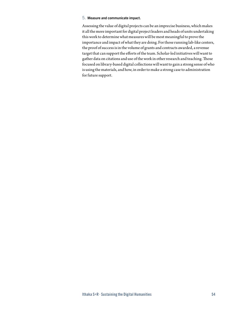### 5. **Measure and communicate impact.**

Assessing the value of digital projects can be an imprecise business, which makes it all the more important for digital project leaders and heads of units undertaking this work to determine what measures will be most meaningful to prove the importance and impact of what they are doing. For those running lab-like centers, the proof of success is in the volume of grants and contracts awarded, a revenue target that can support the efforts of the team. Scholar-led initiatives will want to gather data on citations and use of the work in other research and teaching. Those focused on library-based digital collections will want to gain a strong sense of who is using the materials, and how, in order to make a strong case to administration for future support.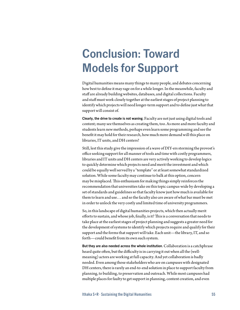# **Conclusion: Toward Models for Support**

Digital humanities means many things to many people, and debates concerning how best to define it may rage on for a while longer. In the meanwhile, faculty and staff are already building websites, databases, and digital collections. Faculty and staff must work closely together at the earliest stages of project planning to identify which projects will need longer-term support and to define just what that support will consist of.

**Clearly, the drive to create is not waning**. Faculty are not just using digital tools and content; many see themselves as creating them, too. As more and more faculty and students learn new methods, perhaps even learn some programming and see the benefit it may hold for their research, how much more demand will this place on libraries, IT units, and DH centers?

Still, lest this study give the impression of a wave of DIY-ers storming the provost's office seeking support for all manner of tools and time with costly programmers, libraries and IT units and DH centers are very actively working to develop logics to quickly determine which projects need and merit the investment and which could be equally well served by a "template" or at least somewhat standardized solution. While some faculty may continue to balk at this option, concern may be misplaced. This enthusiasm for making things simply reinforces the recommendation that universities take on this topic campus-wide by developing a set of standards and guidelines so that faculty know just how much is available for them to learn and use… and so the faculty also are aware of what bar must be met in order to unlock the very costly and limited time of university programmers.

So, in this landscape of digital humanities projects, which then actually merit efforts to sustain, and whose job, finally, is it? This is a conversation that needs to take place at the earliest stages of project planning and suggests a greater need for the development of systems to identify which projects require and qualify for their support and the forms that support will take. Each unit—the library, IT, and so forth—could benefit from its own such system.

**But they are also needed across the whole institution**. Collaboration is a catchphrase heard quite often, but the difficulty is in carrying it out when all the (wellmeaning) actors are working at full capacity. And yet collaboration is badly needed. Even among those stakeholders who are on campuses with designated DH centers, there is rarely an end-to-end solution in place to support faculty from planning, to building, to preservation and outreach. While most campuses had multiple places for faulty to get support in planning, content creation, and even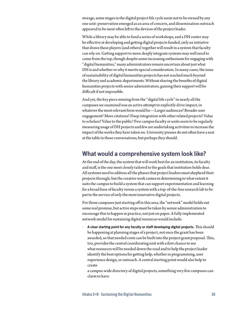storage, some stages in the digital project life cycle seem not to be owned by any one unit: preservation emerged as an area of concern, and dissemination outreach appeared to be most often left to the devices of the project leader.

While a library may be able to fund a series of workshops, and a DH center may be effective at developing and getting digital projects funded, only an initiative that draws these players (and others) together will result in a system that faculty can rely on. Getting support to more deeply integrate systems may well need to come from the top, though despite some increasing enthusiasm for engaging with "digital humanities," many administrators remain uncertain about just what DH is and whether or why it merits special consideration. In many cases, the issue of sustainability of digital humanities projects has not reached much beyond the library and academic departments. Without sharing the benefits of digital humanities projects with senior administrators, gaining their support will be difficult if not impossible.

And yet, the key piece missing from the "digital life cycle" in nearly all the campuses we examined was an active attempt to explicitly drive impact, in whatever the most relevant form would be—Larger audiences? Broader user engagement? More citations? Deep integration with other related projects? Value to scholars? Value to the public? Few campus faculty or units seem to be regularly measuring usage of DH projects and few are undertaking activities to increase the impact of the works they have taken on. University presses do not often have a seat at the table in these conversations, but perhaps they should.

### **What would a comprehensive system look like?**

At the end of the day, the system that will work best for an institution, its faculty and staff, is the one most closely tailored to the goals that institution holds dear. All systems need to address all the phases that project leaders must shepherd their projects through; but the creative work comes in determining to what extent it suits the campus to build a system that can support experimentation and learning for a broad base of faculty versus a system with a top-of-the-line research lab to be put to the service of only the most innovative digital projects.

For those campuses just starting off in this area, the "network" model holds out some real promise, but active steps must be taken by senior administration to encourage this to happen in practice, not just on paper. A fully implemented network model for sustaining digital resources would include:

*•* **A clear starting point for any faculty or staff developing digital projects.** This should be happening at planning stages of a project, not once the grant has been awarded, so that needed costs can be built into the project grant proposal. This, too, provides the central coordinating unit with a first chance to see what resources will be needed down the road and to help the project leader identify the best options for getting help, whether in programming, user experience design, or outreach. A central starting point would also help to create

a campus-wide directory of digital projects, something very few campuses can claim to have.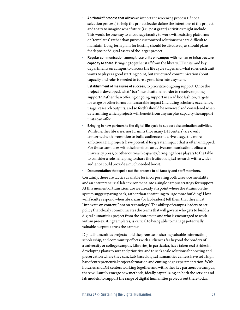- *•* **An "intake" process that allows** an important screening process (if not a selection process) to help the project leader define the intentions of the project and to try to imagine what future (i.e., post grant) activities might include. This would be one way to encourage faculty to work with existing platforms or "templates" rather than pursue customized solutions that are difficult to maintain. Long-term plans for hosting should be discussed, as should plans for deposit of digital assets of the larger project.
- *•* **Regular communication among those units on campus with human or infrastructure capacity to share.** Bringing together staff from the library, IT units, and key departments on campus to discuss the life cycle stages and what roles each unit wants to play is a good starting point, but structured communication about capacity and roles is needed to turn a good idea into a system.
- *•* **Establishment of measures of success**, to prioritize ongoing support. Once the project is developed, what "bar" must it attain in order to receive ongoing support? Rather than offering ongoing support in an ad hoc fashion, targets for usage or other forms of measurable impact (including scholarly excellence, usage, research outputs, and so forth) should be reviewed and considered when determining which projects will benefit from any surplus capacity the support units can offer.
- *•* **Bringing in new partners to the digital life cycle to support dissemination activities.** While neither libraries, nor IT units (nor many DH centers) are overly concerned with promotion to build audience and drive usage, the more ambitious DH projects have potential for greater impact that is often untapped. For those campuses with the benefit of an active communications office, a university press, or other outreach capacity, bringing those players to the table to consider a role in helping to share the fruits of digital research with a wider audience could provide a much needed boost.
- *•* **Documentation that spells out the process to all faculty and staff members.**

Certainly, there are tactics available for incorporating both a service mentality and an entrepreneurial lab environment into a single campus strategy for support. At this moment of transition, are we already at a point where the strains on the system suggest paring back, rather than continuing to urge more building? How will faculty respond when librarians (or lab leaders) tell them that they must "innovate on content," not on technology? The ability of campus leaders to set policy that clearly communicates the terms that will govern who gets to build a digital humanities project from the bottom up and who is encouraged to work within pre-existing templates, is critical to being able to manage potentially valuable outputs across the campus.

Digital humanities projects hold the promise of sharing valuable information, scholarship, and community effects with audiences far beyond the borders of a university or college campus. Libraries, in particular, have taken real strides in developing plans to sort and prioritize and to seek scale solutions for hosting and preservation where they can. Lab-based digital humanities centers have set a high bar of entrepreneurial project-formation and cutting edge experimentation. With libraries and DH centers working together and with other key partners on campus, there will surely emerge new methods, ideally capitalizing on both the service and lab models, to support the range of digital humanities projects out there today.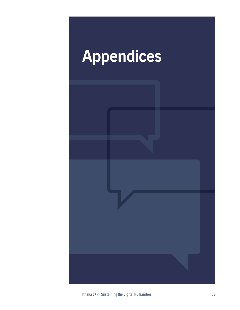# **Appendices**

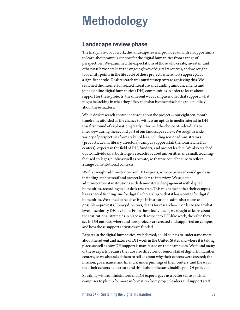# **Methodology**

### **Landscape review phase**

The first phase of our work, the landscape review, provided us with an opportunity to learn about campus support for the digital humanities from a range of perspectives. We examined the expectations of those who create, invest in, and otherwise have a stake in the ongoing lives of digital resources, and we sought to identify points in the life cycle of these projects where host support plays a significant role. Desk research was our first step toward achieving this. We searched the internet for related literature and funding announcements and joined online digital humanities (DH) communities in order to learn about support for these projects, the different ways campuses offer that support, what might be lacking in what they offer, and what is otherwise being said publicly about these matters.

While desk research continued throughout the project—our eighteen-month timeframe afforded us the chance to witness an uptick in media interest in DH this first round of exploration greatly informed the choice of individuals to interview during the second part of our landscape review. We sought a wide variety of perspectives from stakeholders including senior administrators (provosts, deans, library directors); campus support staff (in libraries, in DH centers); experts in the field of DH; funders; and project leaders. We also reached out to individuals at both large, research-focused universities and small, teachingfocused colleges, public as well as private, so that we could be sure to reflect a range of institutional contexts.

We first sought administrators and DH experts, who we believed could guide us in finding support staff and project leaders to interview. We selected administrators at institutions with demonstrated engagement with digital humanities, according to our desk research. This might mean that their campus has a special funding line for digital scholarship or that it has a center for digital humanities. We aimed to reach as high in institutional administrations as possible—provosts, library directors, deans for research—in order to see at what level of seniority DH is visible. From these individuals, we sought to learn about the institutional strategies in place with respect to DH-like work, the value they see in DH outputs, where and how projects are created and supported on campus, and how those support activities are funded.

Experts in the digital humanities, we believed, could help us to understand more about the advent and nature of DH work in the United States and where it is taking place, as well as how DH support is manifested on their campuses. We found many of these experts because they are also directors or senior staff of digital humanities centers, so we also asked them to tell us about why their centers were created; the mission, governance, and financial underpinnings of their centers; and the ways that their centers help create and think about the sustainability of DH projects.

Speaking with administrators and DH experts gave us a better sense of which campuses to plumb for more information from project leaders and support staff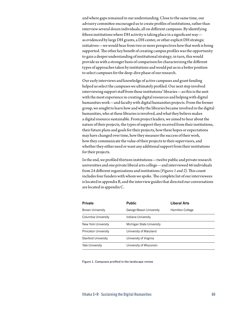and where gaps remained in our understanding. Close to the same time, our advisory committee encouraged us to create profiles of institutions, rather than interview several dozen individuals, all on different campuses. By identifying fifteen institutions where DH activity is taking place in a significant way as evidenced by large DH grants, a DH center, or other explicit DH strategic initiatives—we would hear from two or more perspectives how that work is being supported. The other key benefit of creating campus profiles was the opportunity to gain a deeper understanding of institutional strategy; in turn, this would provide us with a stronger basis of comparison for characterizing the different types of approaches taken by institutions and would put us in a better position to select campuses for the deep-dive phase of our research.

Our early interviews and knowledge of active campuses and grant funding helped us select the campuses we ultimately profiled. Our next step involved interviewing support staff from these institutions' libraries—as this is the unit with the most experience in creating digital resources and helping with digital humanities work—and faculty with digital humanities projects. From the former group, we sought to learn how and why the libraries became involved in the digital humanities, who at these libraries is involved, and what they believe makes a digital resource sustainable. From project leaders, we aimed to hear about the nature of their projects, the types of support they received from their institutions, their future plans and goals for their projects, how these hopes or expectations may have changed over time, how they measure the success of their work, how they communicate the value of their projects to their supervisors, and whether they either need or want any additional support from their institutions for their projects.

In the end, we profiled thirteen institutions—twelve public and private research universities and one private liberal arts college—and interviewed 46 individuals from 24 different organizations and institutions (*Figures 1 and 2*). This count includes four funders with whom we spoke. The complete list of our interviewees is located in appendix B, and the interview guides that directed our conversations are located in appendix C.

| <b>Private</b>             | <b>Public</b>             | Liberal Arts            |  |
|----------------------------|---------------------------|-------------------------|--|
| <b>Brown University</b>    | George Mason University   | <b>Hamilton College</b> |  |
| Columbia University        | Indiana University        |                         |  |
| New York University        | Michigan State University |                         |  |
| Princeton University       | University of Maryland    |                         |  |
| <b>Stanford University</b> | University of Virginia    |                         |  |
| Yale University            | University of Wisconsin   |                         |  |

**Figure 1. Campuses profiled in the landscape review**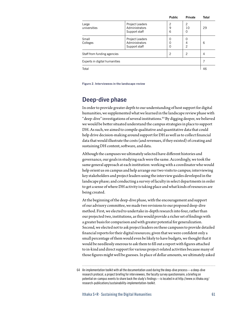|                               |                                                    | <b>Public</b>                                  | Private                   | <b>Total</b>   |
|-------------------------------|----------------------------------------------------|------------------------------------------------|---------------------------|----------------|
| Large<br>universities         | Project Leaders<br>Administrators<br>Support staff | $\overline{2}$<br>9<br>6                       | $\overline{c}$<br>10<br>0 | 29             |
| Small<br>Colleges             | Project Leaders<br>Administrators<br>Support staff | $\Omega$<br>0<br>0<br>4<br>$\overline{2}$<br>0 |                           | 6              |
| Staff from funding agencies   |                                                    | $\overline{2}$                                 | $\overline{2}$            | $\overline{4}$ |
| Experts in digital humanities |                                                    |                                                |                           | 7              |
| Total                         |                                                    |                                                |                           | 46             |

**Figure 2. Interviewees in the landscape review**

# **Deep-dive phase**

In order to provide greater depth to our understanding of host support for digital humanities, we supplemented what we learned in the landscape review phase with "deep-dive" investigations of several institutions.64 By digging deeper, we believed we would be better situated understand the campus strategies in place to support DH. As such, we aimed to compile qualitative and quantitative data that could help drive decision-making around support for DH as well as to collect financial data that would illustrate the costs (and revenues, if they existed) of creating and sustaining DH content, software, and data.

Although the campuses we ultimately selected have different histories and governance, our goals in studying each were the same. Accordingly, we took the same general approach at each institution: working with a coordinator who would help orient us on campus and help arrange our two visits to campus; interviewing key stakeholders and project leaders using the interview guides developed in the landscape phase; and conducting a survey of faculty in select departments in order to get a sense of where DH activity is taking place and what kinds of resources are being created.

At the beginning of the deep-dive phase, with the encouragement and support of our advisory committee, we made two revisions to our proposed deep-dive method. First, we elected to undertake in-depth research into four, rather than our projected two, institutions, as this would provide a richer set of findings with a greater basis for comparison and with greater potential for generalization. Second, we elected not to ask project leaders on these campuses to provide detailed financial reports for their digital resources; given that we were confident only a small percentage of them would even be likely to have budgets, we thought that it would be needlessly onerous to ask them to fill out a report with figures attached to in-kind and direct support for various project-related activities because many of those figures might well be guesses. In place of dollar amounts, we ultimately asked

<sup>64</sup> An implementation toolkit with all the documentation used during the deep-dive process—a deep-dive research protocol, a project briefing for interviewees, the faculty survey questionnaire, a briefing on potential on-campus events to share back the study's findings—is located in at [http://www.sr.ithaka.org/](http://www.sr.ithaka.org/research-publications/sustainability) [research-publications/sustainability-](http://www.sr.ithaka.org/research-publications/sustainability)implementation-toolkit.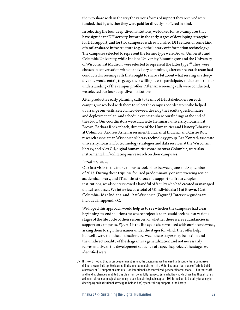them to share with us the way the various forms of support they received were funded, that is, whether they were paid for directly or offered in kind.

In selecting the four deep-dive institutions, we looked for two campuses that have significant DH activity, but are in the early stages of developing strategies for DH support, and for two campuses with established DH centers or some kind of similar shared infrastructure (e.g., in the library or information technology). The campuses selected to represent the former type were Brown University and Columbia University, while Indiana University Bloomington and the University of Wisconsin at Madison were selected to represent the latter type.<sup>65</sup> They were chosen in conversation with our advisory committee, after our research team had conducted screening calls that sought to share a bit about what serving as a deepdive site would entail, to gauge their willingness to participate, and to confirm our understanding of the campus profiles. After six screening calls were conducted, we selected our four deep-dive institutions.

After productive early planning calls to teams of DH stakeholders on each campus, we worked with them to select the campus coordinators who helped us arrange our visits, select interviewees, develop the faculty questionnaire and deployment plan, and schedule events to share our findings at the end of the study. Our coordinators were Harriette Hemmasi, university librarian at Brown; Barbara Rockenbach, director of the Humanities and History Libraries at Columbia; Andrew Asher, assessment librarian at Indiana; and Carrie Roy, research associate in Wisconsin's library technology group. Lee Konrad, associate university librarian for technology strategies and data services at the Wisconsin library, and Alex Gil, digital humanities coordinator at Columbia, were also instrumental in facilitating our research on their campuses.

### *Initial interviews*

Our first visits to the four campuses took place between June and September of 2013. During these trips, we focused predominantly on interviewing senior academic, library, and IT administrators and support staff; at a couple of institutions, we also interviewed a handful of faculty who had created or managed digital resources. We interviewed a total of 58 individuals: 11 at Brown, 12 at Columbia, 16 at Indiana, and 19 at Wisconsin (*Figure 5)*. Interview guides are included in appendix C.

We hoped this approach would help us to see whether the campuses had clear beginning-to-end solutions for where project leaders could seek help at various stages of the life cycle of their resources, or whether there were redundancies in support on campuses. *Figure 3* is the life cycle chart we used with our interviewees, asking them to sign their names under the stages for which they offer help, but well aware that the distinctions between these stages may be flexible and the unidirectionality of the diagram is a generalization and not necessarily representative of the development sequence of a specific project. The stages we identified were:

<sup>65</sup> It is worth noting that, after deeper investigation, the categories we had used to describe these campuses did not always hold up. We learned that senior administrators at UW, for instance, had made efforts to build a network of DH support on campus—an intentionally decentralized, yet coordinated, model—but that staff and funding changes inhibited this plan from being fully realized. Similarly, Brown, which we had thought of as a decentralized campus just beginning to develop strategies to support DH, turned out to be fairly far along in developing an institutional strategy (albeit ad hoc) by centralizing support in the library.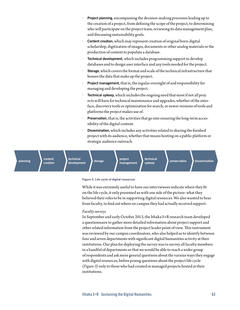- *•* **Project planning**, encompassing the decision-making processes leading up to the creation of a project, from defining the scope of the project, to determining who will participate on the project team, reviewing its data management plan, and discussing sustainability goals.
- *•* **Content creation**, which may represent creation of original born-digital scholarship, digitization of images, documents or other analog materials or the production of content to populate a database.
- *•* **Technical development**, which includes programming support to develop databases and to design user interface and any tools needed for the project.
- *•* **Storage**, which covers the format and scale of the technical infrastructure that houses the data that make up the project.
- *•* **Project management**, that is, the regular oversight of and responsibility for managing and developing the project.
- *•* **Technical upkeep**, which includes the ongoing need that most if not all projects will have for technical maintenance and upgrades, whether of the interface, discovery tools or optimization for search, or newer versions of tools and platforms the project makes use of.
- *•* **Preservation**, that is, the activities that go into ensuring the long-term accessibility of the digital content.
- *•* **Dissemination**, which includes any activities related to sharing the finished project with its audience, whether that means hosting on a public platform or strategic audience outreach.

**planning content**

**technical**

**creation**

**development b storage project project project** 

# **management**

**technical**

**upkeep preservation dissemination**

### **Figure 3. Life cycle of digital resources**

While it was extremely useful to have our interviewees indicate where they fit on the life cycle, it only presented us with one side of the picture: what they believed their roles to be in supporting digital resources. We also wanted to hear from faculty, to find out where on campus they had actually received support.

### *Faculty surveys*

In September and early October 2013, the Ithaka S+R research team developed a questionnaire to gather more detailed information about project support and other related information from the project leader point of view. This instrument was reviewed by our campus coordinators, who also helped us to identify between four and seven departments with significant digital humanities activity at their institutions. Our plan for deploying the survey was to survey all faculty members in a handful of departments so that we would be able to reach a wider group of respondents and ask more general questions about the various ways they engage with digital resources, before posing questions about the project life cycle (*Figure 3*) only to those who had created or managed projects hosted at their institutions.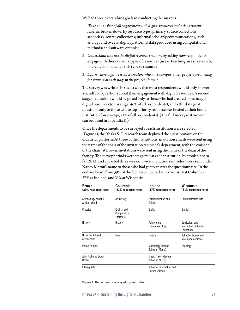We had three overarching goals in conducting the surveys:

- 1. *Take a snapshot of all engagement with digital resources in the departments selected*, broken down by resource type (primary-source collections; secondary-source collections; informal scholarly communications, such as blogs and tweets; digital platforms; data produced using computational methods; and software or tools)
- 2. *Understand who are the digital resource creators*, by asking how respondents engage with these various types of resources (use in teaching, use in research, or created or managed this type of resource)
- 3. *Learn where digital resource creators who have campus-based projects are turning for support at each stage in the project life cycle*

The survey was written in such a way that most respondents would only answer a handful of questions about their engagement with digital resources. A second stage of questions would be posed only to those who had created or managed digital resources (on average, 46% of all respondents), and a third stage of questions only to those whose top-priority resource was hosted at their home institution (on average, 21% of all respondents). (The full survey instrument can be found in appendix D.)

Once the departments to be surveyed at each institution were selected (*Figure 4*), the Ithaka S+R research team deployed the questionnaire on the Qualtrics platform. At three of the institutions, invitation emails were sent using the name of the chair of the invitation recipient's department, with the consent of the chair; at Brown, invitations were sent using the name of the dean of the faculty. The survey periods were staggered at each institution, but took place in fall 2013, and all lasted three weeks. Twice, invitation reminders were sent under Nancy Maron's name to those who had yet to answer the questionnaire. In the end, we heard from 39% of the faculty contacted at Brown, 41% at Columbia, 37% at Indiana, and 31% at Wisconsin.

| <b>Brown</b><br>(39% response rate)         | Columbia<br>(41% response rate)          | Indiana<br>(37% response rate)                      | Wisconsin<br>(31% response rate)                       |
|---------------------------------------------|------------------------------------------|-----------------------------------------------------|--------------------------------------------------------|
| Archaeology and the<br><b>Ancient World</b> | Art History                              | Communication and<br>Culture                        | <b>Communication Arts</b>                              |
| Classics                                    | English and<br>Comparative<br>Literature | English                                             | English                                                |
| History                                     | History                                  | Folklore and<br>Ethnomusicology                     | Curriculum and<br>Instruction (School of<br>Education) |
| History of Art and<br>Architecture          | Music                                    | History                                             | School of Library and<br><b>Information Science</b>    |
| <b>Italian Studies</b>                      |                                          | Musicology (Jacobs<br>Sociology<br>School of Music) |                                                        |
| John Nicholas Brown<br>Center               |                                          | <b>Music Theory (Jacobs</b><br>School of Music)     |                                                        |
| <b>Literary Arts</b>                        |                                          | School of Information and<br><b>Library Science</b> |                                                        |

#### **Figure 4. Departments surveyed, by institution**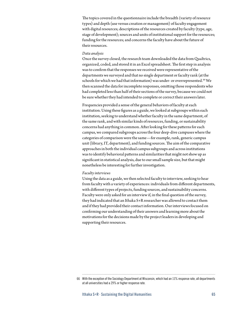The topics covered in the questionnaire include the breadth (variety of resource types) and depth (use versus creation or management) of faculty engagement with digital resources; descriptions of the resources created by faculty (type, age, stage of development); sources and units of institutional support for the resources; funding for the resources; and concerns the faculty have about the future of their resources.

### *Data analysis*

Once the survey closed, the research team downloaded the data from Qualtrics, organized, coded, and stored it in an Excel spreadsheet. The first step in analysis was to confirm that the responses we received were representative of the departments we surveyed and that no single department or faculty rank (at the schools for which we had that information) was under- or overrepresented.<sup>66</sup> We then scanned the data for incomplete responses, omitting those respondents who had completed less than half of their sections of the survey, because we could not be sure whether they had intended to complete or correct their answers later.

Frequencies provided a sense of the general behaviors of faculty at each institution. Using these figures as a guide, we looked at subgroups within each institution, seeking to understand whether faculty in the same department, of the same rank, and with similar kinds of resources, funding, or sustainability concerns had anything in common. After looking for these patterns for each campus, we compared subgroups across the four deep-dive campuses where the categories of comparison were the same—for example, rank, generic campus unit (library, IT, department), and funding sources. The aim of the comparative approaches in both the individual campus subgroups and across institutions was to identify behavioral patterns and similarities that might not show up as significant in statistical analysis, due to our small sample size, but that might nonetheless be interesting for further investigation.

#### *Faculty interviews*

Using the data as a guide, we then selected faculty to interview, seeking to hear from faculty with a variety of experiences: individuals from different departments, with different types of projects, funding sources, and sustainability concerns. Faculty were only asked for an interview if, in the final question of the survey, they had indicated that an Ithaka S+R researcher was allowed to contact them and if they had provided their contact information. Our interviews focused on confirming our understanding of their answers and learning more about the motivations for the decisions made by the project leaders in developing and supporting their resources.

<sup>66</sup> With the exception of the Sociology Department at Wisconsin, which had an 11% response rate, all departments at all universities had a 29% or higher response rate.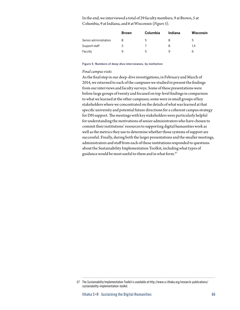In the end, we interviewed a total of 29 faculty members, 9 at Brown, 5 at Columbia, 9 at Indiana, and 6 at Wisconsin (*Figure 5*).

|                       | <b>Brown</b> | <b>Columbia</b> | Indiana | <b>Wisconsin</b> |
|-----------------------|--------------|-----------------|---------|------------------|
| Senior administrators |              | b               |         | b                |
| Support staff         | 3            |                 | 8       | 14               |
| Faculty               | a            | $\mathsf{h}$    |         |                  |

#### **Figure 5. Numbers of deep-dive interviewees, by institution**

### *Final campus visits*

As the final step in our deep-dive investigations, in February and March of 2014, we returned to each of the campuses we studied to present the findings from our interviews and faculty surveys. Some of these presentations were before large groups of twenty and focused on top-level findings in comparison to what we learned at the other campuses; some were in small groups of key stakeholders where we concentrated on the details of what was learned at that specific university and potential future directions for a coherent campus strategy for DH support. The meetings with key stakeholders were particularly helpful for understanding the motivations of senior administrators who have chosen to commit their institutions' resources to supporting digital humanities work as well as the metrics they use to determine whether those systems of support are successful. Finally, during both the larger presentations and the smaller meetings, administrators and staff from each of these institutions responded to questions about the Sustainability Implementation Toolkit, including what types of guidance would be most useful to them and in what form.<sup>67</sup>

<sup>67</sup> The Sustainability Implementation Toolkit is available at [http://www.sr.ithaka.org/research-publications/](http://www.sr.ithaka.org/research-publications/sustainability-implementation-toolkit) [sustainability-implementation-toolkit](http://www.sr.ithaka.org/research-publications/sustainability-implementation-toolkit).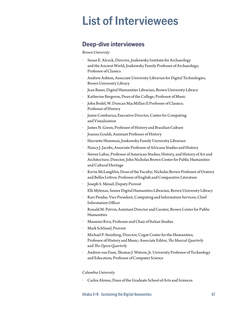# **List of Interviewees**

## **Deep-dive interviewees**

### *Brown University*

- *•* Susan E. Alcock, Director, Joukowsky Institute for Archaeology and the Ancient World; Joukowsky Family Professor of Archaeology; Professor of Classics
- *•* Andrew Ashton, Associate University Librarian for Digital Technologies, Brown University Library
- *•* Jean Bauer, Digital Humanities Librarian, Brown University Library
- *•* Katherine Bergeron, Dean of the College; Professor of Music
- *•* John Bodel, W. Duncan MacMillan II Professor of Classics; Professor of History
- *•* Jamie Combariza, Executive Director, Center for Computing and Visualization
- *•* James N. Green, Professor of History and Brazilian Culture
- *•* Joanna Gouldi, Assistant Professor of History
- *•* Harriette Hemmasi, Joukowsky Family University Librarian
- *•* Nancy J. Jacobs, Associate Professor of Africana Studies and History
- *•* Steven Lubar, Professor of American Studies, History, and History of Art and Architecture; Director, John Nicholas Brown Center for Public Humanities and Cultural Heritage
- *•* Kevin McLaughlin, Dean of the Faculty; Nicholas Brown Professor of Oratory and Belles Lettres; Professor of English and Comparative Literature
- *•* Joseph S. Meisel, Deputy Provost
- *•* Elli Mylonas, Senior Digital Humanities Librarian, Brown University Library
- *•* Ravi Pendse, Vice President, Computing and Information Services; Chief Information Officer
- *•* Ronald M. Potvin, Assistant Director and Curator, Brown Center for Public Humanities
- *•* Massimo Riva, Professor and Chair of Italian Studies
- *•* Mark Schlissel, Provost
- *•* Michael P. Steinberg, Director, Cogut Center for the Humanities; Professor of History and Music; Associate Editor, *The Musical Quarterly* and *The Opera Quarterly*
- *•* Andreis van Dam, Thomas J. Watson, Jr. University Professor of Technology and Education; Professor of Computer Science

### *Columbia University*

*•* Carlos Alonso, Dean of the Graduate School of Arts and Sciences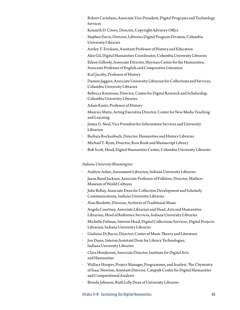- *•* Robert Cartolano, Associate Vice President, Digital Programs and Technology Services
- *•* Kenneth D. Crews, Director, Copyright Advisory Office
- *•* Stephen Davis, Director, Libraries Digital Program Division, Columbia University Libraries
- *•* Ansley T. Erickson, Assistant Professor of History and Education
- *•* Alex Gil, Digital Humanities Coordinator, Columbia University Libraries
- *•* Eileen Gillooly, Associate Director, Heyman Center for the Humanities; Associate Professor of English and Comparative Literature
- *•* Karl Jacoby, Professor of History
- *•* Damon Jaggars, Associate University Librarian for Collections and Services, Columbia University Libraries
- *•* Rebecca Kennison, Director, Center for Digital Research and Scholarship, Columbia University Libraries
- *•* Adam Kosto, Professor of History
- *•* Maurice Matiz, Acting Executive Director, Center for New Media Teaching and Learning
- *•* James G. Neal, Vice President for Information Services and University Librarian
- *•* Barbara Rockenbach, Director, Humanities and History Libraries
- *•* Michael T. Ryan, Director, Rare Book and Manuscript Library
- *•* Bob Scott, Head, Digital Humanities Center, Columbia University Libraries

### *Indiana University Bloomington*

- *•* Andrew Asher, Assessment Librarian, Indiana University Libraries
- *•* Jason Baird Jackson, Associate Professor of Folklore; Director, Mathers Museum of World Cultures
- *•* Julie Bobay, Associate Dean for Collection Development and Scholarly Communications, Indiana University Libraries
- *•* Alan Burdette, Director, Archives of Traditional Music
- *•* Angela Courtney, Associate Librarian and Head, Arts and Humanities Librarian; Head of Reference Services, Indiana University Libraries
- *•* Michelle Dalmau, Interim Head, Digital Collections Services; Digital Projects Librarian, Indiana University Libraries
- *•* Giuliano Di Bacco, Director, Center of Music Theory and Literature
- *•* Jon Dunn, Interim Assistant Dean for Library Technologies, Indiana University Libraries
- *•* Clara Henderson, Associate Director, Institute for Digital Arts and Humanities
- *•* Wallace Hooper, Project Manager, Programmer, and Analyst, The Chymistry of Isaac Newton; Assistant Director, Catapult Center for Digital Humanities and Computational Analysis
- *•* Brenda Johnson, Ruth Lilly Dean of University Libraries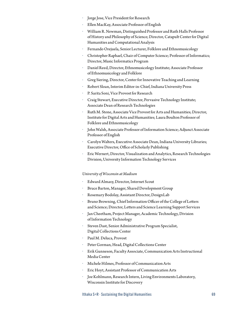- *•* Jorge Jose, Vice President for Research
- *•* Ellen MacKay, Associate Professor of English
- *•* William R. Newman, Distinguished Professor and Ruth Halls Professor of History and Philosophy of Science; Director, Catapult Center for Digital Humanities and Computational Analysis
- *•* Fernando Orejuela, Senior Lecturer, Folklore and Ethnomusicology
- *•* Christopher Raphael, Chair of Computer Science; Professor of Informatics; Director, Music Informatics Program
- *•* Daniel Reed, Director, Ethnomusicology Institute; Associate Professor of Ethnomusicology and Folklore
- *•* Greg Siering, Director, Center for Innovative Teaching and Learning
- *•* Robert Sloan, Interim Editor-in-Chief, Indiana University Press
- *•* P. Sarita Soni, Vice Provost for Research
- *•* Craig Stewart, Executive Director, Pervasive Technology Institute; Associate Dean of Research Technologies
- *•* Ruth M. Stone, Associate Vice Provost for Arts and Humanities; Director, Institute for Digital Arts and Humanities; Laura Boulton Professor of Folklore and Ethnomusicology
- *•* John Walsh, Associate Professor of Information Science; Adjunct Associate Professor of English
- *•* Carolyn Walters, Executive Associate Dean, Indiana University Libraries; Executive Director, Office of Scholarly Publishing
- *•* Eric Wernert, Director, Visualization and Analytics, Research Technologies Division, University Information Technology Services

### *University of Wisconsin at Madison*

- *•* Edward Almasy, Director, Internet Scout
- *•* Bruce Barton, Manager, Shared Development Group
- *•* Rosemary Bodolay, Assistant Director, DesignLab
- *•* Bruno Browning, Chief Information Officer of the College of Letters and Science; Director, Letters and Science Learning Support Services
- *•* Jan Cheetham, Project Manager, Academic Technology, Division of Information Technology
- *•* Steven Dast, Senior Administrative Program Specialist, Digital Collections Center
- *•* Paul M. Deluca, Provost
- *•* Peter Gorman, Head, Digital Collections Center
- *•* Erik Gunneson, Faculty Associate, Communication Arts Instructional Media Center
- *•* Michele Hilmes, Professor of Communication Arts
- *•* Eric Hoyt, Assistant Professor of Communication Arts
- *•* Joe Kohlmann, Research Intern, Living Environments Laboratory, Wisconsin Institute for Discovery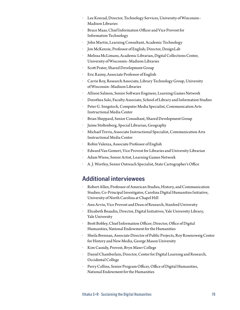- *•* Lee Konrad, Director, Technology Services, University of Wisconsin– Madison Libraries
- *•* Bruce Maas, Chief Information Officer and Vice Provost for Information Technology
- *•* John Martin, Learning Consultant, Academic Technology
- *•* Jon McKenzie, Professor of English; Director, DesignLab
- *•* Melissa McLimans, Academic Librarian, Digital Collections Center, University of Wisconsin–Madison Libraries
- *•* Scott Prater, Shared Development Group
- *•* Eric Raimy, Associate Professor of English
- *•* Carrie Roy, Research Associate, Library Technology Group, University of Wisconsin–Madison Libraries
- *•* Allison Salmon, Senior Software Engineer, Learning Games Network
- *•* Dorothea Salo, Faculty Associate, School of Library and Information Studies
- *•* Peter G. Sengstock, Computer Media Specialist, Communication Arts Instructional Media Center
- *•* Brian Sheppard, Senior Consultant, Shared Development Group
- *•* Jaime Stoltenberg, Special Librarian, Geography
- *•* Michael Trevis, Associate Instructional Specialist, Communication Arts Instructional Media Center
- *•* Robin Valenza, Associate Professor of English
- *•* Edward Van Gemert, Vice Provost for Libraries and University Librarian
- *•* Adam Wiens, Senior Artist, Learning Games Network
- *•* A. J. Wortley, Senior Outreach Specialist, State Cartographer's Office

### **Additional interviewees**

- *•* Robert Allen, Professor of American Studies, History, and Communication Studies; Co-Principal Investigator, Carolina Digital Humanities Initiative, University of North Carolina at Chapel Hill
- *•* Ann Arvin, Vice Provost and Dean of Research, Stanford University
- *•* Elizabeth Beaudin, Director, Digital Initiatives, Yale University Library, Yale University
- *•* Brett Bobley, Chief Information Officer; Director, Office of Digital Humanities, National Endowment for the Humanities
- *•* Sheila Brennan, Associate Director of Public Projects, Roy Rosenzweig Center for History and New Media, George Mason University
- *•* Kim Cassidy, Provost, Bryn Mawr College
- *•* Daniel Chamberlain, Director, Center for Digital Learning and Research, Occidental College
- *•* Perry Collins, Senior Program Officer, Office of Digital Humanities, National Endowment for the Humanities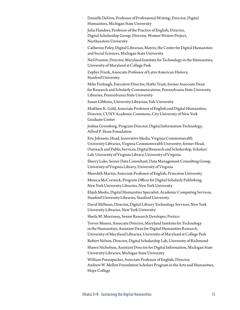- *•* Danielle DeVoss, Professor of Professional Writing; Director, Digital Humanities, Michigan State University
- *•* Julia Flanders, Professor of the Practice of English; Director, Digital Scholarship Group; Director, Women Writers Project, Northeastern University
- *•* Catherine Foley, Digital Librarian, Matrix, the Center for Digital Humanities and Social Sciences, Michigan State University
- *•* Neil Fraistat, Director, Maryland Institute for Technology in the Humanities, University of Maryland at College Park
- *•* Zephyr Frank, Associate Professor of Latin American History, Stanford University
- *•* Mike Furlough, Executive Director, Hathi Trust; former Associate Dean for Research and Scholarly Communications, Pennsylvania State University Libraries, Pennsylvania State University
- *•* Susan Gibbons, University Librarian, Yale University
- *•* Matthew K. Gold, Associate Professor of English and Digital Humanities; Director, CUNY Academic Commons, City University of New York Graduate Center
- *•* Joshua Greenberg, Program Director, Digital Information Technology, Alfred P. Sloan Foundation
- *•* Eric Johnson, Head, Innovative Media, Virginia Commonwealth University Libraries, Virginia Commonwealth University; former Head, Outreach and Public Services, Digital Research and Scholarship, Scholars' Lab, University of Virginia Library, University of Virginia
- *•* Sherry Lake, Senior Data Consultant, Data Management Consulting Group, University of Virginia Library, University of Virginia
- *•* Meredith Martin, Associate Professor of English, Princeton University
- *•* Monica McCormick, Program Officer for Digital Scholarly Publishing, New York University Libraries, New York University
- *•* Elijah Meeks, Digital Humanities Specialist, Academic Computing Services, Stanford University Libraries, Stanford University
- *•* David Millman, Director, Digital Library Technology Services, New York University Libraries, New York University
- *•* Sheila M. Morrissey, Senior Research Developer, Portico
- *•* Trevor Munoz, Associate Director, Maryland Institute for Technology in the Humanities; Assistant Dean for Digital Humanities Research, University of Maryland Libraries, University of Maryland at College Park
- *•* Robert Nelson, Director, Digital Scholarship Lab, University of Richmond
- *•* Shawn Nicholson, Assistant Director for Digital Information, Michigan State University Libraries, Michigan State University
- *•* William Pannapacker, Associate Professor of English; Director, Andrew W. Mellon Foundation Scholars Program in the Arts and Humanities, Hope College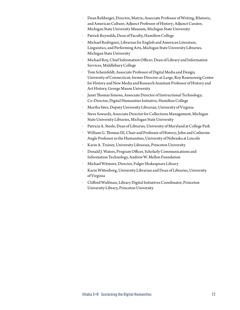- *•* Dean Rehberger, Director, Matrix; Associate Professor of Writing, Rhetoric, and American Culture; Adjunct Professor of History; Adjunct Curator, Michigan State University Museum, Michigan State University
- *•* Patrick Reynolds, Dean of Faculty, Hamilton College
- *•* Michael Rodriguez, Librarian for English and American Literature, Linguistics, and Performing Arts, Michigan State University Libraries, Michigan State University
- *•* Michael Roy, Chief Information Officer; Dean of Library and Information Services, Middlebury College
- *•* Tom Scheinfeldt, Associate Professor of Digital Media and Design, University of Connecticut; former Director-at-Large, Roy Rosenzweig Center for History and New Media and Research Assistant Professor of History and Art History, George Mason University
- *•* Janet Thomas Simons, Associate Director of Instructional Technology; Co-Director, Digital Humanities Initiative, Hamilton College
- *•* Martha Sites, Deputy University Librarian, University of Virginia
- *•* Steve Sowards, Associate Director for Collections Management, Michigan State University Libraries, Michigan State University
- *•* Patricia A. Steele, Dean of Libraries, University of Maryland at College Park
- *•* William G. Thomas III, Chair and Professor of History; John and Catherine Angle Professor in the Humanities, University of Nebraska at Lincoln
- *•* Karin A. Trainer, University Librarian, Princeton University
- *•* Donald J. Waters, Program Officer, Scholarly Communications and Information Technology, Andrew W. Mellon Foundation
- *•* Michael Witmore, Director, Folger Shakespeare Library
- *•* Karin Wittenborg, University Librarian and Dean of Libraries, University of Virginia
- *•* Clifford Wulfman, Library Digital Initiatives Coordinator, Princeton University Library, Princeton University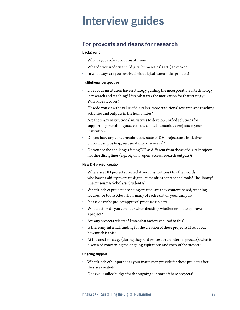# **Interview guides**

# **For provosts and deans for research**

# **Background**

- *•* What is your role at your institution?
- *•* What do you understand "digital humanities" (DH) to mean?
- *•* In what ways are you involved with digital humanities projects?

# **Institutional perspective**

- *•* Does your institution have a strategy guiding the incorporation of technology in research and teaching? If so, what was the motivation for that strategy? What does it cover?
- *•* How do you view the value of digital vs. more traditional research and teaching activities and outputs in the humanities?
- *•* Are there any institutional initiatives to develop unified solutions for supporting or enabling access to the digital humanities projects at your institution?
- *•* Do you have any concerns about the state of DH projects and initiatives on your campus (e.g., sustainability, discovery)?
- *•* Do you see the challenges facing DH as different from those of digital projects in other disciplines (e.g., big data, open-access research outputs)?

# **New DH project creation**

- *•* Where are DH projects created at your institution? (In other words, who has the ability to create digital humanities content and tools? The library? The museums? Scholars? Students?)
- *•* What kinds of projects are being created: are they content-based, teachingfocused, or tools? About how many of each exist on your campus?
- *•* Please describe project approval processes in detail.
- *•* What factors do you consider when deciding whether or not to approve a project?
- *•* Are any projects rejected? If so, what factors can lead to this?
- Is there any internal funding for the creation of these projects? If so, about how much is this?
- *•* At the creation stage (during the grant process or an internal process), what is discussed concerning the ongoing aspirations and costs of the project?

# **Ongoing support**

- *•* What kinds of support does your institution provide for these projects after they are created?
- *•* Does your office budget for the ongoing support of these projects?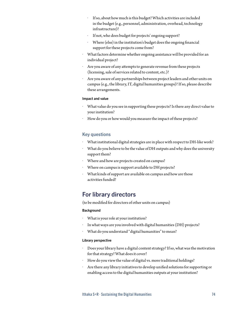- *•* If so, about how much is this budget? Which activities are included in the budget (e.g., personnel, administration, overhead, technology infrastructure)?
- *•* If not, who does budget for projects' ongoing support?
- *•* Where (else) in the institution's budget does the ongoing financial support for these projects come from?
- *•* What factors determine whether ongoing assistance will be provided for an individual project?
- *•* Are you aware of any attempts to generate revenue from these projects (licensing, sale of services related to content, etc.)?
- *•* Are you aware of any partnerships between project leaders and other units on campus (e.g., the library, IT, digital humanities groups)? If so, please describe these arrangements.

#### **Impact and value**

- *•* What value do you see in supporting these projects? Is there any direct value to your institution?
- *•* How do you or how would you measure the impact of these projects?

# **Key questions**

- *•* What institutional digital strategies are in place with respect to DH-like work?
- *•* What do you believe to be the value of DH outputs and why does the university support them?
- *•* Where and how are projects created on campus?
- *•* Where on campus is support available to DH projects?
- *•* What kinds of support are available on campus and how are those activities funded?

# **For library directors**

(to be modified for directors of other units on campus)

#### **Background**

- *•* What is your role at your institution?
- *•* In what ways are you involved with digital humanities (DH) projects?
- *•* What do you understand "digital humanities" to mean?

#### **Library perspective**

- *•* Does your library have a digital content strategy? If so, what was the motivation for that strategy? What does it cover?
- *•* How do you view the value of digital vs. more traditional holdings?
- *•* Are there any library initiatives to develop unified solutions for supporting or enabling access to the digital humanities outputs at your institution?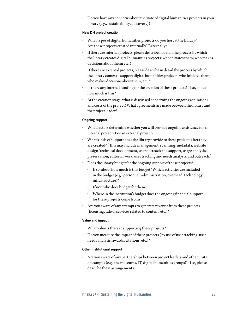*•* Do you have any concerns about the state of digital humanities projects in your library (e.g., sustainability, discovery)?

## **New DH project creation**

- *•* What types of digital humanities projects do you host at the library? Are these projects created internally? Externally?
- *•* If there are internal projects, please describe in detail the process by which the library creates digital humanities projects: who initiates them; who makes decisions about them; etc.?
- If there are external projects, please describe in detail the process by which the library comes to support digital humanities projects: who initiates them; who makes decisions about them; etc.?
- Is there any internal funding for the creation of these projects? If so, about how much is this?
- *•* At the creation stage, what is discussed concerning the ongoing aspirations and costs of the project? What agreements are made between the library and the project leader?

#### **Ongoing support**

- *•* What factors determine whether you will provide ongoing assistance for an internal project? For an external project?
- *•* What kinds of support does the library provide to these projects after they are created? (This may include management, scanning, metadata, website design/technical development, user outreach and support, usage analysis, preservation, editorial work, user tracking and needs analysis, and outreach.)
- *•* Does the library budget for the ongoing support of these projects?
	- *•* If so, about how much is this budget? Which activities are included in the budget (e.g., personnel, administration, overhead, technology infrastructure)?
	- If not, who does budget for them?
	- *•* Where in the institution's budget does the ongoing financial support for these projects come from?
- *•* Are you aware of any attempts to generate revenue from these projects (licensing, sale of services related to content, etc.)?

#### **Value and impact**

- *•* What value is there in supporting these projects?
- *•* Do you measure the impact of these projects (by use of user tracking, user needs analysis, awards, citations, etc.)?

#### **Other institutional support**

*•* Are you aware of any partnerships between project leaders and other units on campus (e.g., the museums, IT, digital humanities groups)? If so, please describe these arrangements.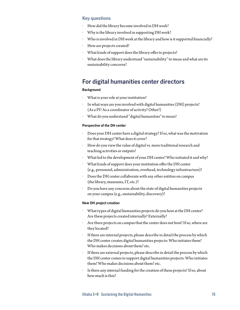# **Key questions**

- *•* How did the library become involved in DH work?
- *•* Why is the library involved in supporting DH work?
- *•* Who is involved in DH work at the library and how is it supported financially?
- *•* How are projects created?
- *•* What kinds of support does the library offer to projects?
- *•* What does the library understand "sustainability" to mean and what are its sustainability concerns?

# **For digital humanities center directors**

#### **Background**

- *•* What is your role at your institution?
- *•* In what ways are you involved with digital humanities (DH) projects? (As a PI? As a coordinator of activity? Other?)
- *•* What do you understand "digital humanities" to mean?

#### **Perspective of the DH center**

- *•* Does your DH center have a digital strategy? If so, what was the motivation for that strategy? What does it cover?
- *•* How do you view the value of digital vs. more traditional research and teaching activities or outputs?
- *•* What led to the development of your DH center? Who initiated it and why?
- *•* What kinds of support does your institution offer the DH center (e.g., personnel, administration, overhead, technology infrastructure)?
- *•* Does the DH center collaborate with any other entities on campus (the library, museums, IT, etc.)?
- *•* Do you have any concerns about the state of digital humanities projects on your campus (e.g., sustainability, discovery)?

## **New DH project creation**

- *•* What types of digital humanities projects do you host at the DH center? Are these projects created internally? Externally?
- Are there projects on campus that the center does not host? If so, where are they located?
- If there are internal projects, please describe in detail the process by which the DH center creates digital humanities projects: Who initiates them? Who makes decisions about them? etc.
- If there are external projects, please describe in detail the process by which the DH center comes to support digital humanities projects: Who initiates them? Who makes decisions about them? etc.
- Is there any internal funding for the creation of these projects? If so, about how much is this?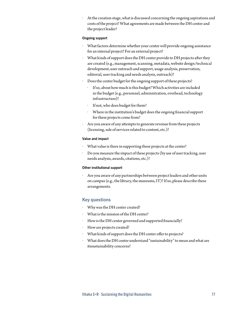*•* At the creation stage, what is discussed concerning the ongoing aspirations and costs of the project? What agreements are made between the DH center and the project leader?

### **Ongoing support**

- *•* What factors determine whether your center will provide ongoing assistance for an internal project? For an external project?
- *•* What kinds of support does the DH center provide to DH projects after they are created (e.g., management, scanning, metadata, website design/technical development, user outreach and support, usage analysis, preservation, editorial, user tracking and needs analysis, outreach)?
- *•* Does the center budget for the ongoing support of these projects?
	- *•* If so, about how much is this budget? Which activities are included in the budget (e.g., personnel, administration, overhead, technology infrastructure)?
	- *•* If not, who does budget for them?
	- *•* Where in the institution's budget does the ongoing financial support for these projects come from?
- *•* Are you aware of any attempts to generate revenue from these projects (licensing, sale of services related to content, etc.)?

## **Value and impact**

- *•* What value is there in supporting these projects at the center?
- *•* Do you measure the impact of these projects (by use of user tracking, user needs analysis, awards, citations, etc.)?

# **Other institutional support**

*•* Are you aware of any partnerships between project leaders and other units on campus (e.g., the library, the museums, IT)? If so, please describe these arrangements.

# **Key questions**

- *•* Why was the DH center created?
- *•* What is the mission of the DH center?
- *•* How is the DH center governed and supported financially?
- *•* How are projects created?
- *•* What kinds of support does the DH center offer to projects?
- *•* What does the DH center understand "sustainability" to mean and what are itssustainability concerns?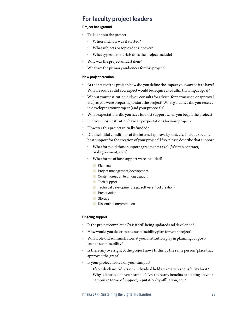# **For faculty project leaders**

## **Project background**

- *•* Tell us about the project:
	- *•* When and how was it started?
	- *•* What subjects or topics does it cover?
	- *•* What types of materials does the project include?
- *•* Why was the project undertaken?
- *•* What are the primary audiences for this project?

# **New project creation**

- *•* At the start of the project, how did you define the impact you wanted it to have? What resources did you expect would be required to fulfill that impact goal?
- *•* Who at your institution did you consult (for advice, for permission or approval, etc.) as you were preparing to start the project? What guidance did you receive in developing your project (and your proposal)?
- *•* What expectations did you have for host support when you began the project?
- *•* Did your host institution have any expectations for your project?
- *•* How was this project initially funded?
- *•* Did the initial conditions of the internal approval, grant, etc. include specific host support for the creation of your project? If so, please describe that support
	- *•* What form did those support agreements take? (Written contract, oral agreement, etc.?)
	- *•* What forms of host support were included?
		- **Planning**
		- **Project management/development**
		- Content creation (e.g., digitization)
		- **Tech support**
		- Technical development (e.g., software, tool creation)
		- **Preservation**
		- **Storage**
		- **Dissemination/promotion**

## **Ongoing support**

- *•* Is the project complete? Or is it still being updated and developed?
- How would you describe the sustainability plan for your project?
- *•* What role did administrators at your institution play in planning for postlaunch sustainability?
- Is there any oversight of the project now? Is this by the same person/place that approved the grant?
- *•* Is your project hosted on your campus?
	- *•* If so, which unit/division/individual holds primary responsibility for it? Why is it hosted on your campus? Are there any benefits to hosting on your campus in terms of support, reputation by affiliation, etc.?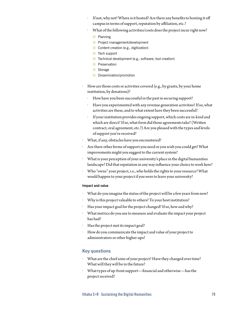- *•* If not, why not? Where is it hosted? Are there any benefits to hosting it off campus in terms of support, reputation by affiliation, etc.?
- *•* What of the following activities/costs does the project incur right now?
	- **Planning**
	- **Project management/development**
	- Content creation (e.g., digitization)
	- $\blacksquare$  Tech support
	- Technical development (e.g., software, tool creation)
	- **Preservation**
	- **Storage**
	- **Dissemination/promotion**
- *•* How are those costs or activities covered (e.g., by grants, by your home institution, by donations)?
	- *•* How have you been successful in the past in securing support?
	- *•* Have you experimented with any revenue generation activities? If so, what activities are these, and to what extent have they been successful?
	- *•* If your institution provides ongoing support, which costs are in-kind and which are direct? If so, what form did those agreements take? (Written contract, oral agreement, etc.?) Are you pleased with the types and levels of support you've received?
- *•* What, if any, obstacles have you encountered?
- *•* Are there other forms of support you need or you wish you could get? What improvements might you suggest to the current system?
- *•* What is your perception of your university's place in the digital humanities landscape? Did that reputation in any way influence your choice to work here?
- *•* Who "owns" your project, i.e., who holds the rights to your resource? What would happen to your project if you were to leave your university?

# **Impact and value**

- *•* What do you imagine the status of the project will be a few years from now?
- *•* Why is this project valuable to others? To your host institution?
- *•* Has your impact goal for the project changed? If so, how and why?
- *•* What metrics do you use to measure and evaluate the impact your project has had?
- *•* Has the project met its impact goal?
- *•* How do you communicate the impact and value of your project to administrators or other higher-ups?

# **Key questions**

- *•* What are the chief aims of your project? Have they changed over time? What will they will be in the future?
- *•* What types of up-front support—financial and otherwise—has the project received?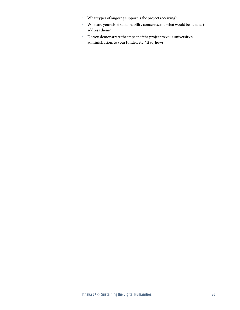- *•* What types of ongoing support is the project receiving?
- *•* What are your chief sustainability concerns, and what would be needed to address them?
- *•* Do you demonstrate the impact of the project to your university's administration, to your funder, etc.? If so, how?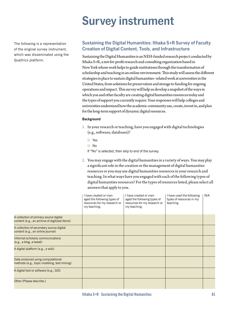# **Survey instrument**

The following is a representation of the original survey instrument, which was disseminated using the Qualtrics platform.

# **Sustaining the Digital Humanities: Ithaka S+R Survey of Faculty Creation of Digital Content, Tools, and Infrastructure**

Sustaining the Digital Humanities is an NEH-funded research project conducted by Ithaka S+R, a not-for-profit research and consulting organization based in New York whose work helps to guide institutions through the transformation of scholarship and teaching in an online environment. This study will assess the different strategies in place to sustain digital humanities–related work at universities in the United States, from solutions for preservation and storage to funding for ongoing operations and impact. This survey will help us develop a snapshot of the ways in which you and other faculty are creating digital humanities resources today and the types of support you currently require. Your responses will help colleges and universities understand how the academic community use, create, invest in, and plan for the long-term support of dynamic digital resources.

# **Background**

- 1. In your research or teaching, have you engaged with digital technologies (e.g., software, databases)?
	- Yes
	- No

If "No" is selected, then skip to end of the survey.

2. You may engage with the digital humanities in a variety of ways. You may play a significant role in the creation or the management of digital humanities resources or you may use digital humanities resources in your research and teaching. In what ways have you engaged with each of the following types of digital humanities resources? For the types of resources listed, please select all answers that apply to you.

|                                                                                         | I have created or man-<br>aged the following types of<br>resources for my research or<br>my teaching. | I have created or man-<br>aged the following types of<br>resources for my research or<br>my teaching. | I have used the following<br>types of resources in my<br>teaching. | N/A |
|-----------------------------------------------------------------------------------------|-------------------------------------------------------------------------------------------------------|-------------------------------------------------------------------------------------------------------|--------------------------------------------------------------------|-----|
| A collection of primary source digital<br>content (e.g., an archive of digitized items) |                                                                                                       |                                                                                                       |                                                                    |     |
| A collection of secondary source digital<br>content (e.g., an online journal)           |                                                                                                       |                                                                                                       |                                                                    |     |
| Informal scholarly communications<br>(e.g., a blog, a tweet)                            |                                                                                                       |                                                                                                       |                                                                    |     |
| A digital platform (e.g., a wiki)                                                       |                                                                                                       |                                                                                                       |                                                                    |     |
| Data produced using computational<br>methods (e.g., topic modeling, text mining)        |                                                                                                       |                                                                                                       |                                                                    |     |
| A digital tool or software (e.g., GIS)                                                  |                                                                                                       |                                                                                                       |                                                                    |     |
| Other (Please describe.)                                                                |                                                                                                       |                                                                                                       |                                                                    |     |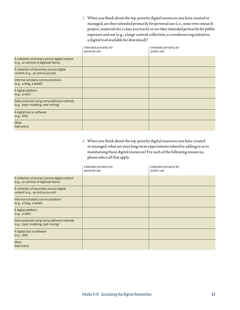3. When you think about the top-priority digital resources you have created or managed, are they intended primarily for personal use (i.e., your own research project, materials for a class you teach) or are they intended primarily for public exposure and use (e.g., a large content collection, a crowdsourcing initiative, a digital tool available for download)?

|                                                                                         | Intended primarily for<br>personal use | Intended primarily for<br>public use |
|-----------------------------------------------------------------------------------------|----------------------------------------|--------------------------------------|
| A collection of primary source digital content<br>(e.g., an archive of digitized items) |                                        |                                      |
| A collection of secondary source digital<br>content (e.g., an online journal)           |                                        |                                      |
| Informal scholarly communications<br>(e.g., a blog, a tweet)                            |                                        |                                      |
| A digital platform<br>(e.g., a wiki)                                                    |                                        |                                      |
| Data produced using computational methods<br>(e.g., topic modeling, text mining)        |                                        |                                      |
| A digital tool or software<br>(e.g., GIS)                                               |                                        |                                      |
| Other<br>(text entry)                                                                   |                                        |                                      |

4. When you think about the top-priority digital resources you have created or managed, what are your long-term expectations related to adding to or to maintaining these digital resources? For each of the following resources, please select all that apply.

|                                                                                         | Intended primarily for<br>personal use | Intended primarily for<br>public use |
|-----------------------------------------------------------------------------------------|----------------------------------------|--------------------------------------|
| A collection of primary source digital content<br>(e.g., an archive of digitized items) |                                        |                                      |
| A collection of secondary source digital<br>content (e.g., an online journal)           |                                        |                                      |
| Informal scholarly communications<br>(e.g., a blog, a tweet)                            |                                        |                                      |
| A digital platform<br>(e.g., a wiki)                                                    |                                        |                                      |
| Data produced using computational methods<br>(e.g., topic modeling, text mining)        |                                        |                                      |
| A digital tool or software<br>(e.g., GIS)                                               |                                        |                                      |
| <b>Other</b><br>(text entry)                                                            |                                        |                                      |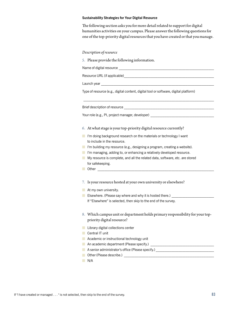#### **Sustainability Strategies for Your Digital Resource**

The following section asks you for more detail related to support for digital humanities activities on your campus. Please answer the following questions for one of the top-priority digital resources that you have created or that you manage.

### *Description of resource*

5. Please provide the following information.

Name of digital resource \_\_\_\_\_\_\_\_\_\_\_\_\_\_\_\_\_\_\_\_\_\_\_\_\_\_\_\_\_\_\_\_\_\_\_\_\_\_\_\_\_\_\_\_\_\_\_\_\_\_\_\_\_\_

Resource URL (if applicable)

Launch year \_\_\_\_\_\_\_\_\_\_\_\_\_\_\_\_\_\_\_\_\_\_\_\_\_\_\_\_\_\_\_\_\_\_\_\_\_\_\_\_\_\_\_\_\_\_\_\_\_\_\_\_\_\_\_\_\_\_\_\_\_\_\_\_

Type of resource (e.g., digital content, digital tool or software, digital platform)

 $\mathcal{L}_\text{max}$ 

Brief description of resource

Your role (e.g., PI, project manager, developer)

- 6. At what stage is your top-priority digital resource currently?
- $\blacksquare$  I'm doing background research on the materials or technology I want to include in the resource.
- I'm building my resource (e.g., designing a program, creating a website).
- I'm managing, adding to, or enhancing a relatively developed resource.
- My resource is complete, and all the related data, software, etc. are stored for safekeeping.
- $\blacksquare$  Other
- 7. Is your resource hosted at your own university or elsewhere?
- At my own university.
- **E** Elsewhere. (Please say where and why it is hosted there.) If "Elsewhere" is selected, then skip to the end of the survey.
- 8. Which campus unit or department holds primary responsibility for your toppriority digital resource?
- **Library digital collections center**
- Central IT unit
- **Academic or instructional technology unit**
- An academic department (Please specify.)
- A senior administrator's office (Please specify.)
- Other (Please describe.) \_\_\_\_\_\_\_\_\_\_\_\_\_\_\_\_\_\_\_\_\_\_\_\_\_\_\_\_\_\_\_\_\_\_\_\_\_\_\_\_\_\_\_\_\_\_\_\_\_\_\_
- N/A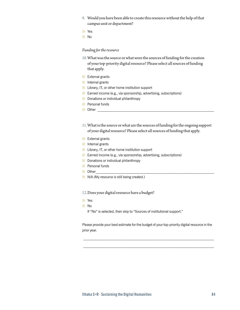- 9. Would you have been able to create this resource without the help of that campus unit or department?
- **T** Yes
- No

# *Funding for the resource*

- 10.What was the source or what were the sources of funding for the creation of your top-priority digital resource? Please select all sources of funding that apply.
- **External grants**
- Internal grants
- **Library, IT, or other home institution support**
- **Earned income (e.g., via sponsorship, advertising, subscriptions)**
- Donations or individual philanthropy
- **Personal funds**
- $\Box$  Other
- 11.What is the source or what are the sources of funding for the ongoing support of your digital resource? Please select all sources of funding that apply.
- **External grants**
- **Internal grants**
- **Library, IT, or other home institution support**
- **Earned income (e.g., via sponsorship, advertising, subscriptions)**
- Donations or individual philanthropy
- **Personal funds**
- $\Box$  Other
- N/A (My resource is still being created.)

### 12.Does your digital resource have a budget?

- **Nes**
- No

If "No" is selected, then skip to "Sources of institutional support."

Please provide your best estimate for the budget of your top-priority digital resource in the prior year.

 $\mathcal{L}_\text{max}$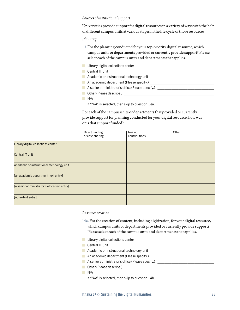## *Sources of institutional support*

Universities provide support for digital resources in a variety of ways with the help of different campus units at various stages in the life cycle of those resources.

### *Planning*

- 13.For the planning conducted for your top-priority digital resource, which campus units or departments provided or currently provide support? Please select each of the campus units and departments that applies.
- **Library digital collections center**
- Central IT unit
- **Academic or instructional technology unit**
- An academic department (Please specify.)
- A senior administrator's office (Please specify.) \_\_\_\_\_\_\_\_\_\_\_\_\_\_\_\_\_\_\_\_\_\_\_\_\_\_\_\_\_\_
- Other (Please describe.) \_\_\_\_\_\_\_\_\_\_\_\_\_\_\_\_\_\_\_\_\_\_\_\_\_\_\_\_\_\_\_\_\_\_\_\_\_\_\_\_\_\_\_\_\_\_\_\_\_\_\_
- N/A
	- If "N/A" is selected, then skip to question 14a.

For each of the campus units or departments that provided or currently provide support for planning conducted for your digital resource, how was or is that support funded?

|                                              | Direct funding<br>or cost-sharing | In-kind<br>contributions | Other |
|----------------------------------------------|-----------------------------------|--------------------------|-------|
| Library digital collections center           |                                   |                          |       |
| Central IT unit                              |                                   |                          |       |
| Academic or instructional technology unit    |                                   |                          |       |
| [an academic department-text entry]          |                                   |                          |       |
| [a senior administrator's office-text entry] |                                   |                          |       |
| [other-text entry]                           |                                   |                          |       |

### *Resource creation*

- 14a. For the creation of content, including digitization, for your digital resource, which campus units or departments provided or currently provide support? Please select each of the campus units and departments that applies.
- **Library digital collections center**
- Central IT unit
- **Academic or instructional technology unit**
- An academic department (Please specify.)
- A senior administrator's office (Please specify.)
- **Dualer** (Please describe.)

N/A

If "N/A" is selected, then skip to question 14b.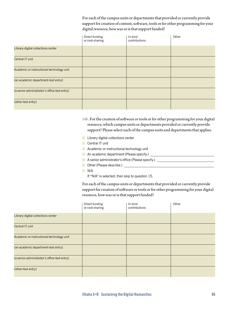For each of the campus units or departments that provided or currently provide support for creation of content, software, tools or for other programming for your digital resource, how was or is that support funded?

|                                              | Direct funding<br>or cost-sharing | In-kind<br>contributions | Other |
|----------------------------------------------|-----------------------------------|--------------------------|-------|
| Library digital collections center           |                                   |                          |       |
| Central IT unit                              |                                   |                          |       |
| Academic or instructional technology unit    |                                   |                          |       |
| [an academic department-text entry]          |                                   |                          |       |
| [a senior administrator's office-text entry] |                                   |                          |       |
| [other-text entry]                           |                                   |                          |       |

14b. For the creation of software or tools or for other programming for your digital resource, which campus units or departments provided or currently provide support? Please select each of the campus units and departments that applies.

- **Library digital collections center**
- Central IT unit
- **Academic or instructional technology unit**
- An academic department (Please specify.) \_\_\_\_\_\_\_\_\_\_\_\_\_\_\_\_\_\_\_\_\_\_\_\_\_\_\_\_\_\_\_\_\_\_\_\_
- A senior administrator's office (Please specify.)
- **Desimally** Other (Please describe.)
- N/A

If "N/A" is selected, then skip to question 15.

For each of the campus units or departments that provided or currently provide support for creation of software or tools or for other programming for your digital resource, how was or is that support funded?

|                                              | Direct funding<br>or cost-sharing | In-kind<br>contributions | Other |
|----------------------------------------------|-----------------------------------|--------------------------|-------|
| Library digital collections center           |                                   |                          |       |
| Central IT unit                              |                                   |                          |       |
| Academic or instructional technology unit    |                                   |                          |       |
| [an academic department-text entry]          |                                   |                          |       |
| [a senior administrator's office-text entry] |                                   |                          |       |
| [other-text entry]                           |                                   |                          |       |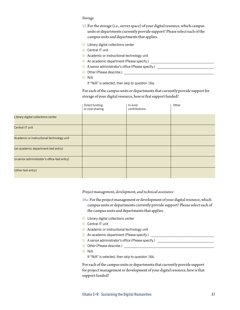#### *Storage*

- 15.For the storage (i.e., server space) of your digital resource, which campus units or departments currently provide support? Please select each of the campus units and departments that applies.
- **Library digital collections center**
- Central IT unit
- **Academic or instructional technology unit**
- An academic department (Please specify.) \_\_\_\_\_\_\_\_\_\_\_\_\_\_\_\_\_\_\_\_\_\_\_\_\_\_\_\_\_\_\_\_\_\_\_\_
- A senior administrator's office (Please specify.)
- Other (Please describe.) \_\_\_\_\_\_\_\_\_\_\_\_\_\_\_\_\_\_\_\_\_\_\_\_\_\_\_\_\_\_\_\_\_\_\_\_\_\_\_\_\_\_\_\_\_\_\_\_\_\_\_
- N/A

If "N/A" is selected, then skip to question 16a.

For each of the campus units or departments that currently provide support for storage of your digital resource, how is that support funded?

|                                              | Direct funding<br>or cost-sharing | In-kind<br>contributions | Other |
|----------------------------------------------|-----------------------------------|--------------------------|-------|
| Library digital collections center           |                                   |                          |       |
| Central IT unit                              |                                   |                          |       |
| Academic or instructional technology unit    |                                   |                          |       |
| [an academic department-text entry]          |                                   |                          |       |
| [a senior administrator's office-text entry] |                                   |                          |       |
| [other-text entry]                           |                                   |                          |       |

*Project management, development, and technical assistance* 

- 16a. For the project management or development of your digital resource, which campus units or departments currently provide support? Please select each of the campus units and departments that applies.
- **Library digital collections center**
- Central IT unit
- **Academic or instructional technology unit**
- An academic department (Please specify.)
- A senior administrator's office (Please specify.)
- Other (Please describe.) \_\_\_\_\_\_\_\_\_\_\_\_\_\_\_\_\_\_\_\_\_\_\_\_\_\_\_\_\_\_\_\_\_\_\_\_\_\_\_\_\_\_\_\_\_\_\_\_\_\_\_
- N/A

If "N/A" is selected, then skip to question 16b.

For each of the campus units or departments that currently provide support for project management or development of your digital resource, how is that support funded?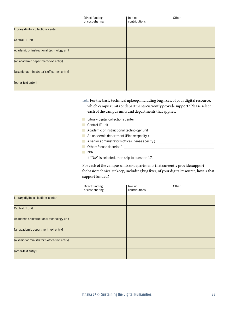|                                              | Direct funding<br>or cost-sharing | In-kind<br>contributions | Other |
|----------------------------------------------|-----------------------------------|--------------------------|-------|
| Library digital collections center           |                                   |                          |       |
| Central IT unit                              |                                   |                          |       |
| Academic or instructional technology unit    |                                   |                          |       |
| [an academic department-text entry]          |                                   |                          |       |
| [a senior administrator's office-text entry] |                                   |                          |       |
| [other-text entry]                           |                                   |                          |       |

16b. For the basic technical upkeep, including bug fixes, of your digital resource, which campus units or departments currently provide support? Please select each of the campus units and departments that applies.

- **Library digital collections center**
- **Central IT unit**
- **Academic or instructional technology unit**
- An academic department (Please specify.) \_\_\_\_\_\_\_\_\_\_\_\_\_\_\_\_\_\_\_\_\_\_\_\_\_\_\_\_\_\_\_\_\_\_\_\_
- A senior administrator's office (Please specify.) \_\_\_\_\_\_\_\_\_\_\_\_\_\_\_\_\_\_\_\_\_\_\_\_\_\_\_\_\_\_
- Other (Please describe.) \_\_\_\_\_\_\_\_\_\_\_\_\_\_\_\_\_\_\_\_\_\_\_\_\_\_\_\_\_\_\_\_\_\_\_\_\_\_\_\_\_\_\_\_\_\_\_\_\_\_\_
- $N/A$

If "N/A" is selected, then skip to question 17.

For each of the campus units or departments that currently provide support for basic technical upkeep, including bug fixes, of your digital resource, how is that support funded?

|                                              | Direct funding<br>or cost-sharing | In-kind<br>contributions | Other |
|----------------------------------------------|-----------------------------------|--------------------------|-------|
| Library digital collections center           |                                   |                          |       |
| Central IT unit                              |                                   |                          |       |
| Academic or instructional technology unit    |                                   |                          |       |
| [an academic department-text entry]          |                                   |                          |       |
| [a senior administrator's office-text entry] |                                   |                          |       |
| [other-text entry]                           |                                   |                          |       |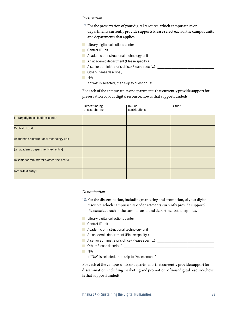#### *Preservation*

- 17. For the preservation of your digital resource, which campus units or departments currently provide support? Please select each of the campus units and departments that applies.
- **Library digital collections center**
- Central IT unit
- **Academic or instructional technology unit**
- An academic department (Please specify.) \_\_\_\_\_\_\_\_\_\_\_\_\_\_\_\_\_\_\_\_\_\_\_\_\_\_\_\_\_\_\_\_\_\_\_\_
- A senior administrator's office (Please specify.)
- Other (Please describe.) \_\_\_\_\_\_\_\_\_\_\_\_\_\_\_\_\_\_\_\_\_\_\_\_\_\_\_\_\_\_\_\_\_\_\_\_\_\_\_\_\_\_\_\_\_\_\_\_\_\_\_
- N/A

If "N/A" is selected, then skip to question 18.

For each of the campus units or departments that currently provide support for preservation of your digital resource, how is that support funded?

|                                              | Direct funding<br>or cost-sharing | In-kind<br>contributions | Other |
|----------------------------------------------|-----------------------------------|--------------------------|-------|
| Library digital collections center           |                                   |                          |       |
| Central IT unit                              |                                   |                          |       |
| Academic or instructional technology unit    |                                   |                          |       |
| [an academic department-text entry]          |                                   |                          |       |
| [a senior administrator's office-text entry] |                                   |                          |       |
| [other-text entry]                           |                                   |                          |       |

#### *Dissemination*

- 18.For the dissemination, including marketing and promotion, of your digital resource, which campus units or departments currently provide support? Please select each of the campus units and departments that applies.
- **Library digital collections center**
- Central IT unit
- **Academic or instructional technology unit**
- An academic department (Please specify.)
- A senior administrator's office (Please specify.)
- **Desimally** Other (Please describe.)
- N/A

If "N/A" is selected, then skip to "Assessment."

For each of the campus units or departments that currently provide support for dissemination, including marketing and promotion, of your digital resource, how is that support funded?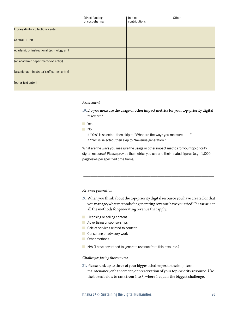|                                              | Direct funding<br>or cost-sharing | In-kind<br>contributions | Other |
|----------------------------------------------|-----------------------------------|--------------------------|-------|
| Library digital collections center           |                                   |                          |       |
| Central IT unit                              |                                   |                          |       |
| Academic or instructional technology unit    |                                   |                          |       |
| [an academic department-text entry]          |                                   |                          |       |
| [a senior administrator's office-text entry] |                                   |                          |       |
| [other-text entry]                           |                                   |                          |       |

#### *Assessment*

- 19.Do you measure the usage or other impact metrics for your top-priority digital resource?
- **The Yes**
- No
	- If "Yes" is selected, then skip to "What are the ways you measure. . . . " If "No" is selected, then skip to "Revenue generation."

What are the ways you measure the usage or other impact metrics for your top-priority digital resource? Please provide the metrics you use and their related figures (e.g., 1,000 pageviews per specified time frame).

*Revenue generation*

- 20.When you think about the top-priority digital resource you have created or that you manage, what methods for generating revenue have you tried? Please select all the methods for generating revenue that apply.
- **Licensing or selling content**
- **Advertising or sponsorships**
- Sale of services related to content
- **Consulting or advisory work**
- **D** Other methods
- N/A (I have never tried to generate revenue from this resource.)

#### *Challenges facing the resource*

21.Please rank up to three of your biggest challenges to the long-term maintenance, enhancement, or preservation of your top-priority resource. Use the boxes below to rank from 1 to 3, where 1 equals the biggest challenge.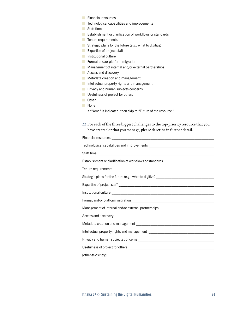- **Financial resources**
- **T** Technological capabilities and improvements
- Staff time
- **Establishment or clarification of workflows or standards**
- **Tenure requirements**
- **Strategic plans for the future (e.g., what to digitize)**
- **Expertise of project staff**
- **Institutional culture**
- Format and/or platform migration
- **Management of internal and/or external partnerships**
- **Access and discovery**
- **Metadata creation and management**
- Intellectual property rights and management
- **Privacy and human subjects concerns**
- **Usefulness of project for others**
- **Other**
- **None** 
	- If "None" is indicated, then skip to "Future of the resource."
- 22.For each of the three biggest challenges to the top-priority resource that you have created or that you manage, please describe in further detail.

| Establishment or clarification of workflows or standards _______________________                                                                                                                                                     |
|--------------------------------------------------------------------------------------------------------------------------------------------------------------------------------------------------------------------------------------|
| Tenure requirements <b>contract to the contract of the contract of the contract of the contract of the contract of the contract of the contract of the contract of the contract of the contract of the contract of the contract </b> |
|                                                                                                                                                                                                                                      |
|                                                                                                                                                                                                                                      |
|                                                                                                                                                                                                                                      |
|                                                                                                                                                                                                                                      |
| Management of internal and/or external partnerships ____________________________                                                                                                                                                     |
|                                                                                                                                                                                                                                      |
|                                                                                                                                                                                                                                      |
|                                                                                                                                                                                                                                      |
|                                                                                                                                                                                                                                      |
|                                                                                                                                                                                                                                      |
|                                                                                                                                                                                                                                      |
|                                                                                                                                                                                                                                      |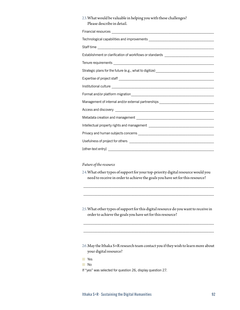| 23. What would be valuable in helping you with these challenges?<br>Please describe in detail. |
|------------------------------------------------------------------------------------------------|
|                                                                                                |
|                                                                                                |
|                                                                                                |
| Establishment or clarification of workflows or standards _______________________               |
|                                                                                                |
| Strategic plans for the future (e.g., what to digitize) _______________________________        |
|                                                                                                |
|                                                                                                |
|                                                                                                |
| Management of internal and/or external partnerships ____________________________               |
|                                                                                                |
|                                                                                                |
|                                                                                                |
|                                                                                                |
|                                                                                                |
| [other-text entry]                                                                             |

# *Future of the resource*

- 24.What other types of support for your top-priority digital resource would you need to receive in order to achieve the goals you have set for this resource?
- 25.What other types of support for this digital resource do you want to receive in order to achieve the goals you have set for this resource?

 $\mathcal{L}_\text{max}$ 

- 26.May the Ithaka S+R research team contact you if they wish to learn more about your digital resource?
- **T**
- No
- If "yes" was selected for question 26, display question 27.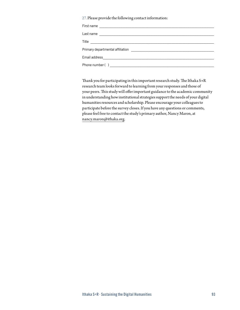27. Please provide the following contact information:

| First name                                                                                                                      |
|---------------------------------------------------------------------------------------------------------------------------------|
| Last name                                                                                                                       |
| Title<br><u> 1989 - Johann Johann Stone, meil in der Stone aus der Stone aus der Stone aus der Stone aus der Stone aus der </u> |
| Primary departmental affiliation                                                                                                |
| Email address<br><u> 1980 - Johann Barn, mars an t-Amerikaansk politiker (* 1918)</u>                                           |
| Phone number ( )                                                                                                                |

Thank you for participating in this important research study. The Ithaka S+R research team looks forward to learning from your responses and those of your peers. This study will offer important guidance to the academic community in understanding how institutional strategies support the needs of your digital humanities resources and scholarship. Please encourage your colleagues to participate before the survey closes. If you have any questions or comments, please feel free to contact the study's primary author, Nancy Maron, at [nancy.maron@ithaka.org](mailto:nancy.maron@ithaka.org).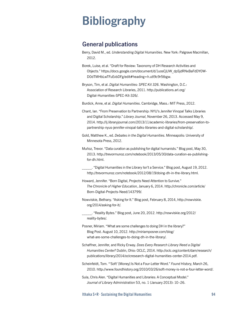# **Bibliography**

# **General publications**

- Berry, David M., ed. *Understanding Digital Humanities*. New York: Palgrave Macmillan, 2012.
- Borek, Luise, et al. "Draft for Review: Taxonomy of DH Research Activities and Objects." [https://docs.google.com/document/d/1uosCjUW\\_dpSjdRNxBaFdDY0W-](https://docs.google.com/document/d/1uosCjUW_dpSjdRNxBaFdDY0W-D0dTMHbLwTFuEvbDFg/edit)[D0dTMHbLwTFuEvbDFg/edit](https://docs.google.com/document/d/1uosCjUW_dpSjdRNxBaFdDY0W-D0dTMHbLwTFuEvbDFg/edit)#heading=[h.utl9](h.utl)c9r5tbgw.
- Bryson, Tim, et al. *Digital Humanities: SPEC Kit 326*. Washington, D.C.: Association of Research Libraries, 2011. [http://publications.arl.org/](http://publications.arl.org/Digital) [Digital](http://publications.arl.org/Digital)-Humanities-SPEC-Kit-326/.
- Burdick, Anne, et al. *Digital Humanities*. Cambridge, Mass.: MIT Press, 2012.
- Chant, Ian. "From Preservation to Partnership: NYU's Jennifer Vinopal Talks Libraries and Digital Scholarship." *Library Journal*, November 26, 2013. Accessed May 9, 2014.<http://lj.libraryjournal.com/2013/11/academic-libraries/from>-preservation-topartnership-nyus-jennifer-vinopal-talks-libraries-and-digital-scholarship/.
- Gold, Matthew K., ed. *Debates in the Digital Humanities*. Minneapolis: University of Minnesota Press, 2012.
- Muñoz, Trevor. "Data curation as publishing for digital humanists." Blog post, May 30, 2013. [http://trevormunoz.com/notebook/2013/05/30/data-curation-as-publishing](http://trevormunoz.com/notebook/2013/05/30/data-curation-as-publishing-for-dh.html)[for-dh.html.](http://trevormunoz.com/notebook/2013/05/30/data-curation-as-publishing-for-dh.html)
- \_\_\_\_\_. "Digital Humanities in the Library Isn't a Service." Blog post, August 19, 2012. [http://trevormunoz.com/notebook/2012/08/19/doing-dh-in-the-library.html.](http://trevormunoz.com/notebook/2012/08/19/doing-dh-in-the-library.html)
- Howard, Jennifer. "Born Digital, Projects Need Attention to Survive." *The Chronicle of Higher Education*, January 6, 2014. [http://chronicle.com/article/](http://chronicle.com/article/Born-Digital-Projects-Need/143799) [Born-Digital-Projects-Need/143799](http://chronicle.com/article/Born-Digital-Projects-Need/143799)/.
- Nowviskie, Bethany. "Asking for It." Blog post, February 8, 2014, [http://nowviskie.](http://nowviskie.org/2014/asking) [org/2014/asking-](http://nowviskie.org/2014/asking)for-it/.
- \_\_\_\_\_. "Reality Bytes." Blog post, June 20, 2012. [http://nowviskie.org/2012/](http://nowviskie.org/2012/reality) [reality](http://nowviskie.org/2012/reality)-bytes/.
- Posner, Miriam. "What are some challenges to doing DH in the library?" Blog Post. August 10, 2012. [http://miriamposner.com/blog/](http://miriamposner.com/blog/what) [what](http://miriamposner.com/blog/what)-are-some-challenges-to-doing-dh-in-the-library/.
- Schaffner, Jennifer, and Ricky Erway. *Does Every Research Library Need a Digital Humanities Center?* Dublin, Ohio: OCLC, 2014. [http://oclc.org/content/dam/research/](http://oclc.org/content/dam/research/publications/library/2014/oclcresearch-digital-humanities-center-2014.pdf) [publications/library/2014/oclcresearch-digital-humanities-center-2014.pdf.](http://oclc.org/content/dam/research/publications/library/2014/oclcresearch-digital-humanities-center-2014.pdf)
- Scheinfeldt, Tom. "'Soft' [Money] Is Not a Four-Letter Word." *Found History*, March 26, 2010.<http://www.foundhistory.org/2010/03/26/soft>-money-is-not-a-four-letter-word/.
- Sula, Chris Alen. "Digital Humanities and Libraries: A Conceptual Model." *Journal of Library Administration* 53, no. 1 (January 2013): 10–26.